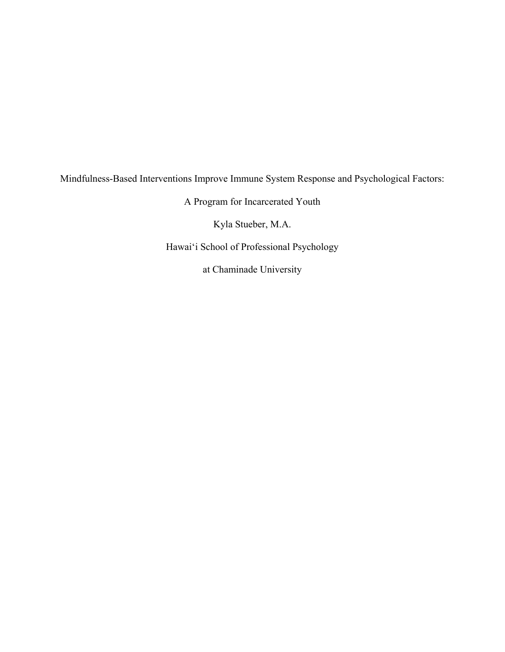## Mindfulness-Based Interventions Improve Immune System Response and Psychological Factors:

A Program for Incarcerated Youth

Kyla Stueber, M.A.

Hawai'i School of Professional Psychology

at Chaminade University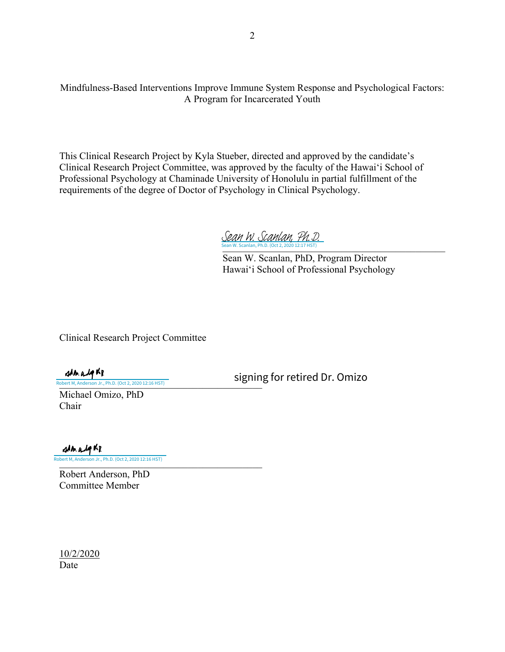Mindfulness-Based Interventions Improve Immune System Response and Psychological Factors: A Program for Incarcerated Youth

This Clinical Research Project by Kyla Stueber, directed and approved by the candidate's Clinical Research Project Committee, was approved by the faculty of the Hawaiʻi School of Professional Psychology at Chaminade University of Honolulu in partial fulfillment of the requirements of the degree of Doctor of Psychology in Clinical Psychology.

Sean W. Scanlan, Ph.D. (Oct 2, 2020 12:17 HST) Sean W. Scanlan, Ph.D. (Oct 2, 2020 12:17 HST) [Sean W. Scanlan, Ph.D.](https://na2.documents.adobe.com/verifier?tx=CBJCHBCAABAA1dPJEnzfWiNeKEc-dTAWHVth4FC9V61d)

 Sean W. Scanlan, PhD, Program Director Hawaiʻi School of Professional Psychology

Clinical Research Project Committee

signing for retired Dr. Omizo

Robert M, Anderson Jr., Ph.D. (Oct 2, 2020 12:16 HST) Michael Omizo, PhD

Chair

strado KP

[\\_\\_\\_\\_\\_\\_\\_\\_\\_\\_\\_\\_\\_\\_\\_\\_\\_\\_\\_\\_\\_\\_\\_\\_\\_\\_\\_\\_\\_\\_\\_\\_\\_\\_\\_](https://na2.documents.adobe.com/verifier?tx=CBJCHBCAABAA1dPJEnzfWiNeKEc-dTAWHVth4FC9V61d)\_\_\_\_\_\_ Ph.D. (Oct 2, 2020 12:16 HST)

Robert Anderson, PhD Committee Member

10/2/2020 Date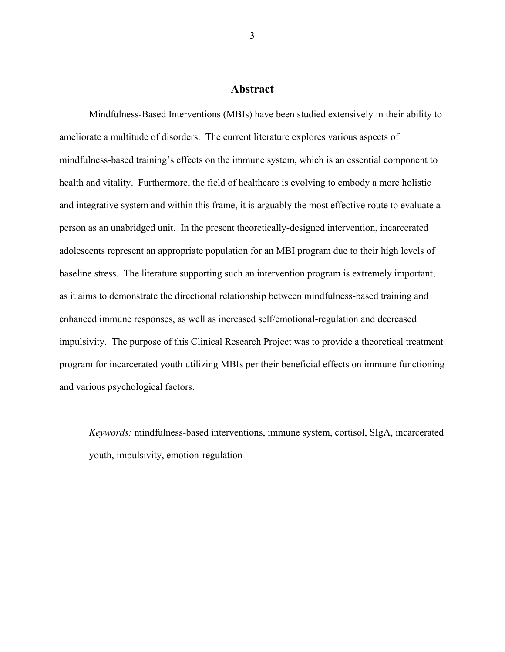## **Abstract**

Mindfulness-Based Interventions (MBIs) have been studied extensively in their ability to ameliorate a multitude of disorders. The current literature explores various aspects of mindfulness-based training's effects on the immune system, which is an essential component to health and vitality. Furthermore, the field of healthcare is evolving to embody a more holistic and integrative system and within this frame, it is arguably the most effective route to evaluate a person as an unabridged unit. In the present theoretically-designed intervention, incarcerated adolescents represent an appropriate population for an MBI program due to their high levels of baseline stress. The literature supporting such an intervention program is extremely important, as it aims to demonstrate the directional relationship between mindfulness-based training and enhanced immune responses, as well as increased self/emotional-regulation and decreased impulsivity. The purpose of this Clinical Research Project was to provide a theoretical treatment program for incarcerated youth utilizing MBIs per their beneficial effects on immune functioning and various psychological factors.

*Keywords:* mindfulness-based interventions, immune system, cortisol, SIgA, incarcerated youth, impulsivity, emotion-regulation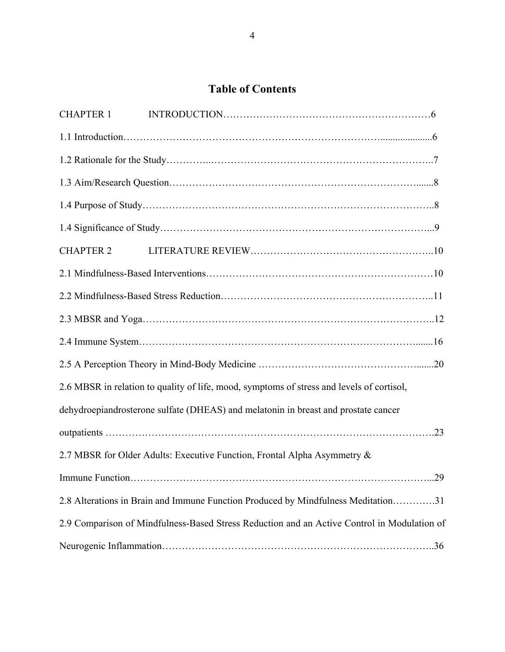# **Table of Contents**

| <b>CHAPTER 1</b> |                                                                                             |  |  |  |
|------------------|---------------------------------------------------------------------------------------------|--|--|--|
|                  |                                                                                             |  |  |  |
|                  |                                                                                             |  |  |  |
|                  |                                                                                             |  |  |  |
|                  |                                                                                             |  |  |  |
|                  |                                                                                             |  |  |  |
| <b>CHAPTER 2</b> |                                                                                             |  |  |  |
|                  |                                                                                             |  |  |  |
|                  |                                                                                             |  |  |  |
|                  |                                                                                             |  |  |  |
|                  |                                                                                             |  |  |  |
|                  |                                                                                             |  |  |  |
|                  | 2.6 MBSR in relation to quality of life, mood, symptoms of stress and levels of cortisol,   |  |  |  |
|                  | dehydroepiandrosterone sulfate (DHEAS) and melatonin in breast and prostate cancer          |  |  |  |
|                  |                                                                                             |  |  |  |
|                  | 2.7 MBSR for Older Adults: Executive Function, Frontal Alpha Asymmetry &                    |  |  |  |
|                  |                                                                                             |  |  |  |
|                  | 2.8 Alterations in Brain and Immune Function Produced by Mindfulness Meditation31           |  |  |  |
|                  | 2.9 Comparison of Mindfulness-Based Stress Reduction and an Active Control in Modulation of |  |  |  |
|                  |                                                                                             |  |  |  |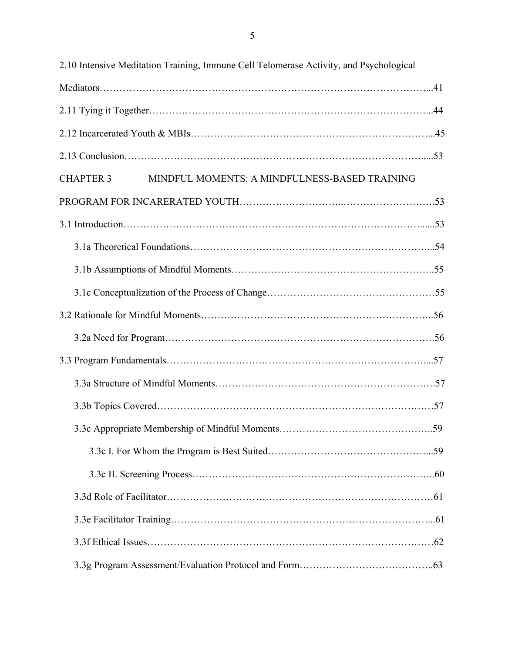| 2.10 Intensive Meditation Training, Immune Cell Telomerase Activity, and Psychological |  |  |  |
|----------------------------------------------------------------------------------------|--|--|--|
|                                                                                        |  |  |  |
|                                                                                        |  |  |  |
|                                                                                        |  |  |  |
|                                                                                        |  |  |  |
| <b>CHAPTER 3</b><br>MINDFUL MOMENTS: A MINDFULNESS-BASED TRAINING                      |  |  |  |
|                                                                                        |  |  |  |
|                                                                                        |  |  |  |
|                                                                                        |  |  |  |
|                                                                                        |  |  |  |
|                                                                                        |  |  |  |
|                                                                                        |  |  |  |
|                                                                                        |  |  |  |
|                                                                                        |  |  |  |
|                                                                                        |  |  |  |
|                                                                                        |  |  |  |
|                                                                                        |  |  |  |
|                                                                                        |  |  |  |
|                                                                                        |  |  |  |
|                                                                                        |  |  |  |
|                                                                                        |  |  |  |
|                                                                                        |  |  |  |
|                                                                                        |  |  |  |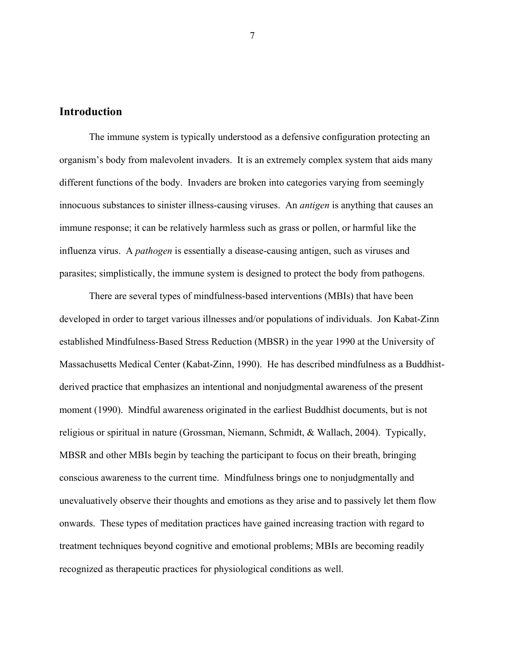## **Introduction**

The immune system is typically understood as a defensive configuration protecting an organism's body from malevolent invaders. It is an extremely complex system that aids many different functions of the body. Invaders are broken into categories varying from seemingly innocuous substances to sinister illness-causing viruses. An *antigen* is anything that causes an immune response; it can be relatively harmless such as grass or pollen, or harmful like the influenza virus. A *pathogen* is essentially a disease-causing antigen, such as viruses and parasites; simplistically, the immune system is designed to protect the body from pathogens.

There are several types of mindfulness-based interventions (MBIs) that have been developed in order to target various illnesses and/or populations of individuals. Jon Kabat-Zinn established Mindfulness-Based Stress Reduction (MBSR) in the year 1990 at the University of Massachusetts Medical Center (Kabat-Zinn, 1990). He has described mindfulness as a Buddhistderived practice that emphasizes an intentional and nonjudgmental awareness of the present moment (1990). Mindful awareness originated in the earliest Buddhist documents, but is not religious or spiritual in nature (Grossman, Niemann, Schmidt, & Wallach, 2004). Typically, MBSR and other MBIs begin by teaching the participant to focus on their breath, bringing conscious awareness to the current time. Mindfulness brings one to nonjudgmentally and unevaluatively observe their thoughts and emotions as they arise and to passively let them flow onwards. These types of meditation practices have gained increasing traction with regard to treatment techniques beyond cognitive and emotional problems; MBIs are becoming readily recognized as therapeutic practices for physiological conditions as well.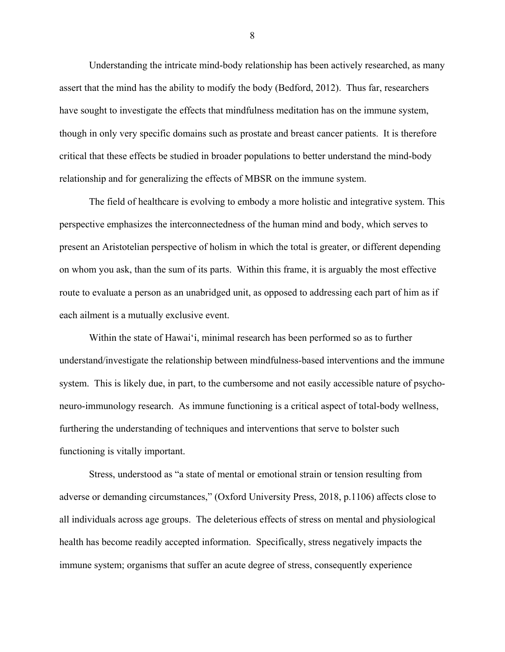Understanding the intricate mind-body relationship has been actively researched, as many assert that the mind has the ability to modify the body (Bedford, 2012). Thus far, researchers have sought to investigate the effects that mindfulness meditation has on the immune system, though in only very specific domains such as prostate and breast cancer patients. It is therefore critical that these effects be studied in broader populations to better understand the mind-body relationship and for generalizing the effects of MBSR on the immune system.

The field of healthcare is evolving to embody a more holistic and integrative system. This perspective emphasizes the interconnectedness of the human mind and body, which serves to present an Aristotelian perspective of holism in which the total is greater, or different depending on whom you ask, than the sum of its parts. Within this frame, it is arguably the most effective route to evaluate a person as an unabridged unit, as opposed to addressing each part of him as if each ailment is a mutually exclusive event.

Within the state of Hawai'i, minimal research has been performed so as to further understand/investigate the relationship between mindfulness-based interventions and the immune system. This is likely due, in part, to the cumbersome and not easily accessible nature of psychoneuro-immunology research. As immune functioning is a critical aspect of total-body wellness, furthering the understanding of techniques and interventions that serve to bolster such functioning is vitally important.

Stress, understood as "a state of mental or emotional strain or tension resulting from adverse or demanding circumstances," (Oxford University Press, 2018, p.1106) affects close to all individuals across age groups. The deleterious effects of stress on mental and physiological health has become readily accepted information. Specifically, stress negatively impacts the immune system; organisms that suffer an acute degree of stress, consequently experience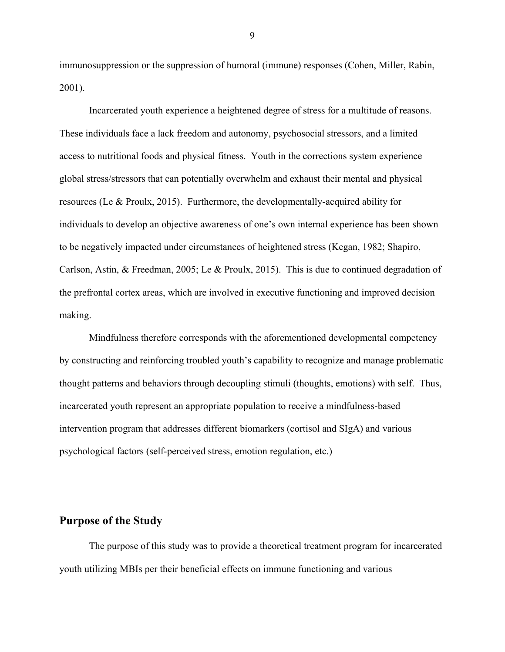immunosuppression or the suppression of humoral (immune) responses (Cohen, Miller, Rabin, 2001).

Incarcerated youth experience a heightened degree of stress for a multitude of reasons. These individuals face a lack freedom and autonomy, psychosocial stressors, and a limited access to nutritional foods and physical fitness. Youth in the corrections system experience global stress/stressors that can potentially overwhelm and exhaust their mental and physical resources (Le & Proulx, 2015). Furthermore, the developmentally-acquired ability for individuals to develop an objective awareness of one's own internal experience has been shown to be negatively impacted under circumstances of heightened stress (Kegan, 1982; Shapiro, Carlson, Astin, & Freedman, 2005; Le & Proulx, 2015). This is due to continued degradation of the prefrontal cortex areas, which are involved in executive functioning and improved decision making.

Mindfulness therefore corresponds with the aforementioned developmental competency by constructing and reinforcing troubled youth's capability to recognize and manage problematic thought patterns and behaviors through decoupling stimuli (thoughts, emotions) with self. Thus, incarcerated youth represent an appropriate population to receive a mindfulness-based intervention program that addresses different biomarkers (cortisol and SIgA) and various psychological factors (self-perceived stress, emotion regulation, etc.)

## **Purpose of the Study**

The purpose of this study was to provide a theoretical treatment program for incarcerated youth utilizing MBIs per their beneficial effects on immune functioning and various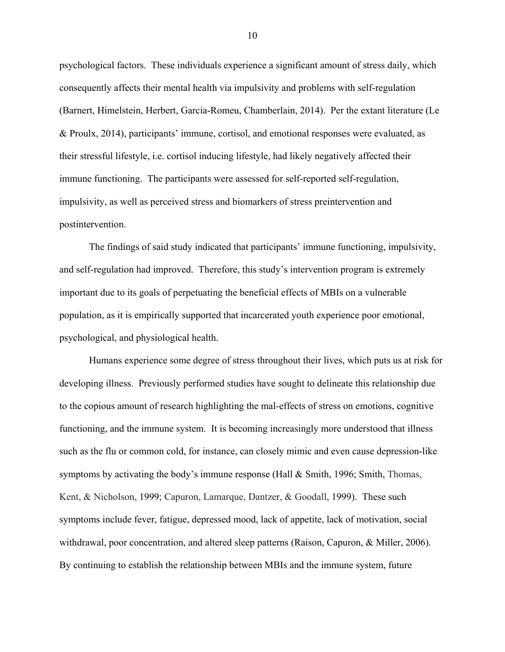psychological factors. These individuals experience a significant amount of stress daily, which consequently affects their mental health via impulsivity and problems with self-regulation (Barnert, Himelstein, Herbert, Garcia-Romeu, Chamberlain, 2014). Per the extant literature (Le & Proulx, 2014), participants' immune, cortisol, and emotional responses were evaluated, as their stressful lifestyle, i.e. cortisol inducing lifestyle, had likely negatively affected their immune functioning. The participants were assessed for self-reported self-regulation, impulsivity, as well as perceived stress and biomarkers of stress preintervention and postintervention.

The findings of said study indicated that participants' immune functioning, impulsivity, and self-regulation had improved. Therefore, this study's intervention program is extremely important due to its goals of perpetuating the beneficial effects of MBIs on a vulnerable population, as it is empirically supported that incarcerated youth experience poor emotional, psychological, and physiological health.

Humans experience some degree of stress throughout their lives, which puts us at risk for developing illness. Previously performed studies have sought to delineate this relationship due to the copious amount of research highlighting the mal-effects of stress on emotions, cognitive functioning, and the immune system. It is becoming increasingly more understood that illness such as the flu or common cold, for instance, can closely mimic and even cause depression-like symptoms by activating the body's immune response (Hall & Smith, 1996; Smith, Thomas, Kent, & Nicholson, 1999; Capuron, Lamarque, Dantzer, & Goodall, 1999). These such symptoms include fever, fatigue, depressed mood, lack of appetite, lack of motivation, social withdrawal, poor concentration, and altered sleep patterns (Raison, Capuron, & Miller, 2006). By continuing to establish the relationship between MBIs and the immune system, future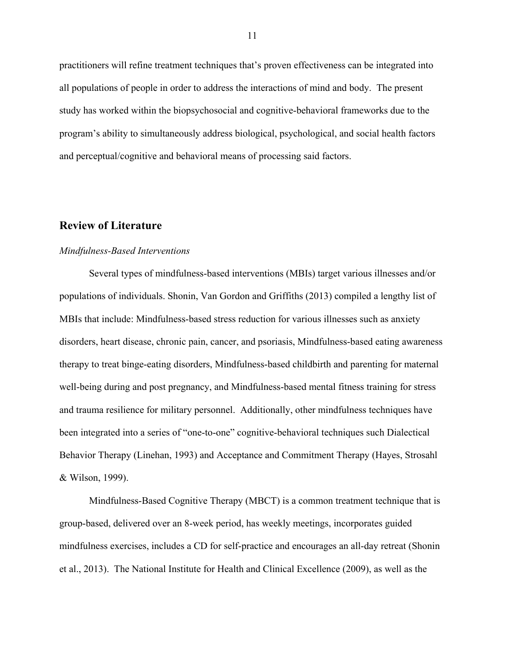practitioners will refine treatment techniques that's proven effectiveness can be integrated into all populations of people in order to address the interactions of mind and body. The present study has worked within the biopsychosocial and cognitive-behavioral frameworks due to the program's ability to simultaneously address biological, psychological, and social health factors and perceptual/cognitive and behavioral means of processing said factors.

## **Review of Literature**

#### *Mindfulness-Based Interventions*

Several types of mindfulness-based interventions (MBIs) target various illnesses and/or populations of individuals. Shonin, Van Gordon and Griffiths (2013) compiled a lengthy list of MBIs that include: Mindfulness-based stress reduction for various illnesses such as anxiety disorders, heart disease, chronic pain, cancer, and psoriasis, Mindfulness-based eating awareness therapy to treat binge-eating disorders, Mindfulness-based childbirth and parenting for maternal well-being during and post pregnancy, and Mindfulness-based mental fitness training for stress and trauma resilience for military personnel. Additionally, other mindfulness techniques have been integrated into a series of "one-to-one" cognitive-behavioral techniques such Dialectical Behavior Therapy (Linehan, 1993) and Acceptance and Commitment Therapy (Hayes, Strosahl & Wilson, 1999).

Mindfulness-Based Cognitive Therapy (MBCT) is a common treatment technique that is group-based, delivered over an 8-week period, has weekly meetings, incorporates guided mindfulness exercises, includes a CD for self-practice and encourages an all-day retreat (Shonin et al., 2013). The National Institute for Health and Clinical Excellence (2009), as well as the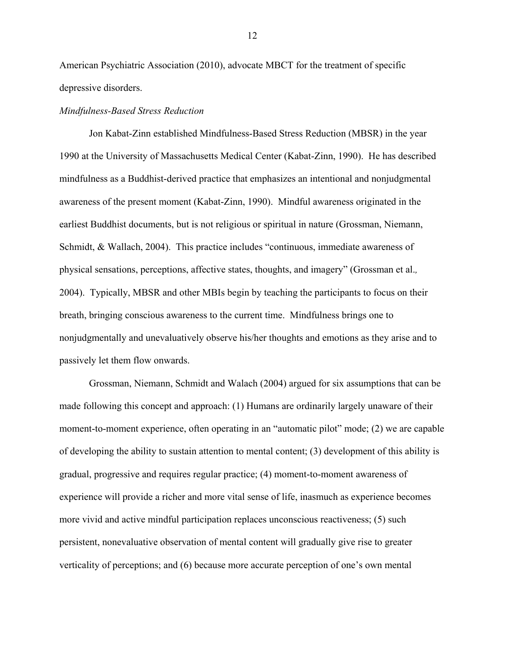American Psychiatric Association (2010), advocate MBCT for the treatment of specific depressive disorders.

#### *Mindfulness-Based Stress Reduction*

Jon Kabat-Zinn established Mindfulness-Based Stress Reduction (MBSR) in the year 1990 at the University of Massachusetts Medical Center (Kabat-Zinn, 1990). He has described mindfulness as a Buddhist-derived practice that emphasizes an intentional and nonjudgmental awareness of the present moment (Kabat-Zinn, 1990). Mindful awareness originated in the earliest Buddhist documents, but is not religious or spiritual in nature (Grossman, Niemann, Schmidt, & Wallach, 2004). This practice includes "continuous, immediate awareness of physical sensations, perceptions, affective states, thoughts, and imagery" (Grossman et al.*,*  2004). Typically, MBSR and other MBIs begin by teaching the participants to focus on their breath, bringing conscious awareness to the current time. Mindfulness brings one to nonjudgmentally and unevaluatively observe his/her thoughts and emotions as they arise and to passively let them flow onwards.

Grossman, Niemann, Schmidt and Walach (2004) argued for six assumptions that can be made following this concept and approach: (1) Humans are ordinarily largely unaware of their moment-to-moment experience, often operating in an "automatic pilot" mode; (2) we are capable of developing the ability to sustain attention to mental content; (3) development of this ability is gradual, progressive and requires regular practice; (4) moment-to-moment awareness of experience will provide a richer and more vital sense of life, inasmuch as experience becomes more vivid and active mindful participation replaces unconscious reactiveness; (5) such persistent, nonevaluative observation of mental content will gradually give rise to greater verticality of perceptions; and (6) because more accurate perception of one's own mental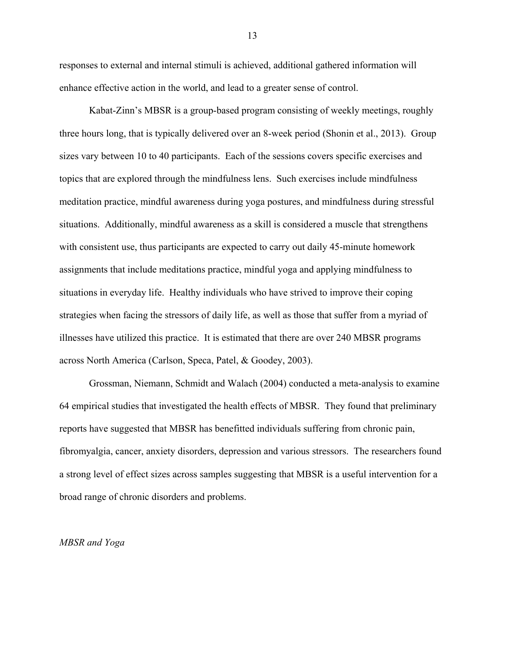responses to external and internal stimuli is achieved, additional gathered information will enhance effective action in the world, and lead to a greater sense of control.

Kabat-Zinn's MBSR is a group-based program consisting of weekly meetings, roughly three hours long, that is typically delivered over an 8-week period (Shonin et al., 2013). Group sizes vary between 10 to 40 participants. Each of the sessions covers specific exercises and topics that are explored through the mindfulness lens. Such exercises include mindfulness meditation practice, mindful awareness during yoga postures, and mindfulness during stressful situations. Additionally, mindful awareness as a skill is considered a muscle that strengthens with consistent use, thus participants are expected to carry out daily 45-minute homework assignments that include meditations practice, mindful yoga and applying mindfulness to situations in everyday life. Healthy individuals who have strived to improve their coping strategies when facing the stressors of daily life, as well as those that suffer from a myriad of illnesses have utilized this practice. It is estimated that there are over 240 MBSR programs across North America (Carlson, Speca, Patel, & Goodey, 2003).

Grossman, Niemann, Schmidt and Walach (2004) conducted a meta-analysis to examine 64 empirical studies that investigated the health effects of MBSR. They found that preliminary reports have suggested that MBSR has benefitted individuals suffering from chronic pain, fibromyalgia, cancer, anxiety disorders, depression and various stressors. The researchers found a strong level of effect sizes across samples suggesting that MBSR is a useful intervention for a broad range of chronic disorders and problems.

#### *MBSR and Yoga*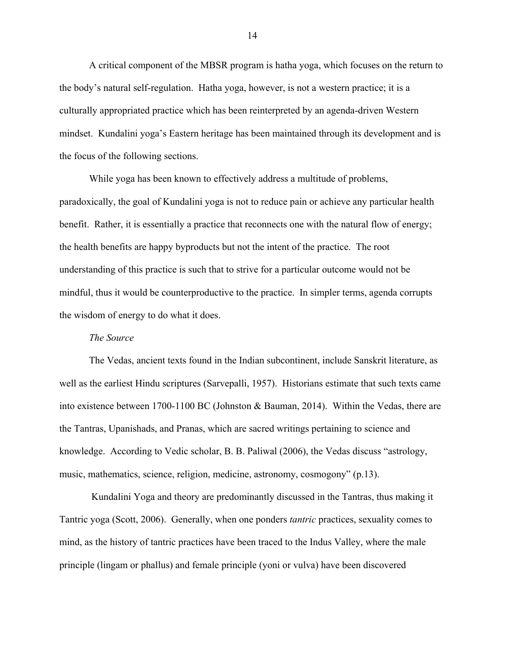A critical component of the MBSR program is hatha yoga, which focuses on the return to the body's natural self-regulation. Hatha yoga, however, is not a western practice; it is a culturally appropriated practice which has been reinterpreted by an agenda-driven Western mindset. Kundalini yoga's Eastern heritage has been maintained through its development and is the focus of the following sections.

While yoga has been known to effectively address a multitude of problems, paradoxically, the goal of Kundalini yoga is not to reduce pain or achieve any particular health benefit. Rather, it is essentially a practice that reconnects one with the natural flow of energy; the health benefits are happy byproducts but not the intent of the practice. The root understanding of this practice is such that to strive for a particular outcome would not be mindful, thus it would be counterproductive to the practice. In simpler terms, agenda corrupts the wisdom of energy to do what it does.

#### *The Source*

The Vedas, ancient texts found in the Indian subcontinent, include Sanskrit literature, as well as the earliest Hindu scriptures (Sarvepalli, 1957). Historians estimate that such texts came into existence between 1700-1100 BC (Johnston & Bauman, 2014). Within the Vedas, there are the Tantras, Upanishads, and Pranas, which are sacred writings pertaining to science and knowledge. According to Vedic scholar, B. B. Paliwal (2006), the Vedas discuss "astrology, music, mathematics, science, religion, medicine, astronomy, cosmogony" (p.13).

Kundalini Yoga and theory are predominantly discussed in the Tantras, thus making it Tantric yoga (Scott, 2006). Generally, when one ponders *tantric* practices, sexuality comes to mind, as the history of tantric practices have been traced to the Indus Valley, where the male principle (lingam or phallus) and female principle (yoni or vulva) have been discovered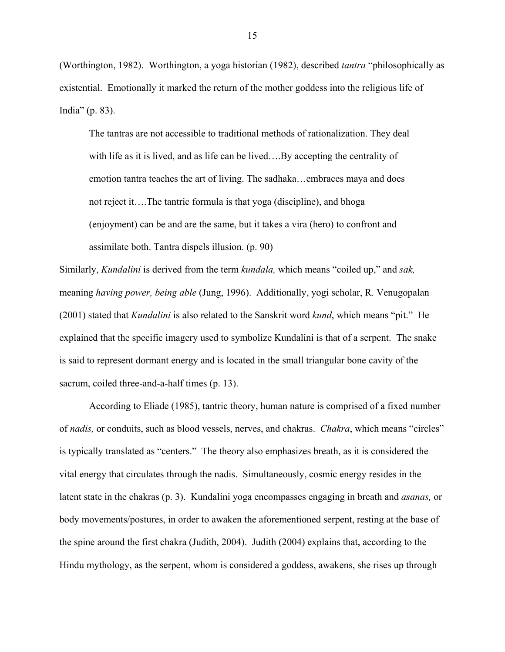(Worthington, 1982). Worthington, a yoga historian (1982), described *tantra* "philosophically as existential. Emotionally it marked the return of the mother goddess into the religious life of India" (p. 83).

The tantras are not accessible to traditional methods of rationalization. They deal with life as it is lived, and as life can be lived….By accepting the centrality of emotion tantra teaches the art of living. The sadhaka…embraces maya and does not reject it….The tantric formula is that yoga (discipline), and bhoga (enjoyment) can be and are the same, but it takes a vira (hero) to confront and assimilate both. Tantra dispels illusion. (p. 90)

Similarly, *Kundalini* is derived from the term *kundala,* which means "coiled up," and *sak,*  meaning *having power, being able* (Jung, 1996). Additionally, yogi scholar, R. Venugopalan (2001) stated that *Kundalini* is also related to the Sanskrit word *kund*, which means "pit." He explained that the specific imagery used to symbolize Kundalini is that of a serpent. The snake is said to represent dormant energy and is located in the small triangular bone cavity of the sacrum, coiled three-and-a-half times (p. 13).

According to Eliade (1985), tantric theory, human nature is comprised of a fixed number of *nadis,* or conduits, such as blood vessels, nerves, and chakras. *Chakra*, which means "circles" is typically translated as "centers." The theory also emphasizes breath, as it is considered the vital energy that circulates through the nadis. Simultaneously, cosmic energy resides in the latent state in the chakras (p. 3). Kundalini yoga encompasses engaging in breath and *asanas,* or body movements/postures, in order to awaken the aforementioned serpent, resting at the base of the spine around the first chakra (Judith, 2004). Judith (2004) explains that, according to the Hindu mythology, as the serpent, whom is considered a goddess, awakens, she rises up through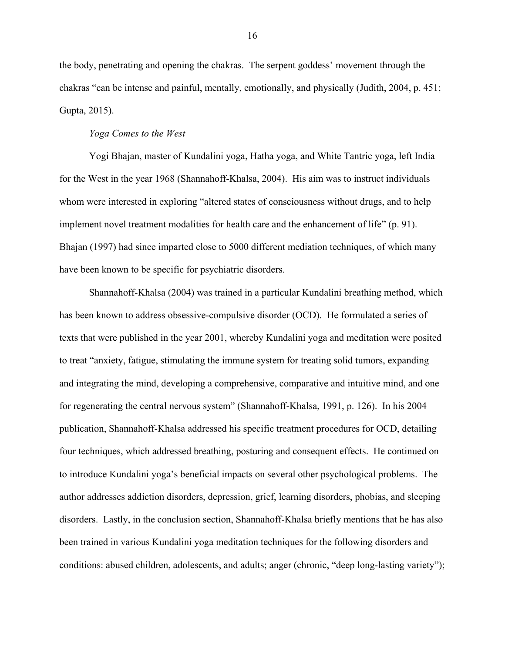the body, penetrating and opening the chakras. The serpent goddess' movement through the chakras "can be intense and painful, mentally, emotionally, and physically (Judith, 2004, p. 451; Gupta, 2015).

#### *Yoga Comes to the West*

Yogi Bhajan, master of Kundalini yoga, Hatha yoga, and White Tantric yoga, left India for the West in the year 1968 (Shannahoff-Khalsa, 2004). His aim was to instruct individuals whom were interested in exploring "altered states of consciousness without drugs, and to help implement novel treatment modalities for health care and the enhancement of life" (p. 91). Bhajan (1997) had since imparted close to 5000 different mediation techniques, of which many have been known to be specific for psychiatric disorders.

Shannahoff-Khalsa (2004) was trained in a particular Kundalini breathing method, which has been known to address obsessive-compulsive disorder (OCD). He formulated a series of texts that were published in the year 2001, whereby Kundalini yoga and meditation were posited to treat "anxiety, fatigue, stimulating the immune system for treating solid tumors, expanding and integrating the mind, developing a comprehensive, comparative and intuitive mind, and one for regenerating the central nervous system" (Shannahoff-Khalsa, 1991, p. 126). In his 2004 publication, Shannahoff-Khalsa addressed his specific treatment procedures for OCD, detailing four techniques, which addressed breathing, posturing and consequent effects. He continued on to introduce Kundalini yoga's beneficial impacts on several other psychological problems. The author addresses addiction disorders, depression, grief, learning disorders, phobias, and sleeping disorders. Lastly, in the conclusion section, Shannahoff-Khalsa briefly mentions that he has also been trained in various Kundalini yoga meditation techniques for the following disorders and conditions: abused children, adolescents, and adults; anger (chronic, "deep long-lasting variety");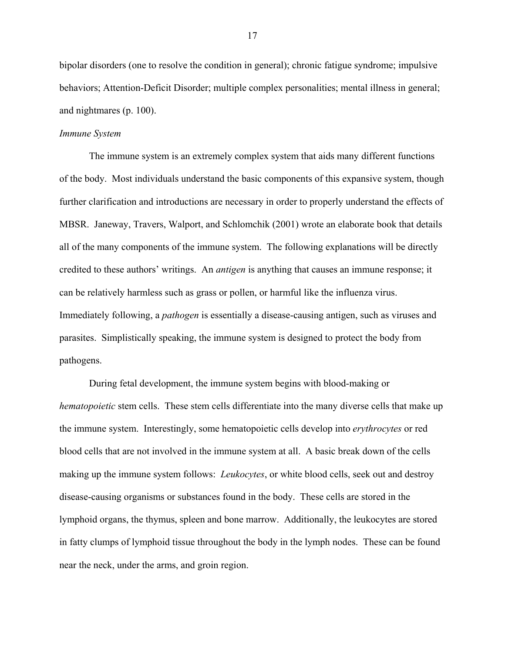bipolar disorders (one to resolve the condition in general); chronic fatigue syndrome; impulsive behaviors; Attention-Deficit Disorder; multiple complex personalities; mental illness in general; and nightmares (p. 100).

### *Immune System*

The immune system is an extremely complex system that aids many different functions of the body. Most individuals understand the basic components of this expansive system, though further clarification and introductions are necessary in order to properly understand the effects of MBSR. Janeway, Travers, Walport, and Schlomchik (2001) wrote an elaborate book that details all of the many components of the immune system. The following explanations will be directly credited to these authors' writings. An *antigen* is anything that causes an immune response; it can be relatively harmless such as grass or pollen, or harmful like the influenza virus. Immediately following, a *pathogen* is essentially a disease-causing antigen, such as viruses and parasites. Simplistically speaking, the immune system is designed to protect the body from pathogens.

During fetal development, the immune system begins with blood-making or *hematopoietic* stem cells. These stem cells differentiate into the many diverse cells that make up the immune system. Interestingly, some hematopoietic cells develop into *erythrocytes* or red blood cells that are not involved in the immune system at all. A basic break down of the cells making up the immune system follows: *Leukocytes*, or white blood cells, seek out and destroy disease-causing organisms or substances found in the body. These cells are stored in the lymphoid organs, the thymus, spleen and bone marrow. Additionally, the leukocytes are stored in fatty clumps of lymphoid tissue throughout the body in the lymph nodes. These can be found near the neck, under the arms, and groin region.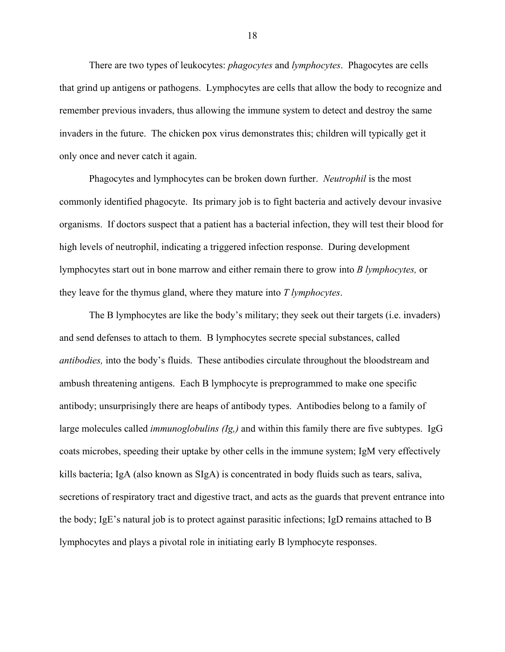There are two types of leukocytes: *phagocytes* and *lymphocytes*. Phagocytes are cells that grind up antigens or pathogens. Lymphocytes are cells that allow the body to recognize and remember previous invaders, thus allowing the immune system to detect and destroy the same invaders in the future. The chicken pox virus demonstrates this; children will typically get it only once and never catch it again.

Phagocytes and lymphocytes can be broken down further. *Neutrophil* is the most commonly identified phagocyte. Its primary job is to fight bacteria and actively devour invasive organisms. If doctors suspect that a patient has a bacterial infection, they will test their blood for high levels of neutrophil, indicating a triggered infection response. During development lymphocytes start out in bone marrow and either remain there to grow into *B lymphocytes,* or they leave for the thymus gland, where they mature into *T lymphocytes*.

The B lymphocytes are like the body's military; they seek out their targets (i.e. invaders) and send defenses to attach to them. B lymphocytes secrete special substances, called *antibodies,* into the body's fluids. These antibodies circulate throughout the bloodstream and ambush threatening antigens. Each B lymphocyte is preprogrammed to make one specific antibody; unsurprisingly there are heaps of antibody types. Antibodies belong to a family of large molecules called *immunoglobulins (Ig,)* and within this family there are five subtypes. IgG coats microbes, speeding their uptake by other cells in the immune system; IgM very effectively kills bacteria; IgA (also known as SIgA) is concentrated in body fluids such as tears, saliva, secretions of respiratory tract and digestive tract, and acts as the guards that prevent entrance into the body; IgE's natural job is to protect against parasitic infections; IgD remains attached to B lymphocytes and plays a pivotal role in initiating early B lymphocyte responses.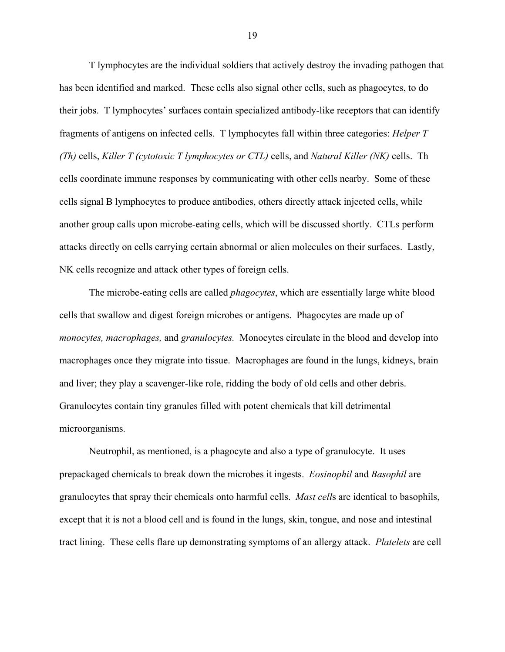T lymphocytes are the individual soldiers that actively destroy the invading pathogen that has been identified and marked. These cells also signal other cells, such as phagocytes, to do their jobs. T lymphocytes' surfaces contain specialized antibody-like receptors that can identify fragments of antigens on infected cells. T lymphocytes fall within three categories: *Helper T (Th)* cells, *Killer T (cytotoxic T lymphocytes or CTL)* cells, and *Natural Killer (NK)* cells. Th cells coordinate immune responses by communicating with other cells nearby. Some of these cells signal B lymphocytes to produce antibodies, others directly attack injected cells, while another group calls upon microbe-eating cells, which will be discussed shortly. CTLs perform attacks directly on cells carrying certain abnormal or alien molecules on their surfaces. Lastly, NK cells recognize and attack other types of foreign cells.

The microbe-eating cells are called *phagocytes*, which are essentially large white blood cells that swallow and digest foreign microbes or antigens. Phagocytes are made up of *monocytes, macrophages,* and *granulocytes.* Monocytes circulate in the blood and develop into macrophages once they migrate into tissue. Macrophages are found in the lungs, kidneys, brain and liver; they play a scavenger-like role, ridding the body of old cells and other debris. Granulocytes contain tiny granules filled with potent chemicals that kill detrimental microorganisms.

Neutrophil, as mentioned, is a phagocyte and also a type of granulocyte. It uses prepackaged chemicals to break down the microbes it ingests. *Eosinophil* and *Basophil* are granulocytes that spray their chemicals onto harmful cells. *Mast cell*s are identical to basophils, except that it is not a blood cell and is found in the lungs, skin, tongue, and nose and intestinal tract lining. These cells flare up demonstrating symptoms of an allergy attack. *Platelets* are cell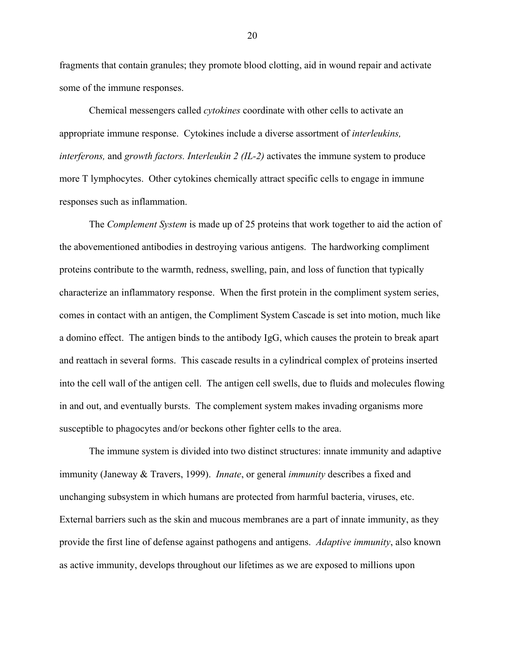fragments that contain granules; they promote blood clotting, aid in wound repair and activate some of the immune responses.

Chemical messengers called *cytokines* coordinate with other cells to activate an appropriate immune response. Cytokines include a diverse assortment of *interleukins, interferons,* and *growth factors. Interleukin 2 (IL-2)* activates the immune system to produce more T lymphocytes. Other cytokines chemically attract specific cells to engage in immune responses such as inflammation.

The *Complement System* is made up of 25 proteins that work together to aid the action of the abovementioned antibodies in destroying various antigens. The hardworking compliment proteins contribute to the warmth, redness, swelling, pain, and loss of function that typically characterize an inflammatory response. When the first protein in the compliment system series, comes in contact with an antigen, the Compliment System Cascade is set into motion, much like a domino effect. The antigen binds to the antibody IgG, which causes the protein to break apart and reattach in several forms. This cascade results in a cylindrical complex of proteins inserted into the cell wall of the antigen cell. The antigen cell swells, due to fluids and molecules flowing in and out, and eventually bursts. The complement system makes invading organisms more susceptible to phagocytes and/or beckons other fighter cells to the area.

The immune system is divided into two distinct structures: innate immunity and adaptive immunity (Janeway & Travers, 1999). *Innate*, or general *immunity* describes a fixed and unchanging subsystem in which humans are protected from harmful bacteria, viruses, etc. External barriers such as the skin and mucous membranes are a part of innate immunity, as they provide the first line of defense against pathogens and antigens. *Adaptive immunity*, also known as active immunity, develops throughout our lifetimes as we are exposed to millions upon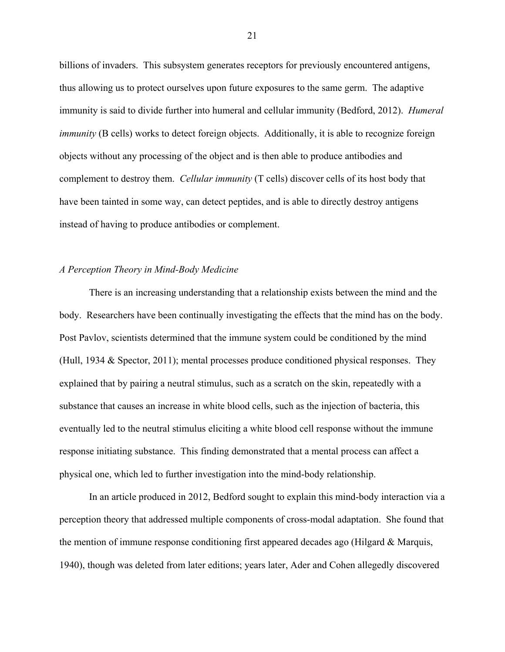billions of invaders. This subsystem generates receptors for previously encountered antigens, thus allowing us to protect ourselves upon future exposures to the same germ. The adaptive immunity is said to divide further into humeral and cellular immunity (Bedford, 2012). *Humeral immunity* (B cells) works to detect foreign objects. Additionally, it is able to recognize foreign objects without any processing of the object and is then able to produce antibodies and complement to destroy them. *Cellular immunity* (T cells) discover cells of its host body that have been tainted in some way, can detect peptides, and is able to directly destroy antigens instead of having to produce antibodies or complement.

## *A Perception Theory in Mind-Body Medicine*

There is an increasing understanding that a relationship exists between the mind and the body. Researchers have been continually investigating the effects that the mind has on the body. Post Pavlov, scientists determined that the immune system could be conditioned by the mind (Hull, 1934 & Spector, 2011); mental processes produce conditioned physical responses. They explained that by pairing a neutral stimulus, such as a scratch on the skin, repeatedly with a substance that causes an increase in white blood cells, such as the injection of bacteria, this eventually led to the neutral stimulus eliciting a white blood cell response without the immune response initiating substance. This finding demonstrated that a mental process can affect a physical one, which led to further investigation into the mind-body relationship.

In an article produced in 2012, Bedford sought to explain this mind-body interaction via a perception theory that addressed multiple components of cross-modal adaptation. She found that the mention of immune response conditioning first appeared decades ago (Hilgard & Marquis, 1940), though was deleted from later editions; years later, Ader and Cohen allegedly discovered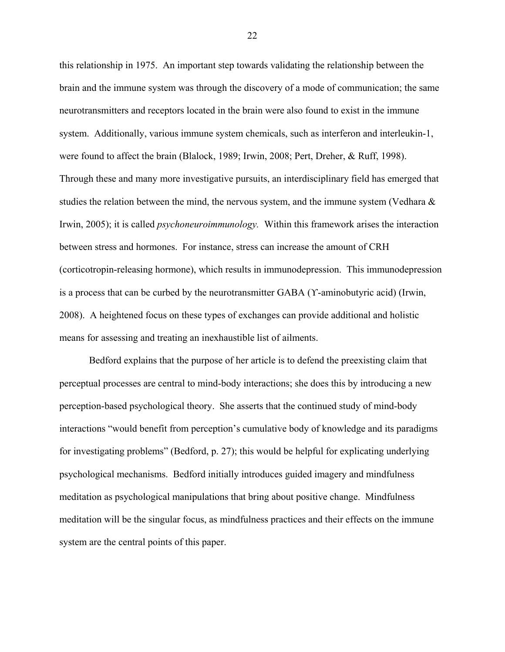this relationship in 1975. An important step towards validating the relationship between the brain and the immune system was through the discovery of a mode of communication; the same neurotransmitters and receptors located in the brain were also found to exist in the immune system. Additionally, various immune system chemicals, such as interferon and interleukin-1, were found to affect the brain (Blalock, 1989; Irwin, 2008; Pert, Dreher, & Ruff, 1998). Through these and many more investigative pursuits, an interdisciplinary field has emerged that studies the relation between the mind, the nervous system, and the immune system (Vedhara  $\&$ Irwin, 2005); it is called *psychoneuroimmunology.* Within this framework arises the interaction between stress and hormones. For instance, stress can increase the amount of CRH (corticotropin-releasing hormone), which results in immunodepression. This immunodepression is a process that can be curbed by the neurotransmitter GABA (ϒ-aminobutyric acid) (Irwin, 2008). A heightened focus on these types of exchanges can provide additional and holistic means for assessing and treating an inexhaustible list of ailments.

Bedford explains that the purpose of her article is to defend the preexisting claim that perceptual processes are central to mind-body interactions; she does this by introducing a new perception-based psychological theory. She asserts that the continued study of mind-body interactions "would benefit from perception's cumulative body of knowledge and its paradigms for investigating problems" (Bedford, p. 27); this would be helpful for explicating underlying psychological mechanisms. Bedford initially introduces guided imagery and mindfulness meditation as psychological manipulations that bring about positive change. Mindfulness meditation will be the singular focus, as mindfulness practices and their effects on the immune system are the central points of this paper.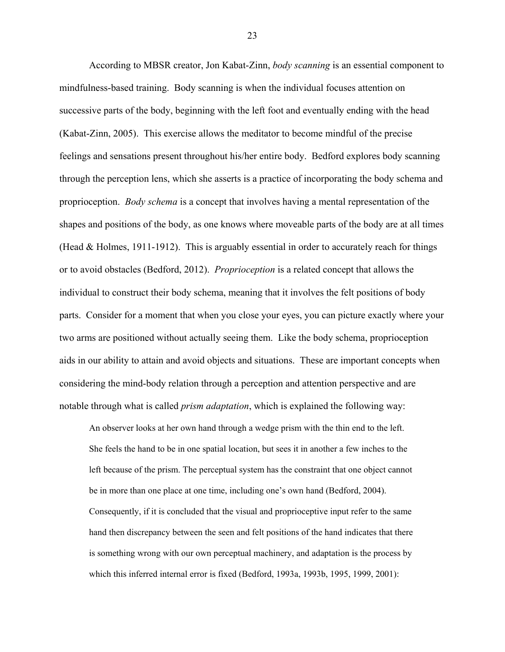According to MBSR creator, Jon Kabat-Zinn, *body scanning* is an essential component to mindfulness-based training. Body scanning is when the individual focuses attention on successive parts of the body, beginning with the left foot and eventually ending with the head (Kabat-Zinn, 2005). This exercise allows the meditator to become mindful of the precise feelings and sensations present throughout his/her entire body. Bedford explores body scanning through the perception lens, which she asserts is a practice of incorporating the body schema and proprioception. *Body schema* is a concept that involves having a mental representation of the shapes and positions of the body, as one knows where moveable parts of the body are at all times (Head  $&$  Holmes, 1911-1912). This is arguably essential in order to accurately reach for things or to avoid obstacles (Bedford, 2012). *Proprioception* is a related concept that allows the individual to construct their body schema, meaning that it involves the felt positions of body parts. Consider for a moment that when you close your eyes, you can picture exactly where your two arms are positioned without actually seeing them. Like the body schema, proprioception aids in our ability to attain and avoid objects and situations. These are important concepts when considering the mind-body relation through a perception and attention perspective and are notable through what is called *prism adaptation*, which is explained the following way:

An observer looks at her own hand through a wedge prism with the thin end to the left. She feels the hand to be in one spatial location, but sees it in another a few inches to the left because of the prism. The perceptual system has the constraint that one object cannot be in more than one place at one time, including one's own hand (Bedford, 2004). Consequently, if it is concluded that the visual and proprioceptive input refer to the same hand then discrepancy between the seen and felt positions of the hand indicates that there is something wrong with our own perceptual machinery, and adaptation is the process by which this inferred internal error is fixed (Bedford, 1993a, 1993b, 1995, 1999, 2001):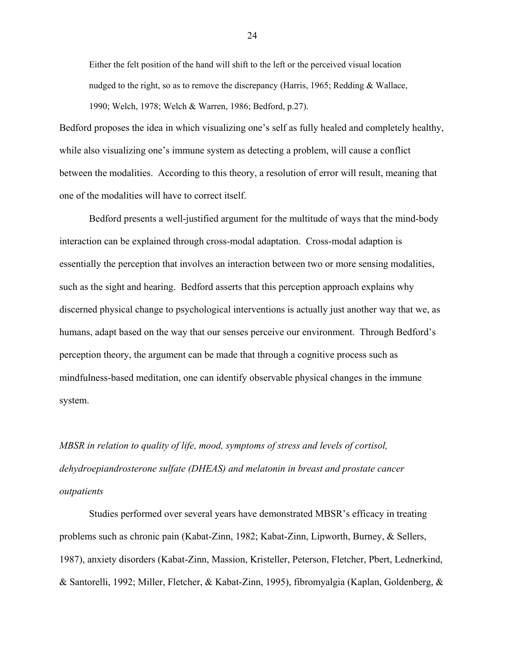Either the felt position of the hand will shift to the left or the perceived visual location nudged to the right, so as to remove the discrepancy (Harris, 1965; Redding  $&$  Wallace, 1990; Welch, 1978; Welch & Warren, 1986; Bedford, p.27).

Bedford proposes the idea in which visualizing one's self as fully healed and completely healthy, while also visualizing one's immune system as detecting a problem, will cause a conflict between the modalities. According to this theory, a resolution of error will result, meaning that one of the modalities will have to correct itself.

Bedford presents a well-justified argument for the multitude of ways that the mind-body interaction can be explained through cross-modal adaptation. Cross-modal adaption is essentially the perception that involves an interaction between two or more sensing modalities, such as the sight and hearing. Bedford asserts that this perception approach explains why discerned physical change to psychological interventions is actually just another way that we, as humans, adapt based on the way that our senses perceive our environment. Through Bedford's perception theory, the argument can be made that through a cognitive process such as mindfulness-based meditation, one can identify observable physical changes in the immune system.

*MBSR in relation to quality of life, mood, symptoms of stress and levels of cortisol, dehydroepiandrosterone sulfate (DHEAS) and melatonin in breast and prostate cancer outpatients*

Studies performed over several years have demonstrated MBSR's efficacy in treating problems such as chronic pain (Kabat-Zinn, 1982; Kabat-Zinn, Lipworth, Burney, & Sellers, 1987), anxiety disorders (Kabat-Zinn, Massion, Kristeller, Peterson, Fletcher, Pbert, Lednerkind, & Santorelli, 1992; Miller, Fletcher, & Kabat-Zinn, 1995), fibromyalgia (Kaplan, Goldenberg, &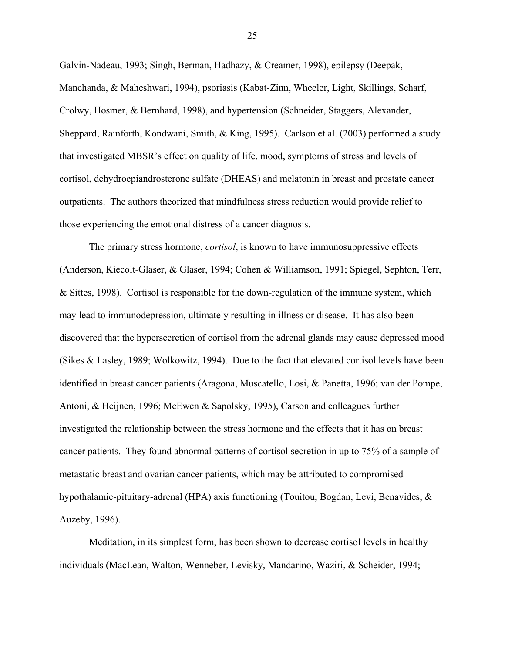Galvin-Nadeau, 1993; Singh, Berman, Hadhazy, & Creamer, 1998), epilepsy (Deepak, Manchanda, & Maheshwari, 1994), psoriasis (Kabat-Zinn, Wheeler, Light, Skillings, Scharf, Crolwy, Hosmer, & Bernhard, 1998), and hypertension (Schneider, Staggers, Alexander, Sheppard, Rainforth, Kondwani, Smith, & King, 1995). Carlson et al. (2003) performed a study that investigated MBSR's effect on quality of life, mood, symptoms of stress and levels of cortisol, dehydroepiandrosterone sulfate (DHEAS) and melatonin in breast and prostate cancer outpatients. The authors theorized that mindfulness stress reduction would provide relief to those experiencing the emotional distress of a cancer diagnosis.

The primary stress hormone, *cortisol*, is known to have immunosuppressive effects (Anderson, Kiecolt-Glaser, & Glaser, 1994; Cohen & Williamson, 1991; Spiegel, Sephton, Terr, & Sittes, 1998). Cortisol is responsible for the down-regulation of the immune system, which may lead to immunodepression, ultimately resulting in illness or disease. It has also been discovered that the hypersecretion of cortisol from the adrenal glands may cause depressed mood (Sikes & Lasley, 1989; Wolkowitz, 1994). Due to the fact that elevated cortisol levels have been identified in breast cancer patients (Aragona, Muscatello, Losi, & Panetta, 1996; van der Pompe, Antoni, & Heijnen, 1996; McEwen & Sapolsky, 1995), Carson and colleagues further investigated the relationship between the stress hormone and the effects that it has on breast cancer patients. They found abnormal patterns of cortisol secretion in up to 75% of a sample of metastatic breast and ovarian cancer patients, which may be attributed to compromised hypothalamic-pituitary-adrenal (HPA) axis functioning (Touitou, Bogdan, Levi, Benavides, & Auzeby, 1996).

Meditation, in its simplest form, has been shown to decrease cortisol levels in healthy individuals (MacLean, Walton, Wenneber, Levisky, Mandarino, Waziri, & Scheider, 1994;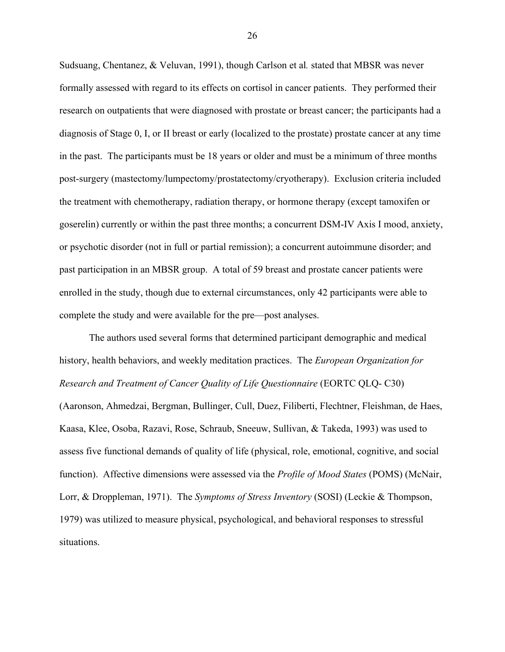Sudsuang, Chentanez, & Veluvan, 1991), though Carlson et al*.* stated that MBSR was never formally assessed with regard to its effects on cortisol in cancer patients. They performed their research on outpatients that were diagnosed with prostate or breast cancer; the participants had a diagnosis of Stage 0, I, or II breast or early (localized to the prostate) prostate cancer at any time in the past. The participants must be 18 years or older and must be a minimum of three months post-surgery (mastectomy/lumpectomy/prostatectomy/cryotherapy). Exclusion criteria included the treatment with chemotherapy, radiation therapy, or hormone therapy (except tamoxifen or goserelin) currently or within the past three months; a concurrent DSM-IV Axis I mood, anxiety, or psychotic disorder (not in full or partial remission); a concurrent autoimmune disorder; and past participation in an MBSR group. A total of 59 breast and prostate cancer patients were enrolled in the study, though due to external circumstances, only 42 participants were able to complete the study and were available for the pre—post analyses.

The authors used several forms that determined participant demographic and medical history, health behaviors, and weekly meditation practices. The *European Organization for Research and Treatment of Cancer Quality of Life Questionnaire* (EORTC QLQ- C30) (Aaronson, Ahmedzai, Bergman, Bullinger, Cull, Duez, Filiberti, Flechtner, Fleishman, de Haes, Kaasa, Klee, Osoba, Razavi, Rose, Schraub, Sneeuw, Sullivan, & Takeda, 1993) was used to assess five functional demands of quality of life (physical, role, emotional, cognitive, and social function). Affective dimensions were assessed via the *Profile of Mood States* (POMS) (McNair, Lorr, & Droppleman, 1971). The *Symptoms of Stress Inventory* (SOSI) (Leckie & Thompson, 1979) was utilized to measure physical, psychological, and behavioral responses to stressful situations.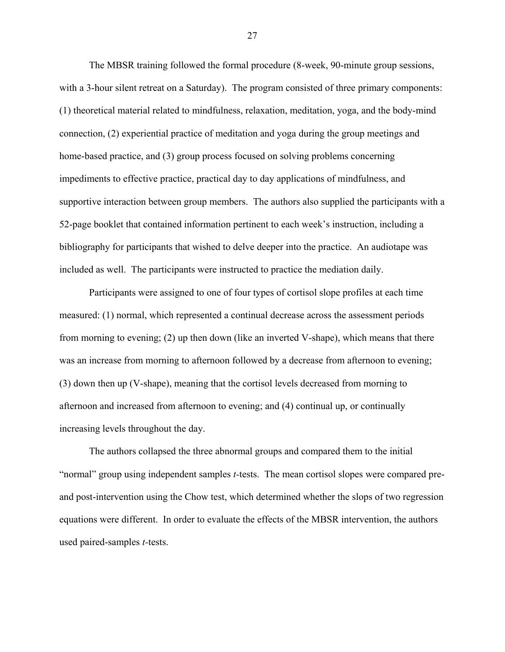The MBSR training followed the formal procedure (8-week, 90-minute group sessions, with a 3-hour silent retreat on a Saturday). The program consisted of three primary components: (1) theoretical material related to mindfulness, relaxation, meditation, yoga, and the body-mind connection, (2) experiential practice of meditation and yoga during the group meetings and home-based practice, and (3) group process focused on solving problems concerning impediments to effective practice, practical day to day applications of mindfulness, and supportive interaction between group members. The authors also supplied the participants with a 52-page booklet that contained information pertinent to each week's instruction, including a bibliography for participants that wished to delve deeper into the practice. An audiotape was included as well. The participants were instructed to practice the mediation daily.

Participants were assigned to one of four types of cortisol slope profiles at each time measured: (1) normal, which represented a continual decrease across the assessment periods from morning to evening; (2) up then down (like an inverted V-shape), which means that there was an increase from morning to afternoon followed by a decrease from afternoon to evening; (3) down then up (V-shape), meaning that the cortisol levels decreased from morning to afternoon and increased from afternoon to evening; and (4) continual up, or continually increasing levels throughout the day.

The authors collapsed the three abnormal groups and compared them to the initial "normal" group using independent samples *t-*tests. The mean cortisol slopes were compared preand post-intervention using the Chow test, which determined whether the slops of two regression equations were different. In order to evaluate the effects of the MBSR intervention, the authors used paired-samples *t-*tests.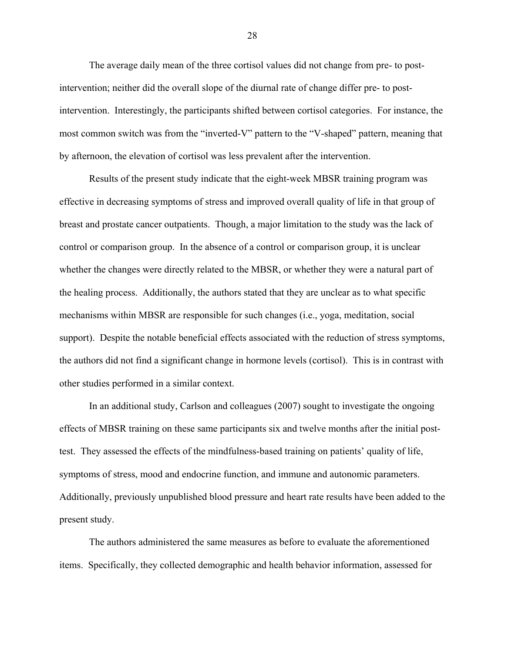The average daily mean of the three cortisol values did not change from pre- to postintervention; neither did the overall slope of the diurnal rate of change differ pre- to postintervention. Interestingly, the participants shifted between cortisol categories. For instance, the most common switch was from the "inverted-V" pattern to the "V-shaped" pattern, meaning that by afternoon, the elevation of cortisol was less prevalent after the intervention.

Results of the present study indicate that the eight-week MBSR training program was effective in decreasing symptoms of stress and improved overall quality of life in that group of breast and prostate cancer outpatients. Though, a major limitation to the study was the lack of control or comparison group. In the absence of a control or comparison group, it is unclear whether the changes were directly related to the MBSR, or whether they were a natural part of the healing process. Additionally, the authors stated that they are unclear as to what specific mechanisms within MBSR are responsible for such changes (i.e., yoga, meditation, social support). Despite the notable beneficial effects associated with the reduction of stress symptoms, the authors did not find a significant change in hormone levels (cortisol). This is in contrast with other studies performed in a similar context.

In an additional study, Carlson and colleagues (2007) sought to investigate the ongoing effects of MBSR training on these same participants six and twelve months after the initial posttest. They assessed the effects of the mindfulness-based training on patients' quality of life, symptoms of stress, mood and endocrine function, and immune and autonomic parameters. Additionally, previously unpublished blood pressure and heart rate results have been added to the present study.

The authors administered the same measures as before to evaluate the aforementioned items. Specifically, they collected demographic and health behavior information, assessed for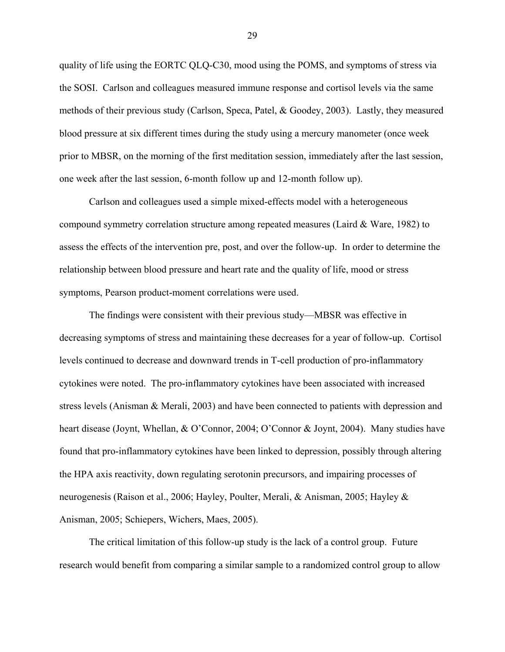quality of life using the EORTC QLQ-C30, mood using the POMS, and symptoms of stress via the SOSI. Carlson and colleagues measured immune response and cortisol levels via the same methods of their previous study (Carlson, Speca, Patel, & Goodey, 2003). Lastly, they measured blood pressure at six different times during the study using a mercury manometer (once week prior to MBSR, on the morning of the first meditation session, immediately after the last session, one week after the last session, 6-month follow up and 12-month follow up).

Carlson and colleagues used a simple mixed-effects model with a heterogeneous compound symmetry correlation structure among repeated measures (Laird & Ware, 1982) to assess the effects of the intervention pre, post, and over the follow-up. In order to determine the relationship between blood pressure and heart rate and the quality of life, mood or stress symptoms, Pearson product-moment correlations were used.

The findings were consistent with their previous study—MBSR was effective in decreasing symptoms of stress and maintaining these decreases for a year of follow-up. Cortisol levels continued to decrease and downward trends in T-cell production of pro-inflammatory cytokines were noted. The pro-inflammatory cytokines have been associated with increased stress levels (Anisman & Merali, 2003) and have been connected to patients with depression and heart disease (Joynt, Whellan, & O'Connor, 2004; O'Connor & Joynt, 2004). Many studies have found that pro-inflammatory cytokines have been linked to depression, possibly through altering the HPA axis reactivity, down regulating serotonin precursors, and impairing processes of neurogenesis (Raison et al., 2006; Hayley, Poulter, Merali, & Anisman, 2005; Hayley & Anisman, 2005; Schiepers, Wichers, Maes, 2005).

The critical limitation of this follow-up study is the lack of a control group. Future research would benefit from comparing a similar sample to a randomized control group to allow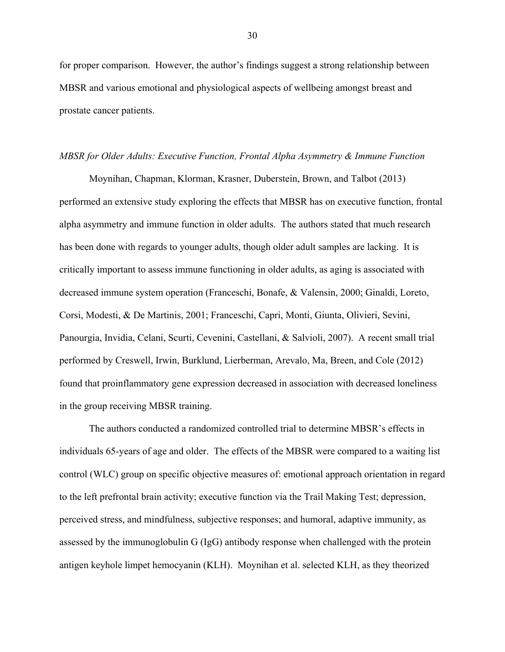for proper comparison. However, the author's findings suggest a strong relationship between MBSR and various emotional and physiological aspects of wellbeing amongst breast and prostate cancer patients.

#### *MBSR for Older Adults: Executive Function, Frontal Alpha Asymmetry & Immune Function*

Moynihan, Chapman, Klorman, Krasner, Duberstein, Brown, and Talbot (2013) performed an extensive study exploring the effects that MBSR has on executive function, frontal alpha asymmetry and immune function in older adults. The authors stated that much research has been done with regards to younger adults, though older adult samples are lacking. It is critically important to assess immune functioning in older adults, as aging is associated with decreased immune system operation (Franceschi, Bonafe, & Valensin, 2000; Ginaldi, Loreto, Corsi, Modesti, & De Martinis, 2001; Franceschi, Capri, Monti, Giunta, Olivieri, Sevini, Panourgia, Invidia, Celani, Scurti, Cevenini, Castellani, & Salvioli, 2007). A recent small trial performed by Creswell, Irwin, Burklund, Lierberman, Arevalo, Ma, Breen, and Cole (2012) found that proinflammatory gene expression decreased in association with decreased loneliness in the group receiving MBSR training.

The authors conducted a randomized controlled trial to determine MBSR's effects in individuals 65-years of age and older. The effects of the MBSR were compared to a waiting list control (WLC) group on specific objective measures of: emotional approach orientation in regard to the left prefrontal brain activity; executive function via the Trail Making Test; depression, perceived stress, and mindfulness, subjective responses; and humoral, adaptive immunity, as assessed by the immunoglobulin G (IgG) antibody response when challenged with the protein antigen keyhole limpet hemocyanin (KLH). Moynihan et al. selected KLH, as they theorized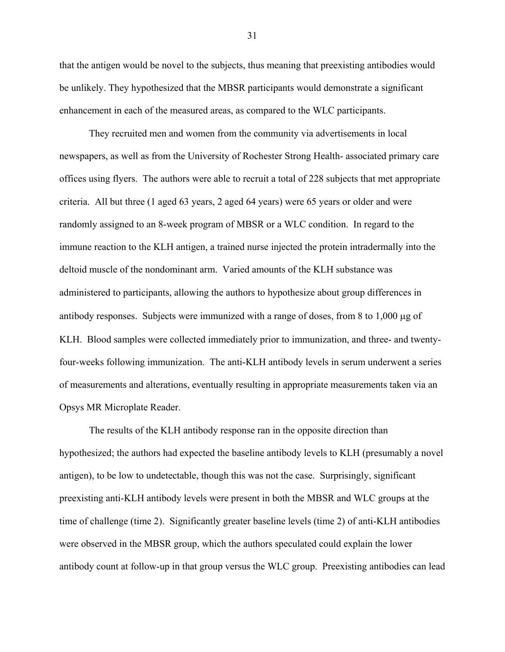that the antigen would be novel to the subjects, thus meaning that preexisting antibodies would be unlikely. They hypothesized that the MBSR participants would demonstrate a significant enhancement in each of the measured areas, as compared to the WLC participants.

They recruited men and women from the community via advertisements in local newspapers, as well as from the University of Rochester Strong Health- associated primary care offices using flyers. The authors were able to recruit a total of 228 subjects that met appropriate criteria. All but three (1 aged 63 years, 2 aged 64 years) were 65 years or older and were randomly assigned to an 8-week program of MBSR or a WLC condition. In regard to the immune reaction to the KLH antigen, a trained nurse injected the protein intradermally into the deltoid muscle of the nondominant arm. Varied amounts of the KLH substance was administered to participants, allowing the authors to hypothesize about group differences in antibody responses. Subjects were immunized with a range of doses, from 8 to 1,000 µg of KLH. Blood samples were collected immediately prior to immunization, and three- and twentyfour-weeks following immunization. The anti-KLH antibody levels in serum underwent a series of measurements and alterations, eventually resulting in appropriate measurements taken via an Opsys MR Microplate Reader.

The results of the KLH antibody response ran in the opposite direction than hypothesized; the authors had expected the baseline antibody levels to KLH (presumably a novel antigen), to be low to undetectable, though this was not the case. Surprisingly, significant preexisting anti-KLH antibody levels were present in both the MBSR and WLC groups at the time of challenge (time 2). Significantly greater baseline levels (time 2) of anti-KLH antibodies were observed in the MBSR group, which the authors speculated could explain the lower antibody count at follow-up in that group versus the WLC group. Preexisting antibodies can lead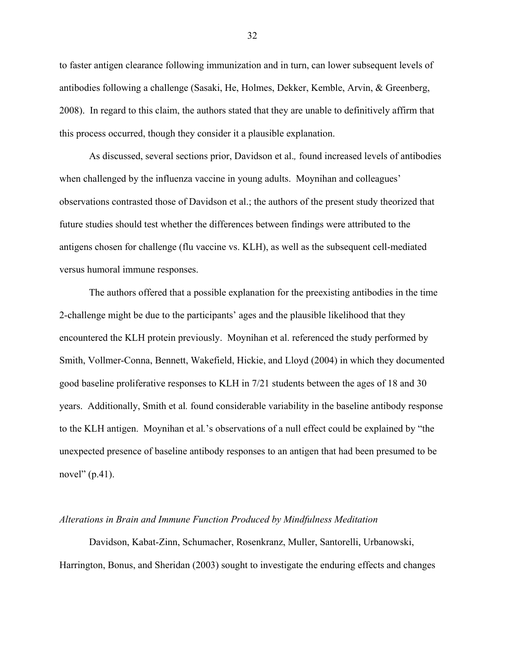to faster antigen clearance following immunization and in turn, can lower subsequent levels of antibodies following a challenge (Sasaki, He, Holmes, Dekker, Kemble, Arvin, & Greenberg, 2008). In regard to this claim, the authors stated that they are unable to definitively affirm that this process occurred, though they consider it a plausible explanation.

As discussed, several sections prior, Davidson et al.*,* found increased levels of antibodies when challenged by the influenza vaccine in young adults. Moynihan and colleagues' observations contrasted those of Davidson et al.; the authors of the present study theorized that future studies should test whether the differences between findings were attributed to the antigens chosen for challenge (flu vaccine vs. KLH), as well as the subsequent cell-mediated versus humoral immune responses.

The authors offered that a possible explanation for the preexisting antibodies in the time 2-challenge might be due to the participants' ages and the plausible likelihood that they encountered the KLH protein previously. Moynihan et al. referenced the study performed by Smith, Vollmer-Conna, Bennett, Wakefield, Hickie, and Lloyd (2004) in which they documented good baseline proliferative responses to KLH in 7/21 students between the ages of 18 and 30 years. Additionally, Smith et al*.* found considerable variability in the baseline antibody response to the KLH antigen. Moynihan et al*.*'s observations of a null effect could be explained by "the unexpected presence of baseline antibody responses to an antigen that had been presumed to be novel" (p.41).

#### *Alterations in Brain and Immune Function Produced by Mindfulness Meditation*

Davidson, Kabat-Zinn, Schumacher, Rosenkranz, Muller, Santorelli, Urbanowski, Harrington, Bonus, and Sheridan (2003) sought to investigate the enduring effects and changes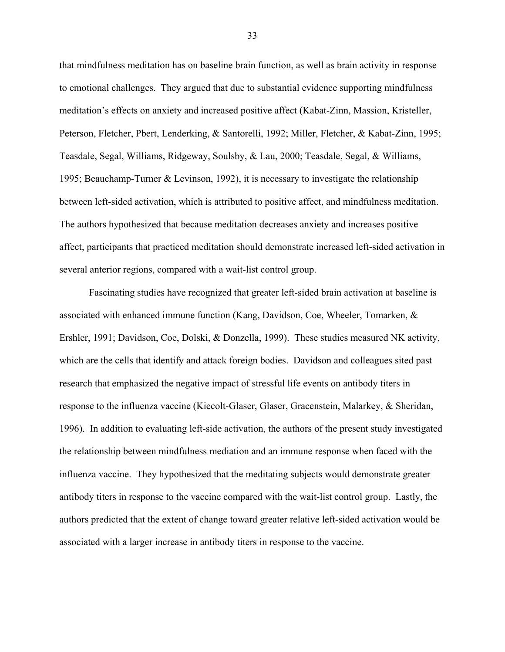that mindfulness meditation has on baseline brain function, as well as brain activity in response to emotional challenges. They argued that due to substantial evidence supporting mindfulness meditation's effects on anxiety and increased positive affect (Kabat-Zinn, Massion, Kristeller, Peterson, Fletcher, Pbert, Lenderking, & Santorelli, 1992; Miller, Fletcher, & Kabat-Zinn, 1995; Teasdale, Segal, Williams, Ridgeway, Soulsby, & Lau, 2000; Teasdale, Segal, & Williams, 1995; Beauchamp-Turner & Levinson, 1992), it is necessary to investigate the relationship between left-sided activation, which is attributed to positive affect, and mindfulness meditation. The authors hypothesized that because meditation decreases anxiety and increases positive affect, participants that practiced meditation should demonstrate increased left-sided activation in several anterior regions, compared with a wait-list control group.

Fascinating studies have recognized that greater left-sided brain activation at baseline is associated with enhanced immune function (Kang, Davidson, Coe, Wheeler, Tomarken, & Ershler, 1991; Davidson, Coe, Dolski, & Donzella, 1999). These studies measured NK activity, which are the cells that identify and attack foreign bodies. Davidson and colleagues sited past research that emphasized the negative impact of stressful life events on antibody titers in response to the influenza vaccine (Kiecolt-Glaser, Glaser, Gracenstein, Malarkey, & Sheridan, 1996). In addition to evaluating left-side activation, the authors of the present study investigated the relationship between mindfulness mediation and an immune response when faced with the influenza vaccine. They hypothesized that the meditating subjects would demonstrate greater antibody titers in response to the vaccine compared with the wait-list control group. Lastly, the authors predicted that the extent of change toward greater relative left-sided activation would be associated with a larger increase in antibody titers in response to the vaccine.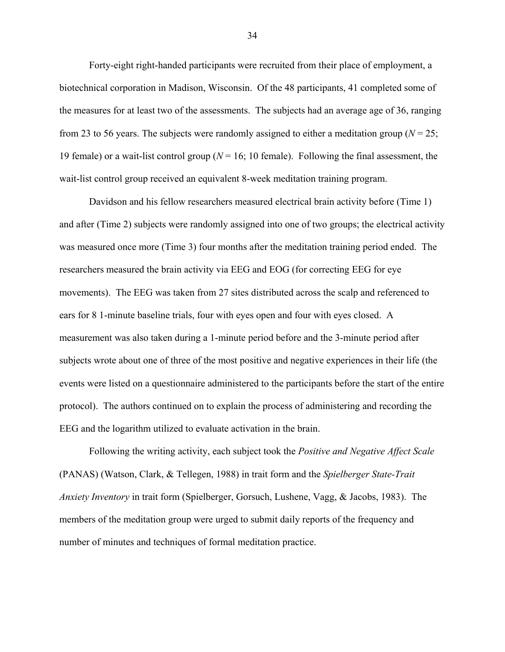Forty-eight right-handed participants were recruited from their place of employment, a biotechnical corporation in Madison, Wisconsin. Of the 48 participants, 41 completed some of the measures for at least two of the assessments. The subjects had an average age of 36, ranging from 23 to 56 years. The subjects were randomly assigned to either a meditation group ( $N = 25$ ; 19 female) or a wait-list control group (*N* = 16; 10 female). Following the final assessment, the wait-list control group received an equivalent 8-week meditation training program.

Davidson and his fellow researchers measured electrical brain activity before (Time 1) and after (Time 2) subjects were randomly assigned into one of two groups; the electrical activity was measured once more (Time 3) four months after the meditation training period ended. The researchers measured the brain activity via EEG and EOG (for correcting EEG for eye movements). The EEG was taken from 27 sites distributed across the scalp and referenced to ears for 8 1-minute baseline trials, four with eyes open and four with eyes closed. A measurement was also taken during a 1-minute period before and the 3-minute period after subjects wrote about one of three of the most positive and negative experiences in their life (the events were listed on a questionnaire administered to the participants before the start of the entire protocol). The authors continued on to explain the process of administering and recording the EEG and the logarithm utilized to evaluate activation in the brain.

Following the writing activity, each subject took the *Positive and Negative Affect Scale* (PANAS) (Watson, Clark, & Tellegen, 1988) in trait form and the *Spielberger State-Trait Anxiety Inventory* in trait form (Spielberger, Gorsuch, Lushene, Vagg, & Jacobs, 1983). The members of the meditation group were urged to submit daily reports of the frequency and number of minutes and techniques of formal meditation practice.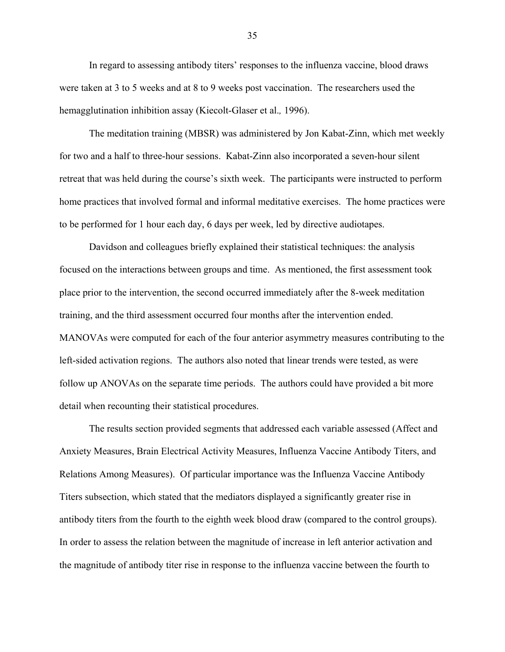In regard to assessing antibody titers' responses to the influenza vaccine, blood draws were taken at 3 to 5 weeks and at 8 to 9 weeks post vaccination. The researchers used the hemagglutination inhibition assay (Kiecolt-Glaser et al.*,* 1996).

The meditation training (MBSR) was administered by Jon Kabat-Zinn, which met weekly for two and a half to three-hour sessions. Kabat-Zinn also incorporated a seven-hour silent retreat that was held during the course's sixth week. The participants were instructed to perform home practices that involved formal and informal meditative exercises. The home practices were to be performed for 1 hour each day, 6 days per week, led by directive audiotapes.

Davidson and colleagues briefly explained their statistical techniques: the analysis focused on the interactions between groups and time. As mentioned, the first assessment took place prior to the intervention, the second occurred immediately after the 8-week meditation training, and the third assessment occurred four months after the intervention ended. MANOVAs were computed for each of the four anterior asymmetry measures contributing to the left-sided activation regions. The authors also noted that linear trends were tested, as were follow up ANOVAs on the separate time periods. The authors could have provided a bit more detail when recounting their statistical procedures.

The results section provided segments that addressed each variable assessed (Affect and Anxiety Measures, Brain Electrical Activity Measures, Influenza Vaccine Antibody Titers, and Relations Among Measures). Of particular importance was the Influenza Vaccine Antibody Titers subsection, which stated that the mediators displayed a significantly greater rise in antibody titers from the fourth to the eighth week blood draw (compared to the control groups). In order to assess the relation between the magnitude of increase in left anterior activation and the magnitude of antibody titer rise in response to the influenza vaccine between the fourth to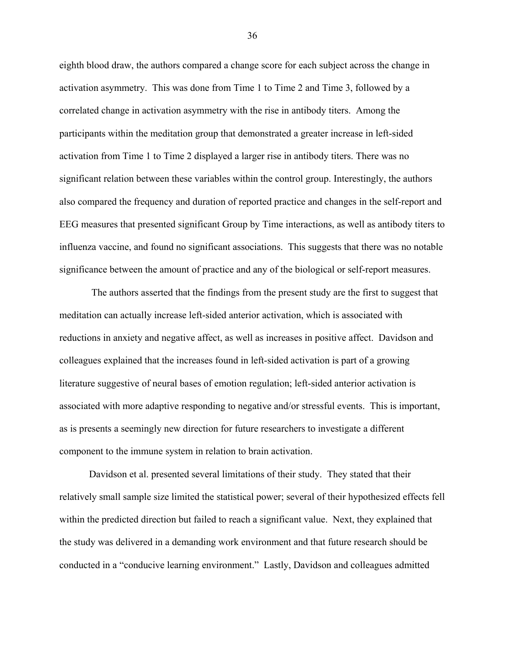eighth blood draw, the authors compared a change score for each subject across the change in activation asymmetry. This was done from Time 1 to Time 2 and Time 3, followed by a correlated change in activation asymmetry with the rise in antibody titers. Among the participants within the meditation group that demonstrated a greater increase in left-sided activation from Time 1 to Time 2 displayed a larger rise in antibody titers. There was no significant relation between these variables within the control group. Interestingly, the authors also compared the frequency and duration of reported practice and changes in the self-report and EEG measures that presented significant Group by Time interactions, as well as antibody titers to influenza vaccine, and found no significant associations. This suggests that there was no notable significance between the amount of practice and any of the biological or self-report measures.

The authors asserted that the findings from the present study are the first to suggest that meditation can actually increase left-sided anterior activation, which is associated with reductions in anxiety and negative affect, as well as increases in positive affect. Davidson and colleagues explained that the increases found in left-sided activation is part of a growing literature suggestive of neural bases of emotion regulation; left-sided anterior activation is associated with more adaptive responding to negative and/or stressful events. This is important, as is presents a seemingly new direction for future researchers to investigate a different component to the immune system in relation to brain activation.

Davidson et al. presented several limitations of their study. They stated that their relatively small sample size limited the statistical power; several of their hypothesized effects fell within the predicted direction but failed to reach a significant value. Next, they explained that the study was delivered in a demanding work environment and that future research should be conducted in a "conducive learning environment." Lastly, Davidson and colleagues admitted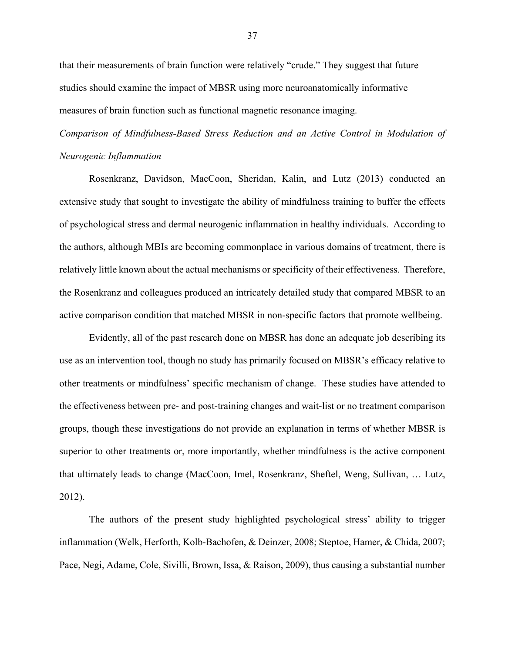that their measurements of brain function were relatively "crude." They suggest that future studies should examine the impact of MBSR using more neuroanatomically informative measures of brain function such as functional magnetic resonance imaging.

*Comparison of Mindfulness-Based Stress Reduction and an Active Control in Modulation of Neurogenic Inflammation*

Rosenkranz, Davidson, MacCoon, Sheridan, Kalin, and Lutz (2013) conducted an extensive study that sought to investigate the ability of mindfulness training to buffer the effects of psychological stress and dermal neurogenic inflammation in healthy individuals. According to the authors, although MBIs are becoming commonplace in various domains of treatment, there is relatively little known about the actual mechanisms or specificity of their effectiveness. Therefore, the Rosenkranz and colleagues produced an intricately detailed study that compared MBSR to an active comparison condition that matched MBSR in non-specific factors that promote wellbeing.

Evidently, all of the past research done on MBSR has done an adequate job describing its use as an intervention tool, though no study has primarily focused on MBSR's efficacy relative to other treatments or mindfulness' specific mechanism of change. These studies have attended to the effectiveness between pre- and post-training changes and wait-list or no treatment comparison groups, though these investigations do not provide an explanation in terms of whether MBSR is superior to other treatments or, more importantly, whether mindfulness is the active component that ultimately leads to change (MacCoon, Imel, Rosenkranz, Sheftel, Weng, Sullivan, … Lutz, 2012).

The authors of the present study highlighted psychological stress' ability to trigger inflammation (Welk, Herforth, Kolb-Bachofen, & Deinzer, 2008; Steptoe, Hamer, & Chida, 2007; Pace, Negi, Adame, Cole, Sivilli, Brown, Issa, & Raison, 2009), thus causing a substantial number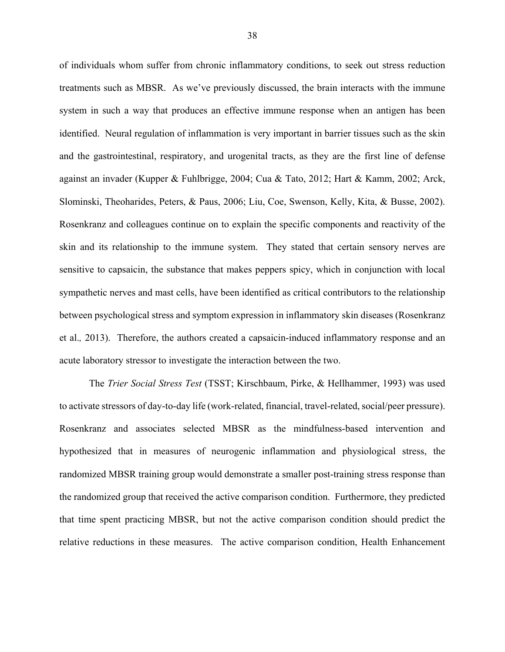of individuals whom suffer from chronic inflammatory conditions, to seek out stress reduction treatments such as MBSR. As we've previously discussed, the brain interacts with the immune system in such a way that produces an effective immune response when an antigen has been identified. Neural regulation of inflammation is very important in barrier tissues such as the skin and the gastrointestinal, respiratory, and urogenital tracts, as they are the first line of defense against an invader (Kupper & Fuhlbrigge, 2004; Cua & Tato, 2012; Hart & Kamm, 2002; Arck, Slominski, Theoharides, Peters, & Paus, 2006; Liu, Coe, Swenson, Kelly, Kita, & Busse, 2002). Rosenkranz and colleagues continue on to explain the specific components and reactivity of the skin and its relationship to the immune system. They stated that certain sensory nerves are sensitive to capsaicin, the substance that makes peppers spicy, which in conjunction with local sympathetic nerves and mast cells, have been identified as critical contributors to the relationship between psychological stress and symptom expression in inflammatory skin diseases (Rosenkranz et al.*,* 2013). Therefore, the authors created a capsaicin-induced inflammatory response and an acute laboratory stressor to investigate the interaction between the two.

The *Trier Social Stress Test* (TSST; Kirschbaum, Pirke, & Hellhammer, 1993) was used to activate stressors of day-to-day life (work-related, financial, travel-related, social/peer pressure). Rosenkranz and associates selected MBSR as the mindfulness-based intervention and hypothesized that in measures of neurogenic inflammation and physiological stress, the randomized MBSR training group would demonstrate a smaller post-training stress response than the randomized group that received the active comparison condition. Furthermore, they predicted that time spent practicing MBSR, but not the active comparison condition should predict the relative reductions in these measures. The active comparison condition, Health Enhancement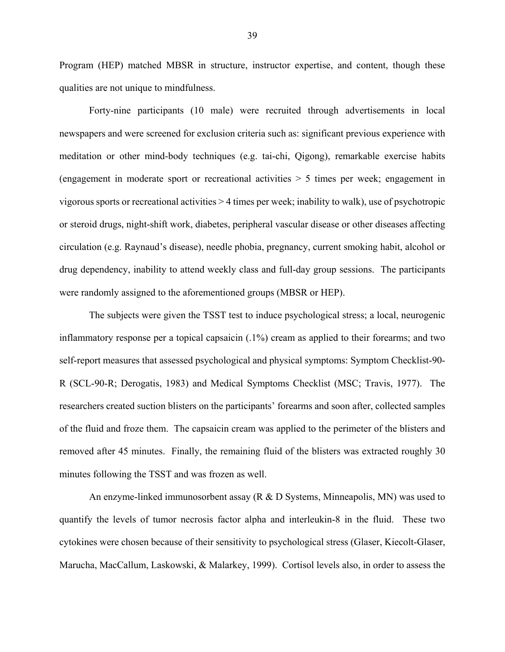Program (HEP) matched MBSR in structure, instructor expertise, and content, though these qualities are not unique to mindfulness.

Forty-nine participants (10 male) were recruited through advertisements in local newspapers and were screened for exclusion criteria such as: significant previous experience with meditation or other mind-body techniques (e.g. tai-chi, Qigong), remarkable exercise habits (engagement in moderate sport or recreational activities > 5 times per week; engagement in vigorous sports or recreational activities > 4 times per week; inability to walk), use of psychotropic or steroid drugs, night-shift work, diabetes, peripheral vascular disease or other diseases affecting circulation (e.g. Raynaud's disease), needle phobia, pregnancy, current smoking habit, alcohol or drug dependency, inability to attend weekly class and full-day group sessions. The participants were randomly assigned to the aforementioned groups (MBSR or HEP).

The subjects were given the TSST test to induce psychological stress; a local, neurogenic inflammatory response per a topical capsaicin (.1%) cream as applied to their forearms; and two self-report measures that assessed psychological and physical symptoms: Symptom Checklist-90- R (SCL-90-R; Derogatis, 1983) and Medical Symptoms Checklist (MSC; Travis, 1977). The researchers created suction blisters on the participants' forearms and soon after, collected samples of the fluid and froze them. The capsaicin cream was applied to the perimeter of the blisters and removed after 45 minutes. Finally, the remaining fluid of the blisters was extracted roughly 30 minutes following the TSST and was frozen as well.

An enzyme-linked immunosorbent assay (R & D Systems, Minneapolis, MN) was used to quantify the levels of tumor necrosis factor alpha and interleukin-8 in the fluid. These two cytokines were chosen because of their sensitivity to psychological stress (Glaser, Kiecolt-Glaser, Marucha, MacCallum, Laskowski, & Malarkey, 1999). Cortisol levels also, in order to assess the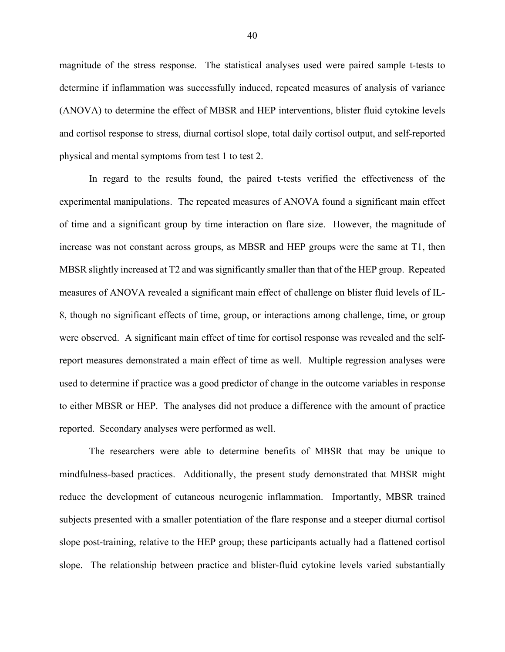magnitude of the stress response. The statistical analyses used were paired sample t-tests to determine if inflammation was successfully induced, repeated measures of analysis of variance (ANOVA) to determine the effect of MBSR and HEP interventions, blister fluid cytokine levels and cortisol response to stress, diurnal cortisol slope, total daily cortisol output, and self-reported physical and mental symptoms from test 1 to test 2.

In regard to the results found, the paired t-tests verified the effectiveness of the experimental manipulations. The repeated measures of ANOVA found a significant main effect of time and a significant group by time interaction on flare size. However, the magnitude of increase was not constant across groups, as MBSR and HEP groups were the same at T1, then MBSR slightly increased at T2 and was significantly smaller than that of the HEP group. Repeated measures of ANOVA revealed a significant main effect of challenge on blister fluid levels of IL-8, though no significant effects of time, group, or interactions among challenge, time, or group were observed. A significant main effect of time for cortisol response was revealed and the selfreport measures demonstrated a main effect of time as well. Multiple regression analyses were used to determine if practice was a good predictor of change in the outcome variables in response to either MBSR or HEP. The analyses did not produce a difference with the amount of practice reported. Secondary analyses were performed as well.

The researchers were able to determine benefits of MBSR that may be unique to mindfulness-based practices. Additionally, the present study demonstrated that MBSR might reduce the development of cutaneous neurogenic inflammation. Importantly, MBSR trained subjects presented with a smaller potentiation of the flare response and a steeper diurnal cortisol slope post-training, relative to the HEP group; these participants actually had a flattened cortisol slope. The relationship between practice and blister-fluid cytokine levels varied substantially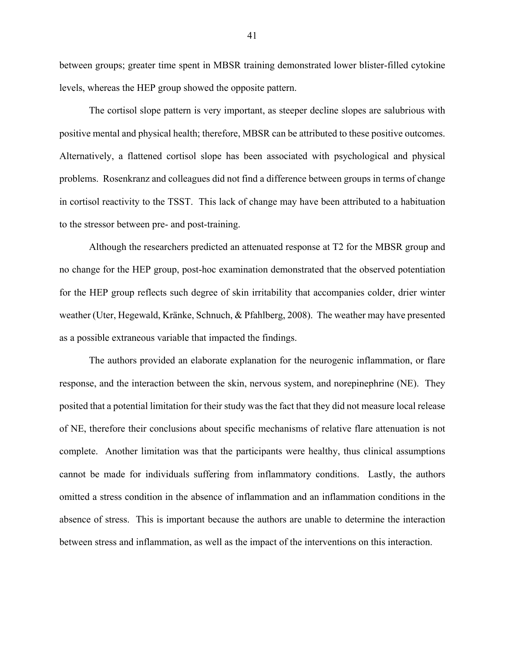between groups; greater time spent in MBSR training demonstrated lower blister-filled cytokine levels, whereas the HEP group showed the opposite pattern.

The cortisol slope pattern is very important, as steeper decline slopes are salubrious with positive mental and physical health; therefore, MBSR can be attributed to these positive outcomes. Alternatively, a flattened cortisol slope has been associated with psychological and physical problems. Rosenkranz and colleagues did not find a difference between groups in terms of change in cortisol reactivity to the TSST. This lack of change may have been attributed to a habituation to the stressor between pre- and post-training.

Although the researchers predicted an attenuated response at T2 for the MBSR group and no change for the HEP group, post-hoc examination demonstrated that the observed potentiation for the HEP group reflects such degree of skin irritability that accompanies colder, drier winter weather (Uter, Hegewald, Kränke, Schnuch, & Pfahlberg, 2008). The weather may have presented as a possible extraneous variable that impacted the findings.

The authors provided an elaborate explanation for the neurogenic inflammation, or flare response, and the interaction between the skin, nervous system, and norepinephrine (NE). They posited that a potential limitation for their study was the fact that they did not measure local release of NE, therefore their conclusions about specific mechanisms of relative flare attenuation is not complete. Another limitation was that the participants were healthy, thus clinical assumptions cannot be made for individuals suffering from inflammatory conditions. Lastly, the authors omitted a stress condition in the absence of inflammation and an inflammation conditions in the absence of stress. This is important because the authors are unable to determine the interaction between stress and inflammation, as well as the impact of the interventions on this interaction.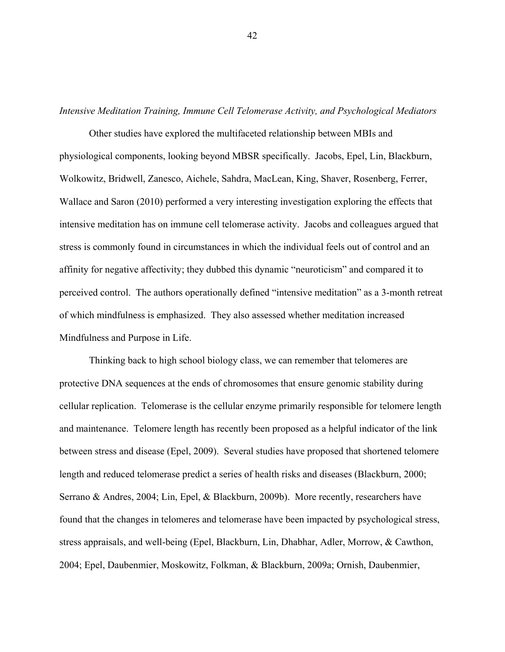*Intensive Meditation Training, Immune Cell Telomerase Activity, and Psychological Mediators*

Other studies have explored the multifaceted relationship between MBIs and physiological components, looking beyond MBSR specifically. Jacobs, Epel, Lin, Blackburn, Wolkowitz, Bridwell, Zanesco, Aichele, Sahdra, MacLean, King, Shaver, Rosenberg, Ferrer, Wallace and Saron (2010) performed a very interesting investigation exploring the effects that intensive meditation has on immune cell telomerase activity. Jacobs and colleagues argued that stress is commonly found in circumstances in which the individual feels out of control and an affinity for negative affectivity; they dubbed this dynamic "neuroticism" and compared it to perceived control. The authors operationally defined "intensive meditation" as a 3-month retreat of which mindfulness is emphasized. They also assessed whether meditation increased Mindfulness and Purpose in Life.

Thinking back to high school biology class, we can remember that telomeres are protective DNA sequences at the ends of chromosomes that ensure genomic stability during cellular replication. Telomerase is the cellular enzyme primarily responsible for telomere length and maintenance. Telomere length has recently been proposed as a helpful indicator of the link between stress and disease (Epel, 2009). Several studies have proposed that shortened telomere length and reduced telomerase predict a series of health risks and diseases (Blackburn, 2000; Serrano & Andres, 2004; Lin, Epel, & Blackburn, 2009b). More recently, researchers have found that the changes in telomeres and telomerase have been impacted by psychological stress, stress appraisals, and well-being (Epel, Blackburn, Lin, Dhabhar, Adler, Morrow, & Cawthon, 2004; Epel, Daubenmier, Moskowitz, Folkman, & Blackburn, 2009a; Ornish, Daubenmier,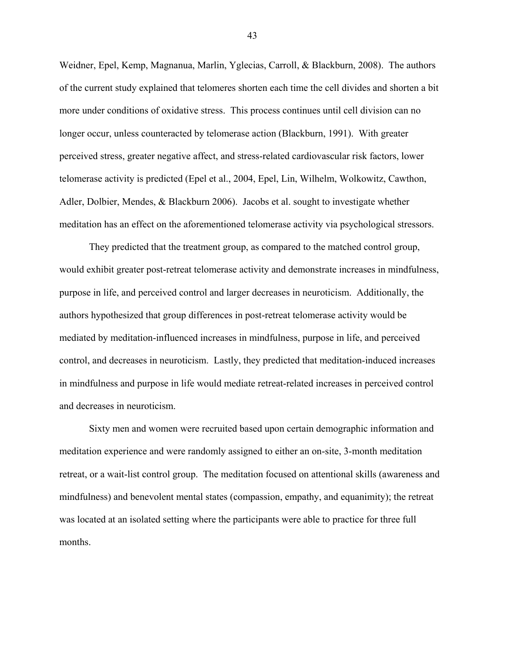Weidner, Epel, Kemp, Magnanua, Marlin, Yglecias, Carroll, & Blackburn, 2008). The authors of the current study explained that telomeres shorten each time the cell divides and shorten a bit more under conditions of oxidative stress. This process continues until cell division can no longer occur, unless counteracted by telomerase action (Blackburn, 1991). With greater perceived stress, greater negative affect, and stress-related cardiovascular risk factors, lower telomerase activity is predicted (Epel et al., 2004, Epel, Lin, Wilhelm, Wolkowitz, Cawthon, Adler, Dolbier, Mendes, & Blackburn 2006). Jacobs et al. sought to investigate whether meditation has an effect on the aforementioned telomerase activity via psychological stressors.

They predicted that the treatment group, as compared to the matched control group, would exhibit greater post-retreat telomerase activity and demonstrate increases in mindfulness, purpose in life, and perceived control and larger decreases in neuroticism. Additionally, the authors hypothesized that group differences in post-retreat telomerase activity would be mediated by meditation-influenced increases in mindfulness, purpose in life, and perceived control, and decreases in neuroticism. Lastly, they predicted that meditation-induced increases in mindfulness and purpose in life would mediate retreat-related increases in perceived control and decreases in neuroticism.

Sixty men and women were recruited based upon certain demographic information and meditation experience and were randomly assigned to either an on-site, 3-month meditation retreat, or a wait-list control group. The meditation focused on attentional skills (awareness and mindfulness) and benevolent mental states (compassion, empathy, and equanimity); the retreat was located at an isolated setting where the participants were able to practice for three full months.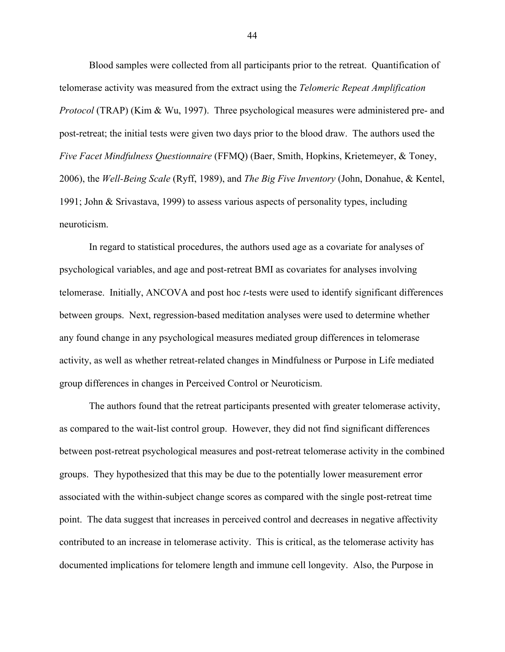Blood samples were collected from all participants prior to the retreat. Quantification of telomerase activity was measured from the extract using the *Telomeric Repeat Amplification Protocol* (TRAP) (Kim & Wu, 1997). Three psychological measures were administered pre- and post-retreat; the initial tests were given two days prior to the blood draw. The authors used the *Five Facet Mindfulness Questionnaire* (FFMQ) (Baer, Smith, Hopkins, Krietemeyer, & Toney, 2006), the *Well-Being Scale* (Ryff, 1989), and *The Big Five Inventory* (John, Donahue, & Kentel, 1991; John & Srivastava, 1999) to assess various aspects of personality types, including neuroticism.

In regard to statistical procedures, the authors used age as a covariate for analyses of psychological variables, and age and post-retreat BMI as covariates for analyses involving telomerase. Initially, ANCOVA and post hoc *t*-tests were used to identify significant differences between groups. Next, regression-based meditation analyses were used to determine whether any found change in any psychological measures mediated group differences in telomerase activity, as well as whether retreat-related changes in Mindfulness or Purpose in Life mediated group differences in changes in Perceived Control or Neuroticism.

The authors found that the retreat participants presented with greater telomerase activity, as compared to the wait-list control group. However, they did not find significant differences between post-retreat psychological measures and post-retreat telomerase activity in the combined groups. They hypothesized that this may be due to the potentially lower measurement error associated with the within-subject change scores as compared with the single post-retreat time point. The data suggest that increases in perceived control and decreases in negative affectivity contributed to an increase in telomerase activity. This is critical, as the telomerase activity has documented implications for telomere length and immune cell longevity. Also, the Purpose in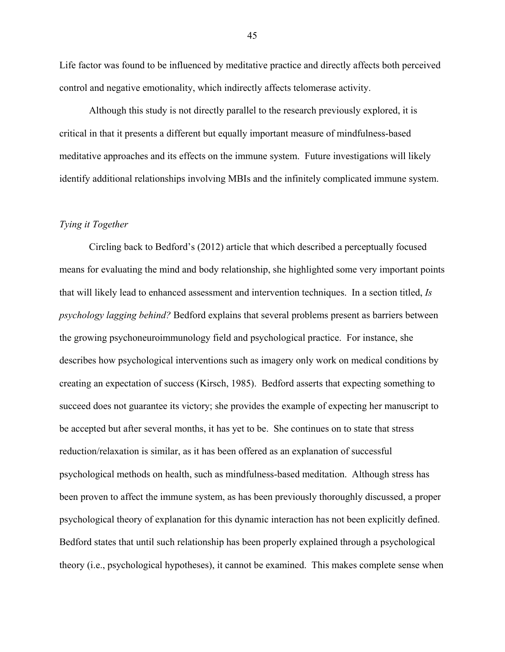Life factor was found to be influenced by meditative practice and directly affects both perceived control and negative emotionality, which indirectly affects telomerase activity.

Although this study is not directly parallel to the research previously explored, it is critical in that it presents a different but equally important measure of mindfulness-based meditative approaches and its effects on the immune system. Future investigations will likely identify additional relationships involving MBIs and the infinitely complicated immune system.

# *Tying it Together*

Circling back to Bedford's (2012) article that which described a perceptually focused means for evaluating the mind and body relationship, she highlighted some very important points that will likely lead to enhanced assessment and intervention techniques. In a section titled, *Is psychology lagging behind?* Bedford explains that several problems present as barriers between the growing psychoneuroimmunology field and psychological practice. For instance, she describes how psychological interventions such as imagery only work on medical conditions by creating an expectation of success (Kirsch, 1985). Bedford asserts that expecting something to succeed does not guarantee its victory; she provides the example of expecting her manuscript to be accepted but after several months, it has yet to be. She continues on to state that stress reduction/relaxation is similar, as it has been offered as an explanation of successful psychological methods on health, such as mindfulness-based meditation. Although stress has been proven to affect the immune system, as has been previously thoroughly discussed, a proper psychological theory of explanation for this dynamic interaction has not been explicitly defined. Bedford states that until such relationship has been properly explained through a psychological theory (i.e., psychological hypotheses), it cannot be examined. This makes complete sense when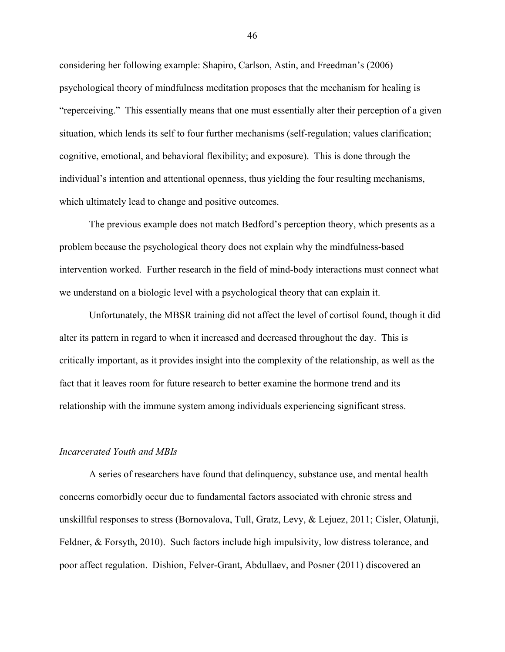considering her following example: Shapiro, Carlson, Astin, and Freedman's (2006) psychological theory of mindfulness meditation proposes that the mechanism for healing is "reperceiving." This essentially means that one must essentially alter their perception of a given situation, which lends its self to four further mechanisms (self-regulation; values clarification; cognitive, emotional, and behavioral flexibility; and exposure). This is done through the individual's intention and attentional openness, thus yielding the four resulting mechanisms, which ultimately lead to change and positive outcomes.

The previous example does not match Bedford's perception theory, which presents as a problem because the psychological theory does not explain why the mindfulness-based intervention worked. Further research in the field of mind-body interactions must connect what we understand on a biologic level with a psychological theory that can explain it.

Unfortunately, the MBSR training did not affect the level of cortisol found, though it did alter its pattern in regard to when it increased and decreased throughout the day. This is critically important, as it provides insight into the complexity of the relationship, as well as the fact that it leaves room for future research to better examine the hormone trend and its relationship with the immune system among individuals experiencing significant stress.

### *Incarcerated Youth and MBIs*

A series of researchers have found that delinquency, substance use, and mental health concerns comorbidly occur due to fundamental factors associated with chronic stress and unskillful responses to stress (Bornovalova, Tull, Gratz, Levy, & Lejuez, 2011; Cisler, Olatunji, Feldner, & Forsyth, 2010). Such factors include high impulsivity, low distress tolerance, and poor affect regulation. Dishion, Felver-Grant, Abdullaev, and Posner (2011) discovered an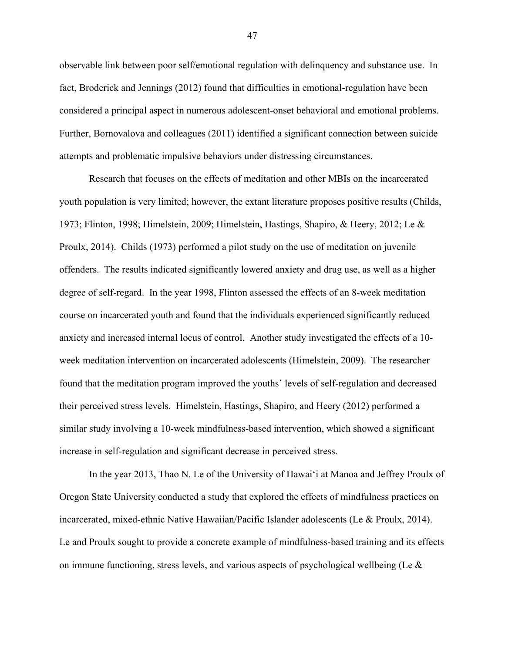observable link between poor self/emotional regulation with delinquency and substance use. In fact, Broderick and Jennings (2012) found that difficulties in emotional-regulation have been considered a principal aspect in numerous adolescent-onset behavioral and emotional problems. Further, Bornovalova and colleagues (2011) identified a significant connection between suicide attempts and problematic impulsive behaviors under distressing circumstances.

Research that focuses on the effects of meditation and other MBIs on the incarcerated youth population is very limited; however, the extant literature proposes positive results (Childs, 1973; Flinton, 1998; Himelstein, 2009; Himelstein, Hastings, Shapiro, & Heery, 2012; Le & Proulx, 2014). Childs (1973) performed a pilot study on the use of meditation on juvenile offenders. The results indicated significantly lowered anxiety and drug use, as well as a higher degree of self-regard. In the year 1998, Flinton assessed the effects of an 8-week meditation course on incarcerated youth and found that the individuals experienced significantly reduced anxiety and increased internal locus of control. Another study investigated the effects of a 10 week meditation intervention on incarcerated adolescents (Himelstein, 2009). The researcher found that the meditation program improved the youths' levels of self-regulation and decreased their perceived stress levels. Himelstein, Hastings, Shapiro, and Heery (2012) performed a similar study involving a 10-week mindfulness-based intervention, which showed a significant increase in self-regulation and significant decrease in perceived stress.

In the year 2013, Thao N. Le of the University of Hawai'i at Manoa and Jeffrey Proulx of Oregon State University conducted a study that explored the effects of mindfulness practices on incarcerated, mixed-ethnic Native Hawaiian/Pacific Islander adolescents (Le & Proulx, 2014). Le and Proulx sought to provide a concrete example of mindfulness-based training and its effects on immune functioning, stress levels, and various aspects of psychological wellbeing (Le  $\&$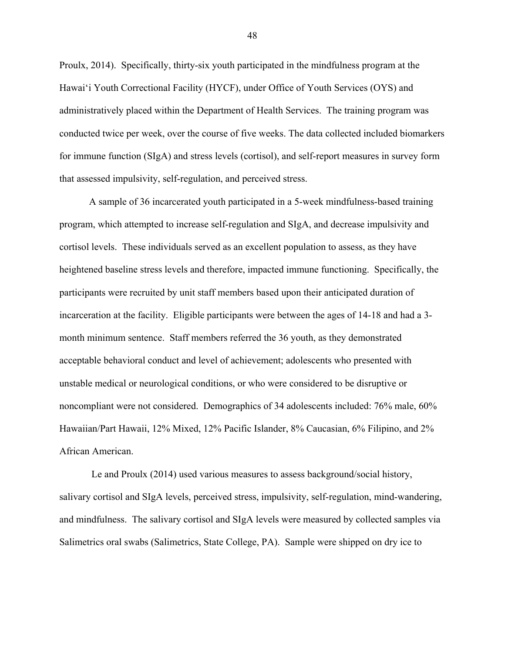Proulx, 2014). Specifically, thirty-six youth participated in the mindfulness program at the Hawai'i Youth Correctional Facility (HYCF), under Office of Youth Services (OYS) and administratively placed within the Department of Health Services. The training program was conducted twice per week, over the course of five weeks. The data collected included biomarkers for immune function (SIgA) and stress levels (cortisol), and self-report measures in survey form that assessed impulsivity, self-regulation, and perceived stress.

A sample of 36 incarcerated youth participated in a 5-week mindfulness-based training program, which attempted to increase self-regulation and SIgA, and decrease impulsivity and cortisol levels. These individuals served as an excellent population to assess, as they have heightened baseline stress levels and therefore, impacted immune functioning. Specifically, the participants were recruited by unit staff members based upon their anticipated duration of incarceration at the facility. Eligible participants were between the ages of 14-18 and had a 3 month minimum sentence. Staff members referred the 36 youth, as they demonstrated acceptable behavioral conduct and level of achievement; adolescents who presented with unstable medical or neurological conditions, or who were considered to be disruptive or noncompliant were not considered. Demographics of 34 adolescents included: 76% male, 60% Hawaiian/Part Hawaii, 12% Mixed, 12% Pacific Islander, 8% Caucasian, 6% Filipino, and 2% African American.

Le and Proulx (2014) used various measures to assess background/social history, salivary cortisol and SIgA levels, perceived stress, impulsivity, self-regulation, mind-wandering, and mindfulness. The salivary cortisol and SIgA levels were measured by collected samples via Salimetrics oral swabs (Salimetrics, State College, PA). Sample were shipped on dry ice to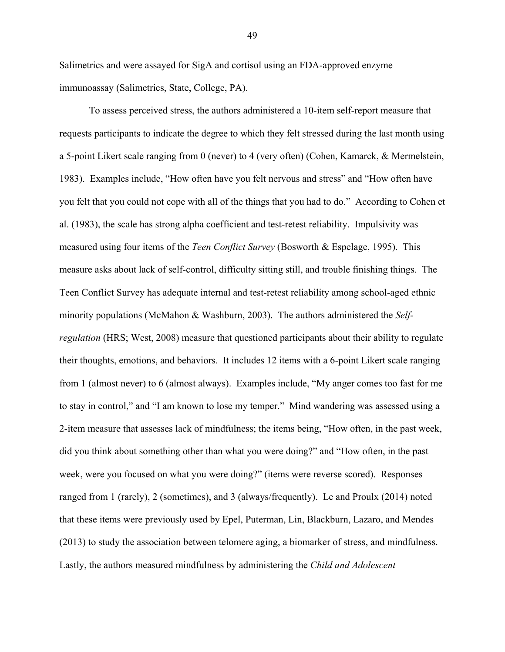Salimetrics and were assayed for SigA and cortisol using an FDA-approved enzyme immunoassay (Salimetrics, State, College, PA).

To assess perceived stress, the authors administered a 10-item self-report measure that requests participants to indicate the degree to which they felt stressed during the last month using a 5-point Likert scale ranging from 0 (never) to 4 (very often) (Cohen, Kamarck, & Mermelstein, 1983). Examples include, "How often have you felt nervous and stress" and "How often have you felt that you could not cope with all of the things that you had to do." According to Cohen et al. (1983), the scale has strong alpha coefficient and test-retest reliability. Impulsivity was measured using four items of the *Teen Conflict Survey* (Bosworth & Espelage, 1995). This measure asks about lack of self-control, difficulty sitting still, and trouble finishing things. The Teen Conflict Survey has adequate internal and test-retest reliability among school-aged ethnic minority populations (McMahon & Washburn, 2003). The authors administered the *Selfregulation* (HRS; West, 2008) measure that questioned participants about their ability to regulate their thoughts, emotions, and behaviors. It includes 12 items with a 6-point Likert scale ranging from 1 (almost never) to 6 (almost always). Examples include, "My anger comes too fast for me to stay in control," and "I am known to lose my temper." Mind wandering was assessed using a 2-item measure that assesses lack of mindfulness; the items being, "How often, in the past week, did you think about something other than what you were doing?" and "How often, in the past week, were you focused on what you were doing?" (items were reverse scored). Responses ranged from 1 (rarely), 2 (sometimes), and 3 (always/frequently). Le and Proulx (2014) noted that these items were previously used by Epel, Puterman, Lin, Blackburn, Lazaro, and Mendes (2013) to study the association between telomere aging, a biomarker of stress, and mindfulness. Lastly, the authors measured mindfulness by administering the *Child and Adolescent*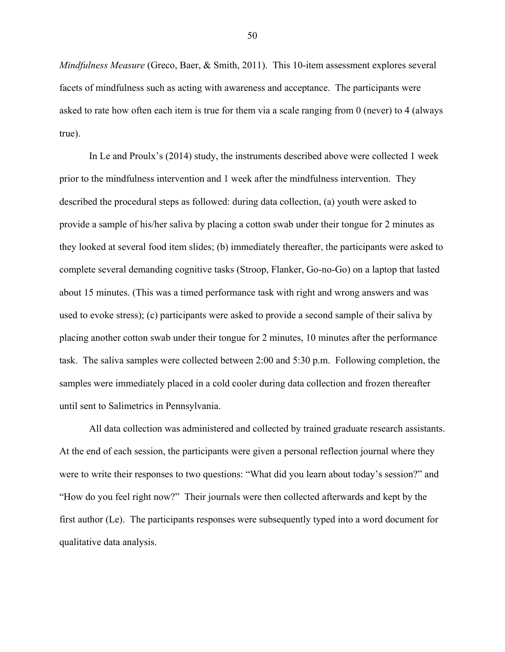*Mindfulness Measure* (Greco, Baer, & Smith, 2011). This 10-item assessment explores several facets of mindfulness such as acting with awareness and acceptance. The participants were asked to rate how often each item is true for them via a scale ranging from 0 (never) to 4 (always true).

In Le and Proulx's (2014) study, the instruments described above were collected 1 week prior to the mindfulness intervention and 1 week after the mindfulness intervention. They described the procedural steps as followed: during data collection, (a) youth were asked to provide a sample of his/her saliva by placing a cotton swab under their tongue for 2 minutes as they looked at several food item slides; (b) immediately thereafter, the participants were asked to complete several demanding cognitive tasks (Stroop, Flanker, Go-no-Go) on a laptop that lasted about 15 minutes. (This was a timed performance task with right and wrong answers and was used to evoke stress); (c) participants were asked to provide a second sample of their saliva by placing another cotton swab under their tongue for 2 minutes, 10 minutes after the performance task. The saliva samples were collected between 2:00 and 5:30 p.m. Following completion, the samples were immediately placed in a cold cooler during data collection and frozen thereafter until sent to Salimetrics in Pennsylvania.

All data collection was administered and collected by trained graduate research assistants. At the end of each session, the participants were given a personal reflection journal where they were to write their responses to two questions: "What did you learn about today's session?" and "How do you feel right now?" Their journals were then collected afterwards and kept by the first author (Le). The participants responses were subsequently typed into a word document for qualitative data analysis.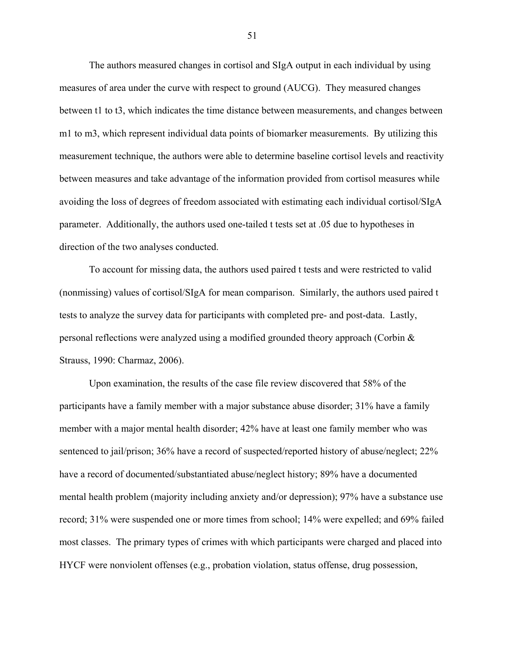The authors measured changes in cortisol and SIgA output in each individual by using measures of area under the curve with respect to ground (AUCG). They measured changes between t1 to t3, which indicates the time distance between measurements, and changes between m1 to m3, which represent individual data points of biomarker measurements. By utilizing this measurement technique, the authors were able to determine baseline cortisol levels and reactivity between measures and take advantage of the information provided from cortisol measures while avoiding the loss of degrees of freedom associated with estimating each individual cortisol/SIgA parameter. Additionally, the authors used one-tailed t tests set at .05 due to hypotheses in direction of the two analyses conducted.

To account for missing data, the authors used paired t tests and were restricted to valid (nonmissing) values of cortisol/SIgA for mean comparison. Similarly, the authors used paired t tests to analyze the survey data for participants with completed pre- and post-data. Lastly, personal reflections were analyzed using a modified grounded theory approach (Corbin & Strauss, 1990: Charmaz, 2006).

Upon examination, the results of the case file review discovered that 58% of the participants have a family member with a major substance abuse disorder; 31% have a family member with a major mental health disorder; 42% have at least one family member who was sentenced to jail/prison; 36% have a record of suspected/reported history of abuse/neglect; 22% have a record of documented/substantiated abuse/neglect history; 89% have a documented mental health problem (majority including anxiety and/or depression); 97% have a substance use record; 31% were suspended one or more times from school; 14% were expelled; and 69% failed most classes. The primary types of crimes with which participants were charged and placed into HYCF were nonviolent offenses (e.g., probation violation, status offense, drug possession,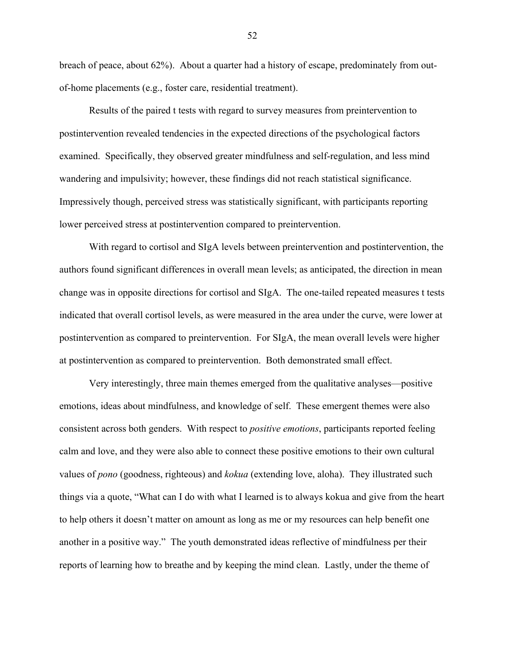breach of peace, about 62%). About a quarter had a history of escape, predominately from outof-home placements (e.g., foster care, residential treatment).

Results of the paired t tests with regard to survey measures from preintervention to postintervention revealed tendencies in the expected directions of the psychological factors examined. Specifically, they observed greater mindfulness and self-regulation, and less mind wandering and impulsivity; however, these findings did not reach statistical significance. Impressively though, perceived stress was statistically significant, with participants reporting lower perceived stress at postintervention compared to preintervention.

With regard to cortisol and SIgA levels between preintervention and postintervention, the authors found significant differences in overall mean levels; as anticipated, the direction in mean change was in opposite directions for cortisol and SIgA. The one-tailed repeated measures t tests indicated that overall cortisol levels, as were measured in the area under the curve, were lower at postintervention as compared to preintervention. For SIgA, the mean overall levels were higher at postintervention as compared to preintervention. Both demonstrated small effect.

Very interestingly, three main themes emerged from the qualitative analyses—positive emotions, ideas about mindfulness, and knowledge of self. These emergent themes were also consistent across both genders. With respect to *positive emotions*, participants reported feeling calm and love, and they were also able to connect these positive emotions to their own cultural values of *pono* (goodness, righteous) and *kokua* (extending love, aloha). They illustrated such things via a quote, "What can I do with what I learned is to always kokua and give from the heart to help others it doesn't matter on amount as long as me or my resources can help benefit one another in a positive way." The youth demonstrated ideas reflective of mindfulness per their reports of learning how to breathe and by keeping the mind clean. Lastly, under the theme of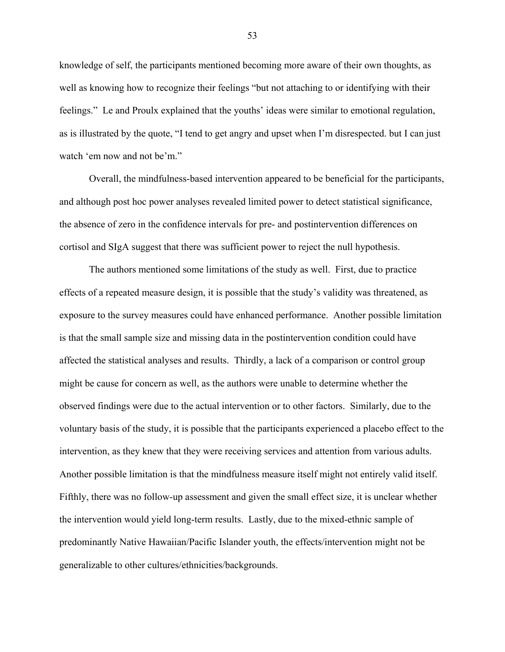knowledge of self, the participants mentioned becoming more aware of their own thoughts, as well as knowing how to recognize their feelings "but not attaching to or identifying with their feelings." Le and Proulx explained that the youths' ideas were similar to emotional regulation, as is illustrated by the quote, "I tend to get angry and upset when I'm disrespected. but I can just watch 'em now and not be'm."

Overall, the mindfulness-based intervention appeared to be beneficial for the participants, and although post hoc power analyses revealed limited power to detect statistical significance, the absence of zero in the confidence intervals for pre- and postintervention differences on cortisol and SIgA suggest that there was sufficient power to reject the null hypothesis.

The authors mentioned some limitations of the study as well. First, due to practice effects of a repeated measure design, it is possible that the study's validity was threatened, as exposure to the survey measures could have enhanced performance. Another possible limitation is that the small sample size and missing data in the postintervention condition could have affected the statistical analyses and results. Thirdly, a lack of a comparison or control group might be cause for concern as well, as the authors were unable to determine whether the observed findings were due to the actual intervention or to other factors. Similarly, due to the voluntary basis of the study, it is possible that the participants experienced a placebo effect to the intervention, as they knew that they were receiving services and attention from various adults. Another possible limitation is that the mindfulness measure itself might not entirely valid itself. Fifthly, there was no follow-up assessment and given the small effect size, it is unclear whether the intervention would yield long-term results. Lastly, due to the mixed-ethnic sample of predominantly Native Hawaiian/Pacific Islander youth, the effects/intervention might not be generalizable to other cultures/ethnicities/backgrounds.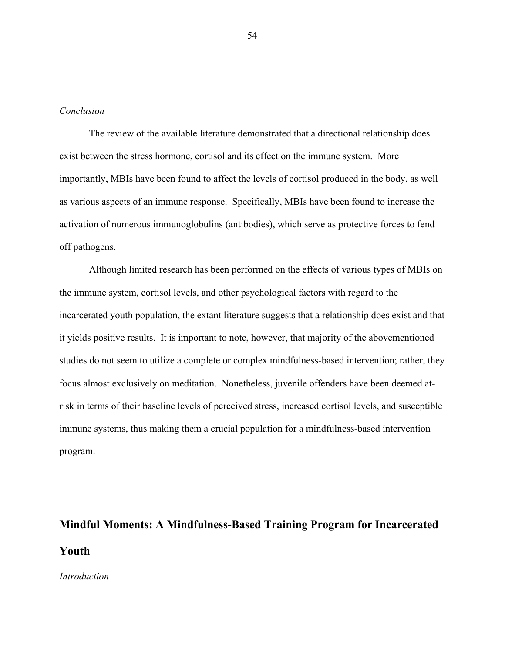# *Conclusion*

The review of the available literature demonstrated that a directional relationship does exist between the stress hormone, cortisol and its effect on the immune system. More importantly, MBIs have been found to affect the levels of cortisol produced in the body, as well as various aspects of an immune response. Specifically, MBIs have been found to increase the activation of numerous immunoglobulins (antibodies), which serve as protective forces to fend off pathogens.

Although limited research has been performed on the effects of various types of MBIs on the immune system, cortisol levels, and other psychological factors with regard to the incarcerated youth population, the extant literature suggests that a relationship does exist and that it yields positive results. It is important to note, however, that majority of the abovementioned studies do not seem to utilize a complete or complex mindfulness-based intervention; rather, they focus almost exclusively on meditation. Nonetheless, juvenile offenders have been deemed atrisk in terms of their baseline levels of perceived stress, increased cortisol levels, and susceptible immune systems, thus making them a crucial population for a mindfulness-based intervention program.

# **Mindful Moments: A Mindfulness-Based Training Program for Incarcerated Youth**

## *Introduction*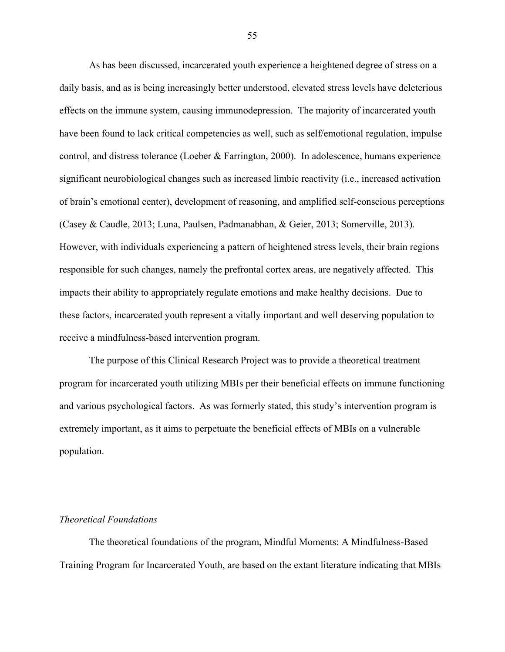As has been discussed, incarcerated youth experience a heightened degree of stress on a daily basis, and as is being increasingly better understood, elevated stress levels have deleterious effects on the immune system, causing immunodepression. The majority of incarcerated youth have been found to lack critical competencies as well, such as self/emotional regulation, impulse control, and distress tolerance (Loeber & Farrington, 2000). In adolescence, humans experience significant neurobiological changes such as increased limbic reactivity (i.e., increased activation of brain's emotional center), development of reasoning, and amplified self-conscious perceptions (Casey & Caudle, 2013; Luna, Paulsen, Padmanabhan, & Geier, 2013; Somerville, 2013). However, with individuals experiencing a pattern of heightened stress levels, their brain regions responsible for such changes, namely the prefrontal cortex areas, are negatively affected. This impacts their ability to appropriately regulate emotions and make healthy decisions. Due to these factors, incarcerated youth represent a vitally important and well deserving population to receive a mindfulness-based intervention program.

The purpose of this Clinical Research Project was to provide a theoretical treatment program for incarcerated youth utilizing MBIs per their beneficial effects on immune functioning and various psychological factors. As was formerly stated, this study's intervention program is extremely important, as it aims to perpetuate the beneficial effects of MBIs on a vulnerable population.

# *Theoretical Foundations*

The theoretical foundations of the program, Mindful Moments: A Mindfulness-Based Training Program for Incarcerated Youth, are based on the extant literature indicating that MBIs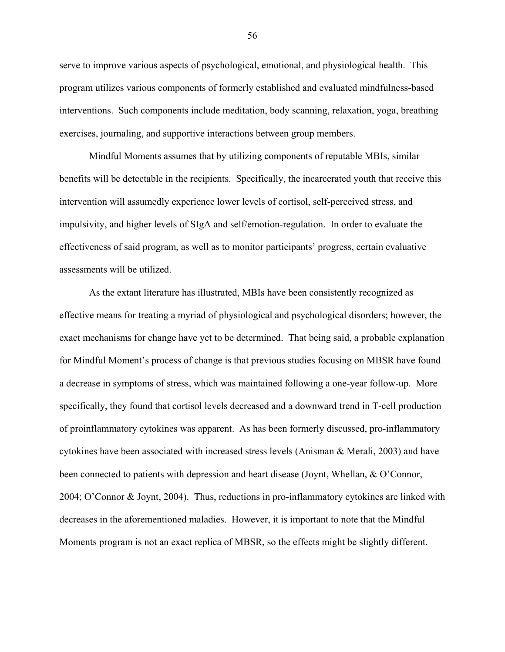serve to improve various aspects of psychological, emotional, and physiological health. This program utilizes various components of formerly established and evaluated mindfulness-based interventions. Such components include meditation, body scanning, relaxation, yoga, breathing exercises, journaling, and supportive interactions between group members.

Mindful Moments assumes that by utilizing components of reputable MBIs, similar benefits will be detectable in the recipients. Specifically, the incarcerated youth that receive this intervention will assumedly experience lower levels of cortisol, self-perceived stress, and impulsivity, and higher levels of SIgA and self/emotion-regulation. In order to evaluate the effectiveness of said program, as well as to monitor participants' progress, certain evaluative assessments will be utilized.

As the extant literature has illustrated, MBIs have been consistently recognized as effective means for treating a myriad of physiological and psychological disorders; however, the exact mechanisms for change have yet to be determined. That being said, a probable explanation for Mindful Moment's process of change is that previous studies focusing on MBSR have found a decrease in symptoms of stress, which was maintained following a one-year follow-up. More specifically, they found that cortisol levels decreased and a downward trend in T-cell production of proinflammatory cytokines was apparent. As has been formerly discussed, pro-inflammatory cytokines have been associated with increased stress levels (Anisman & Merali, 2003) and have been connected to patients with depression and heart disease (Joynt, Whellan, & O'Connor, 2004; O'Connor & Joynt, 2004). Thus, reductions in pro-inflammatory cytokines are linked with decreases in the aforementioned maladies. However, it is important to note that the Mindful Moments program is not an exact replica of MBSR, so the effects might be slightly different.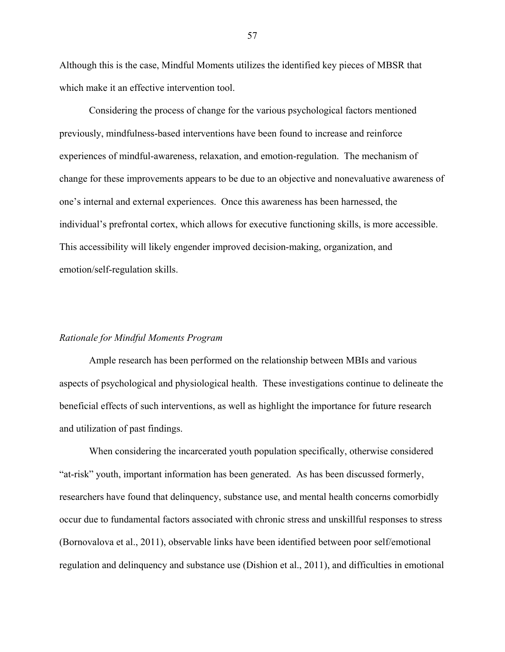Although this is the case, Mindful Moments utilizes the identified key pieces of MBSR that which make it an effective intervention tool.

Considering the process of change for the various psychological factors mentioned previously, mindfulness-based interventions have been found to increase and reinforce experiences of mindful-awareness, relaxation, and emotion-regulation. The mechanism of change for these improvements appears to be due to an objective and nonevaluative awareness of one's internal and external experiences. Once this awareness has been harnessed, the individual's prefrontal cortex, which allows for executive functioning skills, is more accessible. This accessibility will likely engender improved decision-making, organization, and emotion/self-regulation skills.

#### *Rationale for Mindful Moments Program*

Ample research has been performed on the relationship between MBIs and various aspects of psychological and physiological health. These investigations continue to delineate the beneficial effects of such interventions, as well as highlight the importance for future research and utilization of past findings.

When considering the incarcerated youth population specifically, otherwise considered "at-risk" youth, important information has been generated. As has been discussed formerly, researchers have found that delinquency, substance use, and mental health concerns comorbidly occur due to fundamental factors associated with chronic stress and unskillful responses to stress (Bornovalova et al., 2011), observable links have been identified between poor self/emotional regulation and delinquency and substance use (Dishion et al., 2011), and difficulties in emotional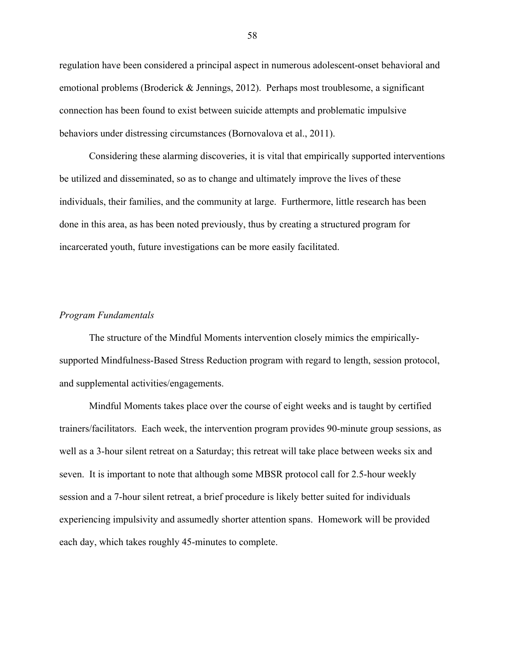regulation have been considered a principal aspect in numerous adolescent-onset behavioral and emotional problems (Broderick & Jennings, 2012). Perhaps most troublesome, a significant connection has been found to exist between suicide attempts and problematic impulsive behaviors under distressing circumstances (Bornovalova et al., 2011).

Considering these alarming discoveries, it is vital that empirically supported interventions be utilized and disseminated, so as to change and ultimately improve the lives of these individuals, their families, and the community at large. Furthermore, little research has been done in this area, as has been noted previously, thus by creating a structured program for incarcerated youth, future investigations can be more easily facilitated.

## *Program Fundamentals*

The structure of the Mindful Moments intervention closely mimics the empiricallysupported Mindfulness-Based Stress Reduction program with regard to length, session protocol, and supplemental activities/engagements.

Mindful Moments takes place over the course of eight weeks and is taught by certified trainers/facilitators. Each week, the intervention program provides 90-minute group sessions, as well as a 3-hour silent retreat on a Saturday; this retreat will take place between weeks six and seven. It is important to note that although some MBSR protocol call for 2.5-hour weekly session and a 7-hour silent retreat, a brief procedure is likely better suited for individuals experiencing impulsivity and assumedly shorter attention spans. Homework will be provided each day, which takes roughly 45-minutes to complete.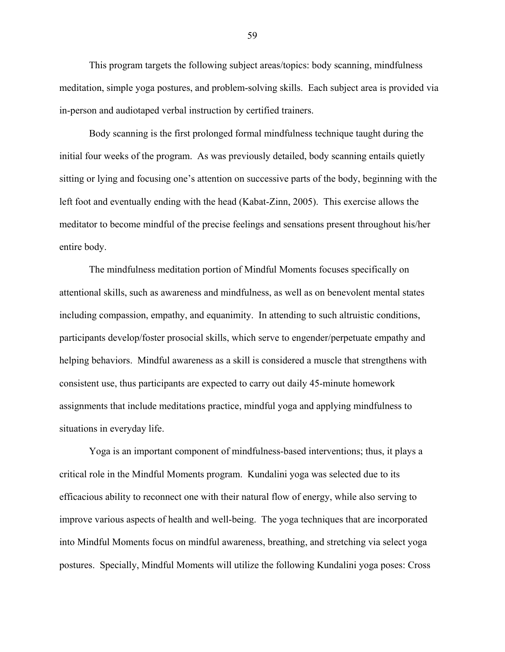This program targets the following subject areas/topics: body scanning, mindfulness meditation, simple yoga postures, and problem-solving skills. Each subject area is provided via in-person and audiotaped verbal instruction by certified trainers.

Body scanning is the first prolonged formal mindfulness technique taught during the initial four weeks of the program. As was previously detailed, body scanning entails quietly sitting or lying and focusing one's attention on successive parts of the body, beginning with the left foot and eventually ending with the head (Kabat-Zinn, 2005). This exercise allows the meditator to become mindful of the precise feelings and sensations present throughout his/her entire body.

The mindfulness meditation portion of Mindful Moments focuses specifically on attentional skills, such as awareness and mindfulness, as well as on benevolent mental states including compassion, empathy, and equanimity. In attending to such altruistic conditions, participants develop/foster prosocial skills, which serve to engender/perpetuate empathy and helping behaviors. Mindful awareness as a skill is considered a muscle that strengthens with consistent use, thus participants are expected to carry out daily 45-minute homework assignments that include meditations practice, mindful yoga and applying mindfulness to situations in everyday life.

Yoga is an important component of mindfulness-based interventions; thus, it plays a critical role in the Mindful Moments program. Kundalini yoga was selected due to its efficacious ability to reconnect one with their natural flow of energy, while also serving to improve various aspects of health and well-being. The yoga techniques that are incorporated into Mindful Moments focus on mindful awareness, breathing, and stretching via select yoga postures. Specially, Mindful Moments will utilize the following Kundalini yoga poses: Cross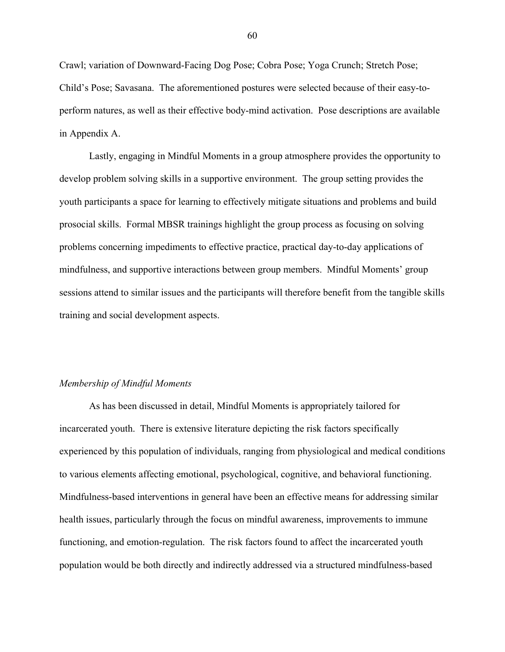Crawl; variation of Downward-Facing Dog Pose; Cobra Pose; Yoga Crunch; Stretch Pose; Child's Pose; Savasana. The aforementioned postures were selected because of their easy-toperform natures, as well as their effective body-mind activation. Pose descriptions are available in Appendix A.

Lastly, engaging in Mindful Moments in a group atmosphere provides the opportunity to develop problem solving skills in a supportive environment. The group setting provides the youth participants a space for learning to effectively mitigate situations and problems and build prosocial skills. Formal MBSR trainings highlight the group process as focusing on solving problems concerning impediments to effective practice, practical day-to-day applications of mindfulness, and supportive interactions between group members. Mindful Moments' group sessions attend to similar issues and the participants will therefore benefit from the tangible skills training and social development aspects.

## *Membership of Mindful Moments*

As has been discussed in detail, Mindful Moments is appropriately tailored for incarcerated youth. There is extensive literature depicting the risk factors specifically experienced by this population of individuals, ranging from physiological and medical conditions to various elements affecting emotional, psychological, cognitive, and behavioral functioning. Mindfulness-based interventions in general have been an effective means for addressing similar health issues, particularly through the focus on mindful awareness, improvements to immune functioning, and emotion-regulation. The risk factors found to affect the incarcerated youth population would be both directly and indirectly addressed via a structured mindfulness-based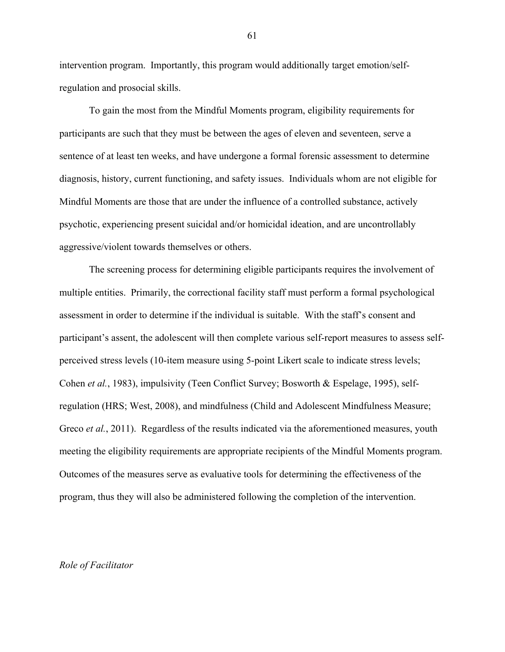intervention program. Importantly, this program would additionally target emotion/selfregulation and prosocial skills.

To gain the most from the Mindful Moments program, eligibility requirements for participants are such that they must be between the ages of eleven and seventeen, serve a sentence of at least ten weeks, and have undergone a formal forensic assessment to determine diagnosis, history, current functioning, and safety issues. Individuals whom are not eligible for Mindful Moments are those that are under the influence of a controlled substance, actively psychotic, experiencing present suicidal and/or homicidal ideation, and are uncontrollably aggressive/violent towards themselves or others.

The screening process for determining eligible participants requires the involvement of multiple entities. Primarily, the correctional facility staff must perform a formal psychological assessment in order to determine if the individual is suitable. With the staff's consent and participant's assent, the adolescent will then complete various self-report measures to assess selfperceived stress levels (10-item measure using 5-point Likert scale to indicate stress levels; Cohen *et al.*, 1983), impulsivity (Teen Conflict Survey; Bosworth & Espelage, 1995), selfregulation (HRS; West, 2008), and mindfulness (Child and Adolescent Mindfulness Measure; Greco *et al.*, 2011). Regardless of the results indicated via the aforementioned measures, youth meeting the eligibility requirements are appropriate recipients of the Mindful Moments program. Outcomes of the measures serve as evaluative tools for determining the effectiveness of the program, thus they will also be administered following the completion of the intervention.

#### *Role of Facilitator*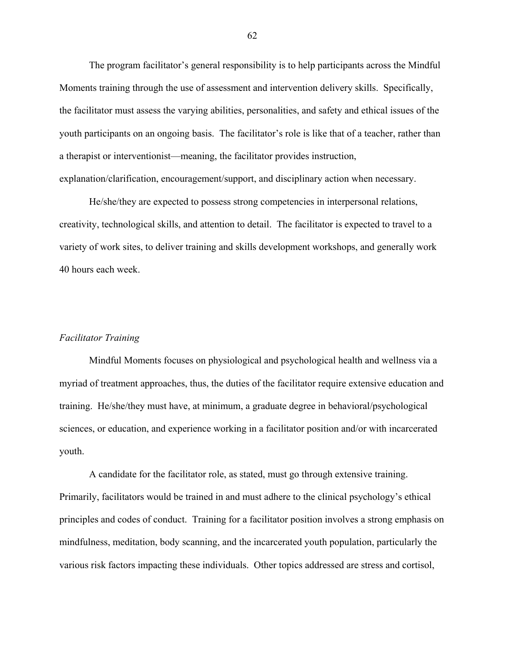The program facilitator's general responsibility is to help participants across the Mindful Moments training through the use of assessment and intervention delivery skills. Specifically, the facilitator must assess the varying abilities, personalities, and safety and ethical issues of the youth participants on an ongoing basis. The facilitator's role is like that of a teacher, rather than a therapist or interventionist—meaning, the facilitator provides instruction, explanation/clarification, encouragement/support, and disciplinary action when necessary.

He/she/they are expected to possess strong competencies in interpersonal relations, creativity, technological skills, and attention to detail. The facilitator is expected to travel to a variety of work sites, to deliver training and skills development workshops, and generally work 40 hours each week.

## *Facilitator Training*

Mindful Moments focuses on physiological and psychological health and wellness via a myriad of treatment approaches, thus, the duties of the facilitator require extensive education and training. He/she/they must have, at minimum, a graduate degree in behavioral/psychological sciences, or education, and experience working in a facilitator position and/or with incarcerated youth.

A candidate for the facilitator role, as stated, must go through extensive training. Primarily, facilitators would be trained in and must adhere to the clinical psychology's ethical principles and codes of conduct. Training for a facilitator position involves a strong emphasis on mindfulness, meditation, body scanning, and the incarcerated youth population, particularly the various risk factors impacting these individuals. Other topics addressed are stress and cortisol,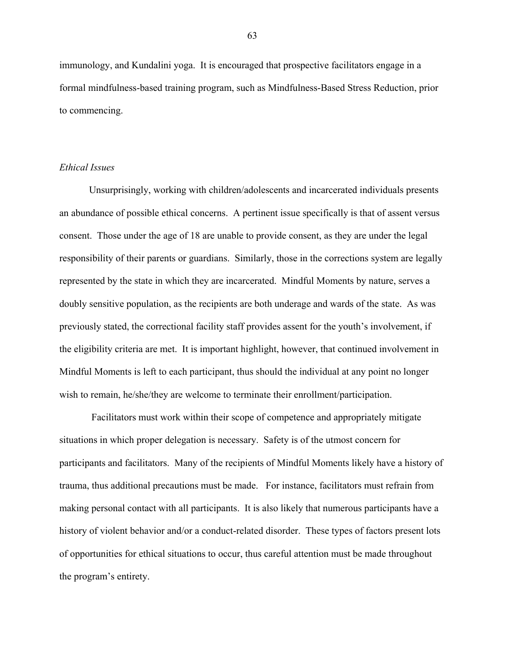immunology, and Kundalini yoga. It is encouraged that prospective facilitators engage in a formal mindfulness-based training program, such as Mindfulness-Based Stress Reduction, prior to commencing.

## *Ethical Issues*

Unsurprisingly, working with children/adolescents and incarcerated individuals presents an abundance of possible ethical concerns. A pertinent issue specifically is that of assent versus consent. Those under the age of 18 are unable to provide consent, as they are under the legal responsibility of their parents or guardians. Similarly, those in the corrections system are legally represented by the state in which they are incarcerated. Mindful Moments by nature, serves a doubly sensitive population, as the recipients are both underage and wards of the state. As was previously stated, the correctional facility staff provides assent for the youth's involvement, if the eligibility criteria are met. It is important highlight, however, that continued involvement in Mindful Moments is left to each participant, thus should the individual at any point no longer wish to remain, he/she/they are welcome to terminate their enrollment/participation.

Facilitators must work within their scope of competence and appropriately mitigate situations in which proper delegation is necessary. Safety is of the utmost concern for participants and facilitators. Many of the recipients of Mindful Moments likely have a history of trauma, thus additional precautions must be made. For instance, facilitators must refrain from making personal contact with all participants. It is also likely that numerous participants have a history of violent behavior and/or a conduct-related disorder. These types of factors present lots of opportunities for ethical situations to occur, thus careful attention must be made throughout the program's entirety.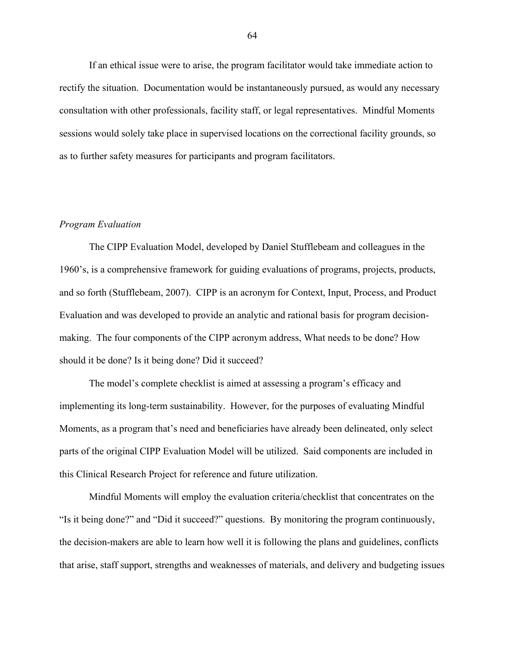If an ethical issue were to arise, the program facilitator would take immediate action to rectify the situation. Documentation would be instantaneously pursued, as would any necessary consultation with other professionals, facility staff, or legal representatives. Mindful Moments sessions would solely take place in supervised locations on the correctional facility grounds, so as to further safety measures for participants and program facilitators.

#### *Program Evaluation*

The CIPP Evaluation Model, developed by Daniel Stufflebeam and colleagues in the 1960's, is a comprehensive framework for guiding evaluations of programs, projects, products, and so forth (Stufflebeam, 2007). CIPP is an acronym for Context, Input, Process, and Product Evaluation and was developed to provide an analytic and rational basis for program decisionmaking. The four components of the CIPP acronym address, What needs to be done? How should it be done? Is it being done? Did it succeed?

The model's complete checklist is aimed at assessing a program's efficacy and implementing its long-term sustainability. However, for the purposes of evaluating Mindful Moments, as a program that's need and beneficiaries have already been delineated, only select parts of the original CIPP Evaluation Model will be utilized. Said components are included in this Clinical Research Project for reference and future utilization.

Mindful Moments will employ the evaluation criteria/checklist that concentrates on the "Is it being done?" and "Did it succeed?" questions. By monitoring the program continuously, the decision-makers are able to learn how well it is following the plans and guidelines, conflicts that arise, staff support, strengths and weaknesses of materials, and delivery and budgeting issues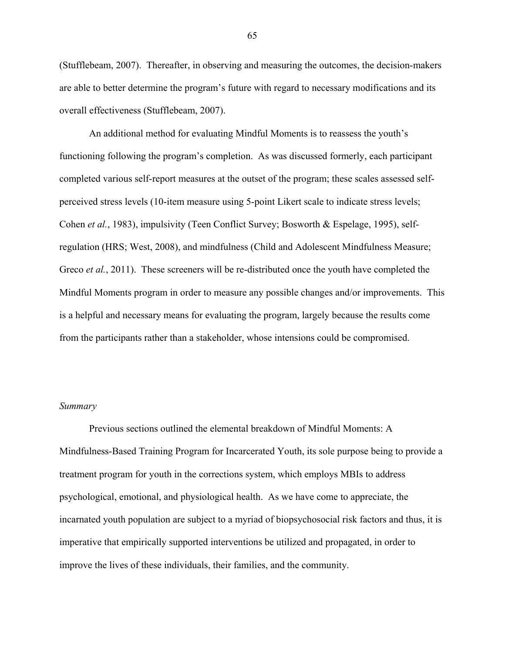(Stufflebeam, 2007). Thereafter, in observing and measuring the outcomes, the decision-makers are able to better determine the program's future with regard to necessary modifications and its overall effectiveness (Stufflebeam, 2007).

An additional method for evaluating Mindful Moments is to reassess the youth's functioning following the program's completion. As was discussed formerly, each participant completed various self-report measures at the outset of the program; these scales assessed selfperceived stress levels (10-item measure using 5-point Likert scale to indicate stress levels; Cohen *et al.*, 1983), impulsivity (Teen Conflict Survey; Bosworth & Espelage, 1995), selfregulation (HRS; West, 2008), and mindfulness (Child and Adolescent Mindfulness Measure; Greco *et al.*, 2011). These screeners will be re-distributed once the youth have completed the Mindful Moments program in order to measure any possible changes and/or improvements. This is a helpful and necessary means for evaluating the program, largely because the results come from the participants rather than a stakeholder, whose intensions could be compromised.

#### *Summary*

Previous sections outlined the elemental breakdown of Mindful Moments: A Mindfulness-Based Training Program for Incarcerated Youth, its sole purpose being to provide a treatment program for youth in the corrections system, which employs MBIs to address psychological, emotional, and physiological health. As we have come to appreciate, the incarnated youth population are subject to a myriad of biopsychosocial risk factors and thus, it is imperative that empirically supported interventions be utilized and propagated, in order to improve the lives of these individuals, their families, and the community.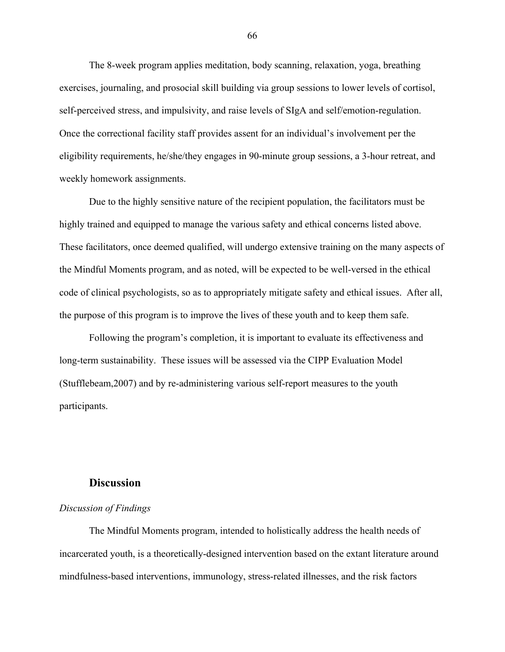The 8-week program applies meditation, body scanning, relaxation, yoga, breathing exercises, journaling, and prosocial skill building via group sessions to lower levels of cortisol, self-perceived stress, and impulsivity, and raise levels of SIgA and self/emotion-regulation. Once the correctional facility staff provides assent for an individual's involvement per the eligibility requirements, he/she/they engages in 90-minute group sessions, a 3-hour retreat, and weekly homework assignments.

Due to the highly sensitive nature of the recipient population, the facilitators must be highly trained and equipped to manage the various safety and ethical concerns listed above. These facilitators, once deemed qualified, will undergo extensive training on the many aspects of the Mindful Moments program, and as noted, will be expected to be well-versed in the ethical code of clinical psychologists, so as to appropriately mitigate safety and ethical issues. After all, the purpose of this program is to improve the lives of these youth and to keep them safe.

Following the program's completion, it is important to evaluate its effectiveness and long-term sustainability. These issues will be assessed via the CIPP Evaluation Model (Stufflebeam,2007) and by re-administering various self-report measures to the youth participants.

## **Discussion**

# *Discussion of Findings*

The Mindful Moments program, intended to holistically address the health needs of incarcerated youth, is a theoretically-designed intervention based on the extant literature around mindfulness-based interventions, immunology, stress-related illnesses, and the risk factors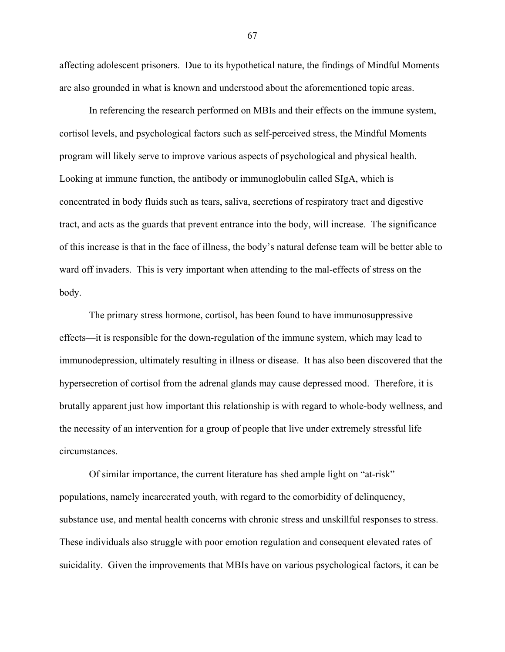affecting adolescent prisoners. Due to its hypothetical nature, the findings of Mindful Moments are also grounded in what is known and understood about the aforementioned topic areas.

In referencing the research performed on MBIs and their effects on the immune system, cortisol levels, and psychological factors such as self-perceived stress, the Mindful Moments program will likely serve to improve various aspects of psychological and physical health. Looking at immune function, the antibody or immunoglobulin called SIgA, which is concentrated in body fluids such as tears, saliva, secretions of respiratory tract and digestive tract, and acts as the guards that prevent entrance into the body, will increase. The significance of this increase is that in the face of illness, the body's natural defense team will be better able to ward off invaders. This is very important when attending to the mal-effects of stress on the body.

The primary stress hormone, cortisol, has been found to have immunosuppressive effects—it is responsible for the down-regulation of the immune system, which may lead to immunodepression, ultimately resulting in illness or disease. It has also been discovered that the hypersecretion of cortisol from the adrenal glands may cause depressed mood. Therefore, it is brutally apparent just how important this relationship is with regard to whole-body wellness, and the necessity of an intervention for a group of people that live under extremely stressful life circumstances.

Of similar importance, the current literature has shed ample light on "at-risk" populations, namely incarcerated youth, with regard to the comorbidity of delinquency, substance use, and mental health concerns with chronic stress and unskillful responses to stress. These individuals also struggle with poor emotion regulation and consequent elevated rates of suicidality. Given the improvements that MBIs have on various psychological factors, it can be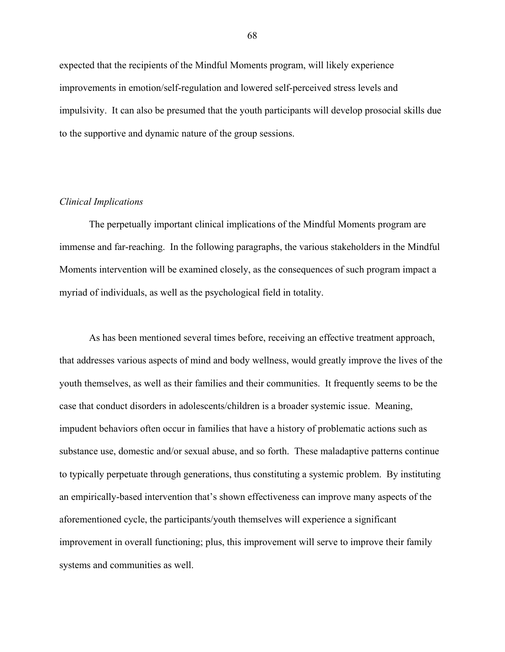expected that the recipients of the Mindful Moments program, will likely experience improvements in emotion/self-regulation and lowered self-perceived stress levels and impulsivity. It can also be presumed that the youth participants will develop prosocial skills due to the supportive and dynamic nature of the group sessions.

## *Clinical Implications*

The perpetually important clinical implications of the Mindful Moments program are immense and far-reaching. In the following paragraphs, the various stakeholders in the Mindful Moments intervention will be examined closely, as the consequences of such program impact a myriad of individuals, as well as the psychological field in totality.

As has been mentioned several times before, receiving an effective treatment approach, that addresses various aspects of mind and body wellness, would greatly improve the lives of the youth themselves, as well as their families and their communities. It frequently seems to be the case that conduct disorders in adolescents/children is a broader systemic issue. Meaning, impudent behaviors often occur in families that have a history of problematic actions such as substance use, domestic and/or sexual abuse, and so forth. These maladaptive patterns continue to typically perpetuate through generations, thus constituting a systemic problem. By instituting an empirically-based intervention that's shown effectiveness can improve many aspects of the aforementioned cycle, the participants/youth themselves will experience a significant improvement in overall functioning; plus, this improvement will serve to improve their family systems and communities as well.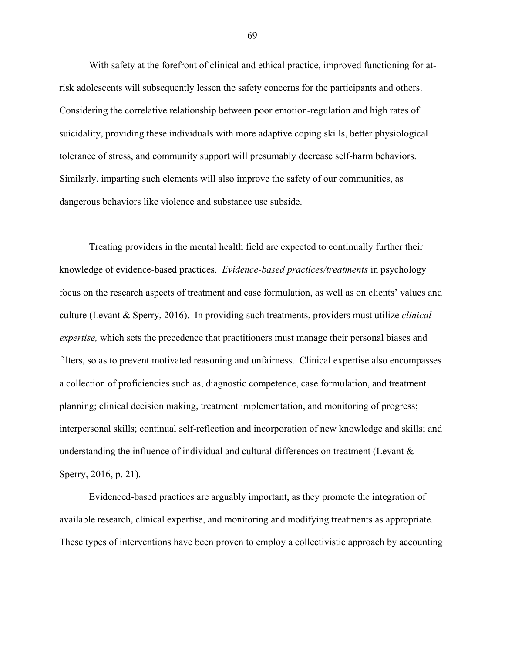With safety at the forefront of clinical and ethical practice, improved functioning for atrisk adolescents will subsequently lessen the safety concerns for the participants and others. Considering the correlative relationship between poor emotion-regulation and high rates of suicidality, providing these individuals with more adaptive coping skills, better physiological tolerance of stress, and community support will presumably decrease self-harm behaviors. Similarly, imparting such elements will also improve the safety of our communities, as dangerous behaviors like violence and substance use subside.

Treating providers in the mental health field are expected to continually further their knowledge of evidence-based practices. *Evidence-based practices/treatments* in psychology focus on the research aspects of treatment and case formulation, as well as on clients' values and culture (Levant & Sperry, 2016). In providing such treatments, providers must utilize *clinical expertise,* which sets the precedence that practitioners must manage their personal biases and filters, so as to prevent motivated reasoning and unfairness. Clinical expertise also encompasses a collection of proficiencies such as, diagnostic competence, case formulation, and treatment planning; clinical decision making, treatment implementation, and monitoring of progress; interpersonal skills; continual self-reflection and incorporation of new knowledge and skills; and understanding the influence of individual and cultural differences on treatment (Levant & Sperry, 2016, p. 21).

Evidenced-based practices are arguably important, as they promote the integration of available research, clinical expertise, and monitoring and modifying treatments as appropriate. These types of interventions have been proven to employ a collectivistic approach by accounting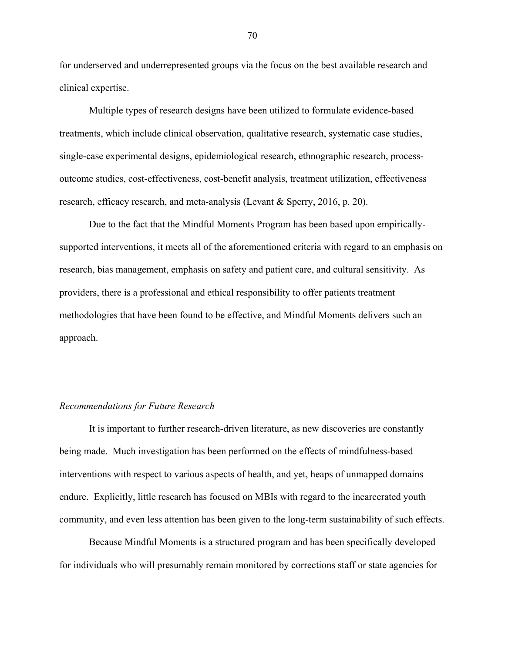for underserved and underrepresented groups via the focus on the best available research and clinical expertise.

Multiple types of research designs have been utilized to formulate evidence-based treatments, which include clinical observation, qualitative research, systematic case studies, single-case experimental designs, epidemiological research, ethnographic research, processoutcome studies, cost-effectiveness, cost-benefit analysis, treatment utilization, effectiveness research, efficacy research, and meta-analysis (Levant & Sperry, 2016, p. 20).

Due to the fact that the Mindful Moments Program has been based upon empiricallysupported interventions, it meets all of the aforementioned criteria with regard to an emphasis on research, bias management, emphasis on safety and patient care, and cultural sensitivity. As providers, there is a professional and ethical responsibility to offer patients treatment methodologies that have been found to be effective, and Mindful Moments delivers such an approach.

#### *Recommendations for Future Research*

It is important to further research-driven literature, as new discoveries are constantly being made. Much investigation has been performed on the effects of mindfulness-based interventions with respect to various aspects of health, and yet, heaps of unmapped domains endure. Explicitly, little research has focused on MBIs with regard to the incarcerated youth community, and even less attention has been given to the long-term sustainability of such effects.

Because Mindful Moments is a structured program and has been specifically developed for individuals who will presumably remain monitored by corrections staff or state agencies for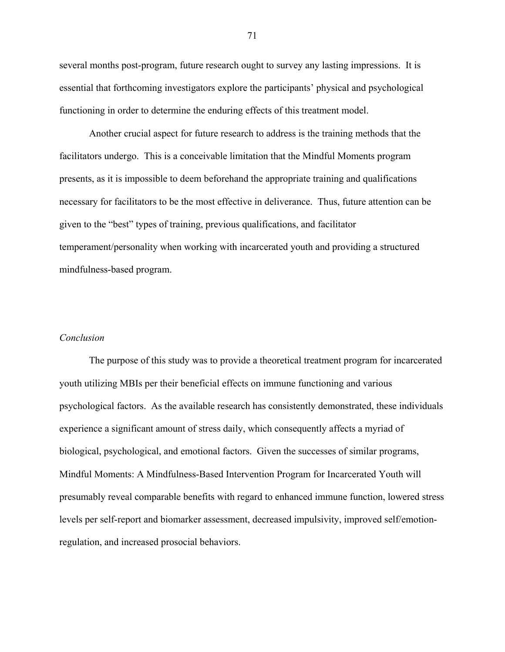several months post-program, future research ought to survey any lasting impressions. It is essential that forthcoming investigators explore the participants' physical and psychological functioning in order to determine the enduring effects of this treatment model.

Another crucial aspect for future research to address is the training methods that the facilitators undergo. This is a conceivable limitation that the Mindful Moments program presents, as it is impossible to deem beforehand the appropriate training and qualifications necessary for facilitators to be the most effective in deliverance. Thus, future attention can be given to the "best" types of training, previous qualifications, and facilitator temperament/personality when working with incarcerated youth and providing a structured mindfulness-based program.

#### *Conclusion*

The purpose of this study was to provide a theoretical treatment program for incarcerated youth utilizing MBIs per their beneficial effects on immune functioning and various psychological factors. As the available research has consistently demonstrated, these individuals experience a significant amount of stress daily, which consequently affects a myriad of biological, psychological, and emotional factors. Given the successes of similar programs, Mindful Moments: A Mindfulness-Based Intervention Program for Incarcerated Youth will presumably reveal comparable benefits with regard to enhanced immune function, lowered stress levels per self-report and biomarker assessment, decreased impulsivity, improved self/emotionregulation, and increased prosocial behaviors.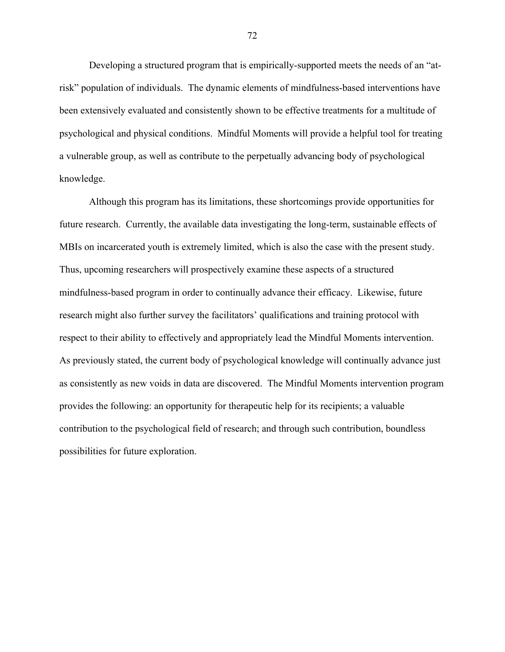Developing a structured program that is empirically-supported meets the needs of an "atrisk" population of individuals. The dynamic elements of mindfulness-based interventions have been extensively evaluated and consistently shown to be effective treatments for a multitude of psychological and physical conditions. Mindful Moments will provide a helpful tool for treating a vulnerable group, as well as contribute to the perpetually advancing body of psychological knowledge.

Although this program has its limitations, these shortcomings provide opportunities for future research. Currently, the available data investigating the long-term, sustainable effects of MBIs on incarcerated youth is extremely limited, which is also the case with the present study. Thus, upcoming researchers will prospectively examine these aspects of a structured mindfulness-based program in order to continually advance their efficacy. Likewise, future research might also further survey the facilitators' qualifications and training protocol with respect to their ability to effectively and appropriately lead the Mindful Moments intervention. As previously stated, the current body of psychological knowledge will continually advance just as consistently as new voids in data are discovered. The Mindful Moments intervention program provides the following: an opportunity for therapeutic help for its recipients; a valuable contribution to the psychological field of research; and through such contribution, boundless possibilities for future exploration.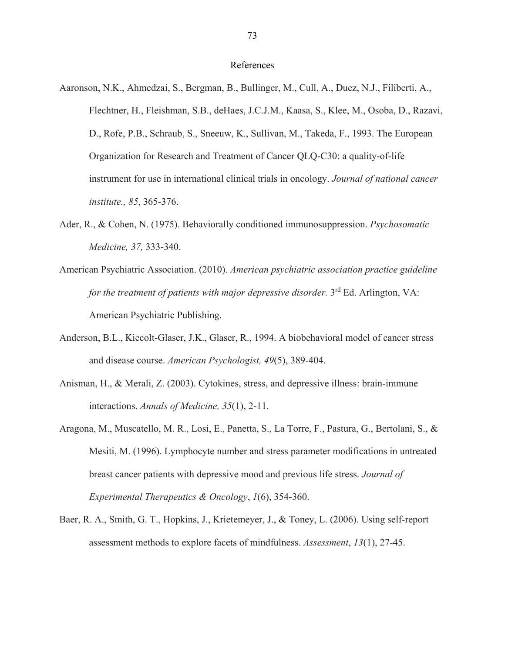#### References

- Aaronson, N.K., Ahmedzai, S., Bergman, B., Bullinger, M., Cull, A., Duez, N.J., Filiberti, A., Flechtner, H., Fleishman, S.B., deHaes, J.C.J.M., Kaasa, S., Klee, M., Osoba, D., Razavi, D., Rofe, P.B., Schraub, S., Sneeuw, K., Sullivan, M., Takeda, F., 1993. The European Organization for Research and Treatment of Cancer QLQ-C30: a quality-of-life instrument for use in international clinical trials in oncology. *Journal of national cancer institute., 85*, 365-376.
- Ader, R., & Cohen, N. (1975). Behaviorally conditioned immunosuppression. *Psychosomatic Medicine, 37,* 333-340.
- American Psychiatric Association. (2010). *American psychiatric association practice guideline for the treatment of patients with major depressive disorder.* 3<sup>rd</sup> Ed. Arlington, VA: American Psychiatric Publishing.
- Anderson, B.L., Kiecolt-Glaser, J.K., Glaser, R., 1994. A biobehavioral model of cancer stress and disease course. *American Psychologist, 49*(5), 389-404.
- Anisman, H., & Merali, Z. (2003). Cytokines, stress, and depressive illness: brain-immune interactions. *Annals of Medicine, 35*(1), 2-11.
- Aragona, M., Muscatello, M. R., Losi, E., Panetta, S., La Torre, F., Pastura, G., Bertolani, S., & Mesiti, M. (1996). Lymphocyte number and stress parameter modifications in untreated breast cancer patients with depressive mood and previous life stress. *Journal of Experimental Therapeutics & Oncology*, *1*(6), 354-360.
- Baer, R. A., Smith, G. T., Hopkins, J., Krietemeyer, J., & Toney, L. (2006). Using self-report assessment methods to explore facets of mindfulness. *Assessment*, *13*(1), 27-45.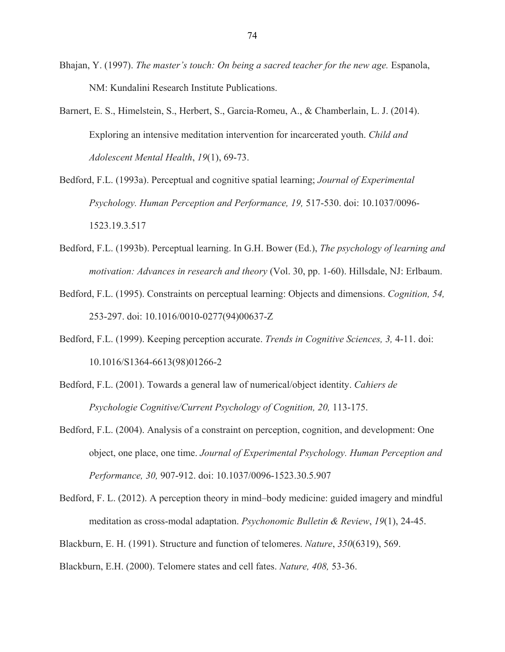- Bhajan, Y. (1997). *The master's touch: On being a sacred teacher for the new age.* Espanola, NM: Kundalini Research Institute Publications.
- Barnert, E. S., Himelstein, S., Herbert, S., Garcia‐Romeu, A., & Chamberlain, L. J. (2014). Exploring an intensive meditation intervention for incarcerated youth. *Child and Adolescent Mental Health*, *19*(1), 69-73.
- Bedford, F.L. (1993a). Perceptual and cognitive spatial learning; *Journal of Experimental Psychology. Human Perception and Performance, 19,* 517-530. doi: 10.1037/0096- 1523.19.3.517
- Bedford, F.L. (1993b). Perceptual learning. In G.H. Bower (Ed.), *The psychology of learning and motivation: Advances in research and theory* (Vol. 30, pp. 1-60). Hillsdale, NJ: Erlbaum.
- Bedford, F.L. (1995). Constraints on perceptual learning: Objects and dimensions. *Cognition, 54,*  253-297. doi: 10.1016/0010-0277(94)00637-Z
- Bedford, F.L. (1999). Keeping perception accurate. *Trends in Cognitive Sciences, 3,* 4-11. doi: 10.1016/S1364-6613(98)01266-2
- Bedford, F.L. (2001). Towards a general law of numerical/object identity. *Cahiers de Psychologie Cognitive/Current Psychology of Cognition, 20,* 113-175.
- Bedford, F.L. (2004). Analysis of a constraint on perception, cognition, and development: One object, one place, one time. *Journal of Experimental Psychology. Human Perception and Performance, 30,* 907-912. doi: 10.1037/0096-1523.30.5.907
- Bedford, F. L. (2012). A perception theory in mind–body medicine: guided imagery and mindful meditation as cross-modal adaptation. *Psychonomic Bulletin & Review*, *19*(1), 24-45.
- Blackburn, E. H. (1991). Structure and function of telomeres. *Nature*, *350*(6319), 569.
- Blackburn, E.H. (2000). Telomere states and cell fates. *Nature, 408,* 53-36.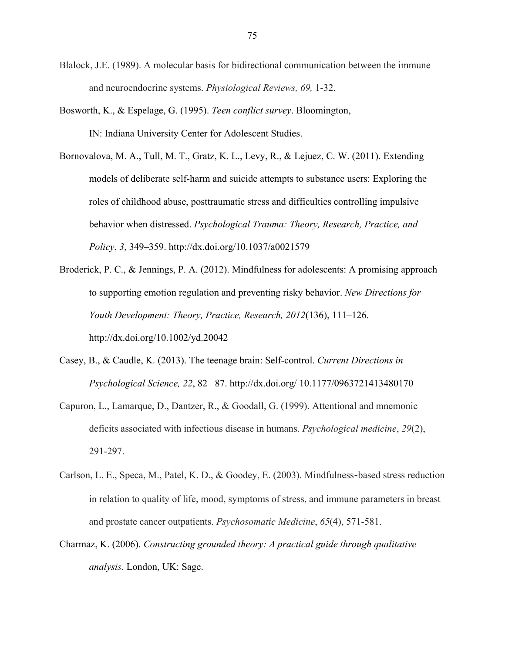- Blalock, J.E. (1989). A molecular basis for bidirectional communication between the immune and neuroendocrine systems. *Physiological Reviews, 69,* 1-32.
- Bosworth, K., & Espelage, G. (1995). *Teen conflict survey*. Bloomington, IN: Indiana University Center for Adolescent Studies.
- Bornovalova, M. A., Tull, M. T., Gratz, K. L., Levy, R., & Lejuez, C. W. (2011). Extending models of deliberate self-harm and suicide attempts to substance users: Exploring the roles of childhood abuse, posttraumatic stress and difficulties controlling impulsive behavior when distressed. *Psychological Trauma: Theory, Research, Practice, and Policy*, *3*, 349–359. http://dx.doi.org/10.1037/a0021579
- Broderick, P. C., & Jennings, P. A. (2012). Mindfulness for adolescents: A promising approach to supporting emotion regulation and preventing risky behavior. *New Directions for Youth Development: Theory, Practice, Research, 2012*(136), 111–126. http://dx.doi.org/10.1002/yd.20042
- Casey, B., & Caudle, K. (2013). The teenage brain: Self-control. *Current Directions in Psychological Science, 22*, 82– 87. http://dx.doi.org/ 10.1177/0963721413480170
- Capuron, L., Lamarque, D., Dantzer, R., & Goodall, G. (1999). Attentional and mnemonic deficits associated with infectious disease in humans. *Psychological medicine*, *29*(2), 291-297.
- Carlson, L. E., Speca, M., Patel, K. D., & Goodey, E. (2003). Mindfulness‐based stress reduction in relation to quality of life, mood, symptoms of stress, and immune parameters in breast and prostate cancer outpatients. *Psychosomatic Medicine*, *65*(4), 571-581.
- Charmaz, K. (2006). *Constructing grounded theory: A practical guide through qualitative analysis*. London, UK: Sage.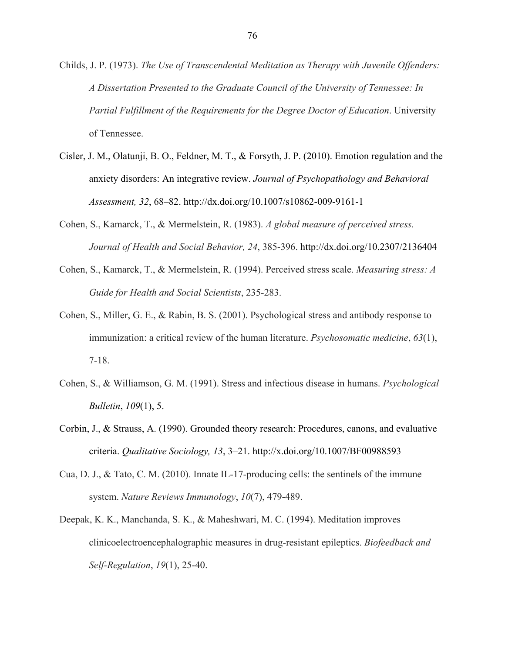- Childs, J. P. (1973). *The Use of Transcendental Meditation as Therapy with Juvenile Offenders: A Dissertation Presented to the Graduate Council of the University of Tennessee: In Partial Fulfillment of the Requirements for the Degree Doctor of Education*. University of Tennessee.
- Cisler, J. M., Olatunji, B. O., Feldner, M. T., & Forsyth, J. P. (2010). Emotion regulation and the anxiety disorders: An integrative review. *Journal of Psychopathology and Behavioral Assessment, 32*, 68–82. http://dx.doi.org/10.1007/s10862-009-9161-1
- Cohen, S., Kamarck, T., & Mermelstein, R. (1983). *A global measure of perceived stress. Journal of Health and Social Behavior, 24*, 385-396. http://dx.doi.org/10.2307/2136404
- Cohen, S., Kamarck, T., & Mermelstein, R. (1994). Perceived stress scale. *Measuring stress: A Guide for Health and Social Scientists*, 235-283.
- Cohen, S., Miller, G. E., & Rabin, B. S. (2001). Psychological stress and antibody response to immunization: a critical review of the human literature. *Psychosomatic medicine*, *63*(1), 7-18.
- Cohen, S., & Williamson, G. M. (1991). Stress and infectious disease in humans. *Psychological Bulletin*, *109*(1), 5.
- Corbin, J., & Strauss, A. (1990). Grounded theory research: Procedures, canons, and evaluative criteria. *Qualitative Sociology, 13*, 3–21. http://x.doi.org/10.1007/BF00988593
- Cua, D. J., & Tato, C. M. (2010). Innate IL-17-producing cells: the sentinels of the immune system. *Nature Reviews Immunology*, *10*(7), 479-489.
- Deepak, K. K., Manchanda, S. K., & Maheshwari, M. C. (1994). Meditation improves clinicoelectroencephalographic measures in drug-resistant epileptics. *Biofeedback and Self-Regulation*, *19*(1), 25-40.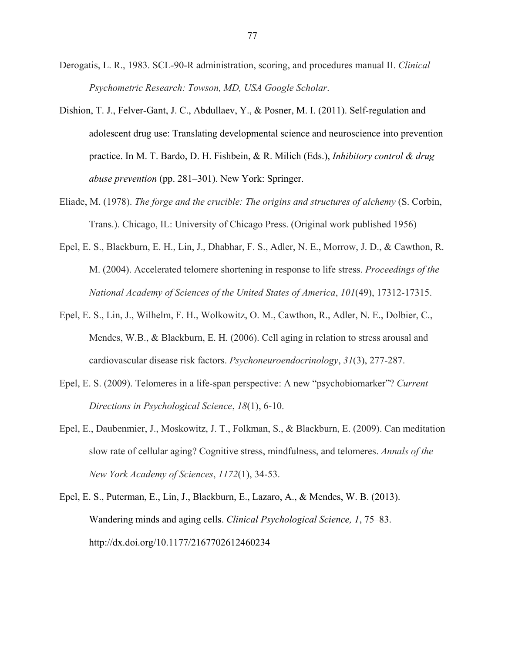- Derogatis, L. R., 1983. SCL-90-R administration, scoring, and procedures manual II. *Clinical Psychometric Research: Towson, MD, USA Google Scholar*.
- Dishion, T. J., Felver-Gant, J. C., Abdullaev, Y., & Posner, M. I. (2011). Self-regulation and adolescent drug use: Translating developmental science and neuroscience into prevention practice. In M. T. Bardo, D. H. Fishbein, & R. Milich (Eds.), *Inhibitory control & drug abuse prevention* (pp. 281–301). New York: Springer.
- Eliade, M. (1978). *The forge and the crucible: The origins and structures of alchemy* (S. Corbin, Trans.). Chicago, IL: University of Chicago Press. (Original work published 1956)
- Epel, E. S., Blackburn, E. H., Lin, J., Dhabhar, F. S., Adler, N. E., Morrow, J. D., & Cawthon, R. M. (2004). Accelerated telomere shortening in response to life stress. *Proceedings of the National Academy of Sciences of the United States of America*, *101*(49), 17312-17315.
- Epel, E. S., Lin, J., Wilhelm, F. H., Wolkowitz, O. M., Cawthon, R., Adler, N. E., Dolbier, C., Mendes, W.B., & Blackburn, E. H. (2006). Cell aging in relation to stress arousal and cardiovascular disease risk factors. *Psychoneuroendocrinology*, *31*(3), 277-287.
- Epel, E. S. (2009). Telomeres in a life-span perspective: A new "psychobiomarker"? *Current Directions in Psychological Science*, *18*(1), 6-10.
- Epel, E., Daubenmier, J., Moskowitz, J. T., Folkman, S., & Blackburn, E. (2009). Can meditation slow rate of cellular aging? Cognitive stress, mindfulness, and telomeres. *Annals of the New York Academy of Sciences*, *1172*(1), 34-53.
- Epel, E. S., Puterman, E., Lin, J., Blackburn, E., Lazaro, A., & Mendes, W. B. (2013). Wandering minds and aging cells. *Clinical Psychological Science, 1*, 75–83. http://dx.doi.org/10.1177/2167702612460234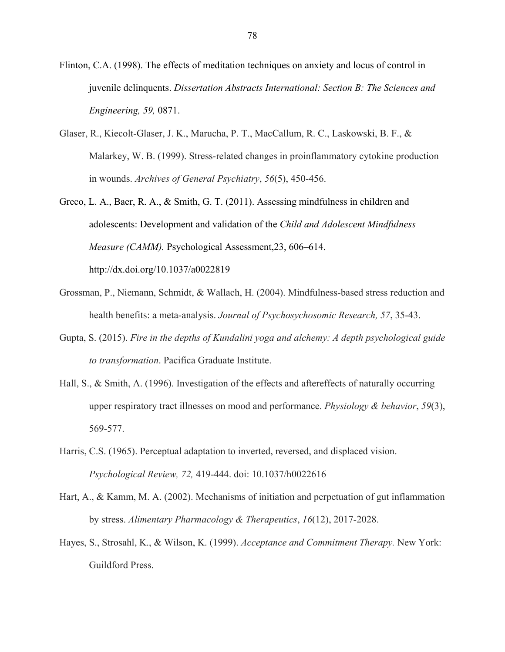Flinton, C.A. (1998). The effects of meditation techniques on anxiety and locus of control in juvenile delinquents. *Dissertation Abstracts International: Section B: The Sciences and Engineering, 59,* 0871.

- Glaser, R., Kiecolt-Glaser, J. K., Marucha, P. T., MacCallum, R. C., Laskowski, B. F., & Malarkey, W. B. (1999). Stress-related changes in proinflammatory cytokine production in wounds. *Archives of General Psychiatry*, *56*(5), 450-456.
- Greco, L. A., Baer, R. A., & Smith, G. T. (2011). Assessing mindfulness in children and adolescents: Development and validation of the *Child and Adolescent Mindfulness Measure (CAMM).* Psychological Assessment,23, 606–614. http://dx.doi.org/10.1037/a0022819
- Grossman, P., Niemann, Schmidt, & Wallach, H. (2004). Mindfulness-based stress reduction and health benefits: a meta-analysis. *Journal of Psychosychosomic Research, 57*, 35-43.
- Gupta, S. (2015). *Fire in the depths of Kundalini yoga and alchemy: A depth psychological guide to transformation*. Pacifica Graduate Institute.
- Hall, S., & Smith, A. (1996). Investigation of the effects and aftereffects of naturally occurring upper respiratory tract illnesses on mood and performance. *Physiology & behavior*, *59*(3), 569-577.
- Harris, C.S. (1965). Perceptual adaptation to inverted, reversed, and displaced vision. *Psychological Review, 72,* 419-444. doi: 10.1037/h0022616
- Hart, A., & Kamm, M. A. (2002). Mechanisms of initiation and perpetuation of gut inflammation by stress. *Alimentary Pharmacology & Therapeutics*, *16*(12), 2017-2028.
- Hayes, S., Strosahl, K., & Wilson, K. (1999). *Acceptance and Commitment Therapy.* New York: Guildford Press.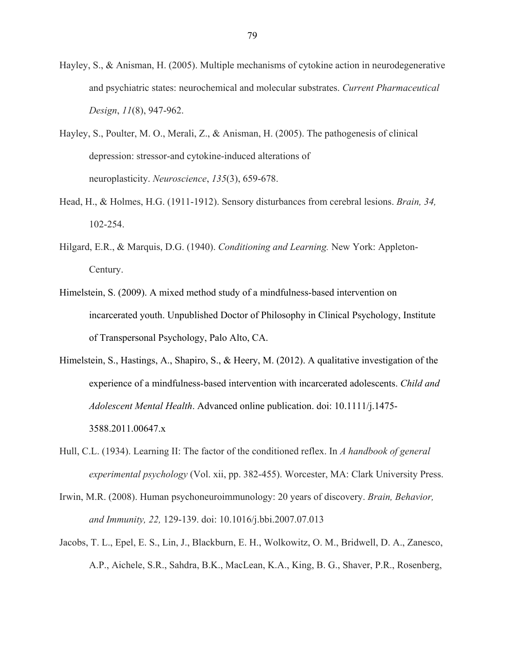- Hayley, S., & Anisman, H. (2005). Multiple mechanisms of cytokine action in neurodegenerative and psychiatric states: neurochemical and molecular substrates. *Current Pharmaceutical Design*, *11*(8), 947-962.
- Hayley, S., Poulter, M. O., Merali, Z., & Anisman, H. (2005). The pathogenesis of clinical depression: stressor-and cytokine-induced alterations of neuroplasticity. *Neuroscience*, *135*(3), 659-678.
- Head, H., & Holmes, H.G. (1911-1912). Sensory disturbances from cerebral lesions. *Brain, 34,*  102-254.
- Hilgard, E.R., & Marquis, D.G. (1940). *Conditioning and Learning.* New York: Appleton-Century.
- Himelstein, S. (2009). A mixed method study of a mindfulness-based intervention on incarcerated youth. Unpublished Doctor of Philosophy in Clinical Psychology, Institute of Transpersonal Psychology, Palo Alto, CA.
- Himelstein, S., Hastings, A., Shapiro, S., & Heery, M. (2012). A qualitative investigation of the experience of a mindfulness-based intervention with incarcerated adolescents. *Child and Adolescent Mental Health*. Advanced online publication. doi: 10.1111/j.1475- 3588.2011.00647.x
- Hull, C.L. (1934). Learning II: The factor of the conditioned reflex. In *A handbook of general experimental psychology* (Vol. xii, pp. 382-455). Worcester, MA: Clark University Press.
- Irwin, M.R. (2008). Human psychoneuroimmunology: 20 years of discovery. *Brain, Behavior, and Immunity, 22,* 129-139. doi: 10.1016/j.bbi.2007.07.013
- Jacobs, T. L., Epel, E. S., Lin, J., Blackburn, E. H., Wolkowitz, O. M., Bridwell, D. A., Zanesco, A.P., Aichele, S.R., Sahdra, B.K., MacLean, K.A., King, B. G., Shaver, P.R., Rosenberg,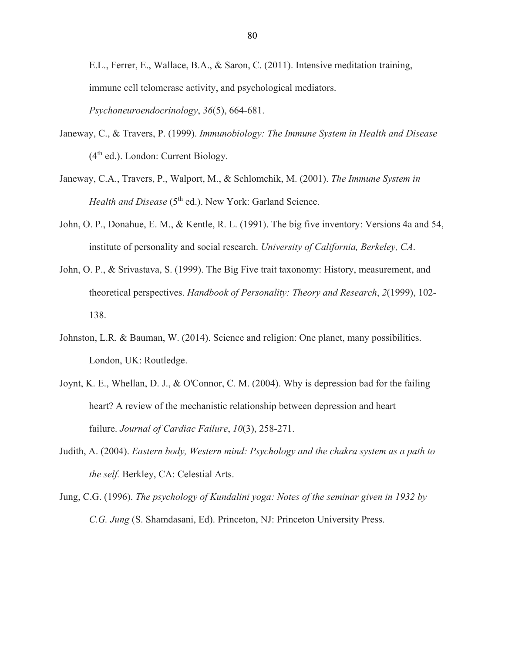E.L., Ferrer, E., Wallace, B.A., & Saron, C. (2011). Intensive meditation training, immune cell telomerase activity, and psychological mediators. *Psychoneuroendocrinology*, *36*(5), 664-681.

- Janeway, C., & Travers, P. (1999). *Immunobiology: The Immune System in Health and Disease*   $(4<sup>th</sup>$  ed.). London: Current Biology.
- Janeway, C.A., Travers, P., Walport, M., & Schlomchik, M. (2001). *The Immune System in Health and Disease* (5<sup>th</sup> ed.). New York: Garland Science.
- John, O. P., Donahue, E. M., & Kentle, R. L. (1991). The big five inventory: Versions 4a and 54, institute of personality and social research. *University of California, Berkeley, CA*.
- John, O. P., & Srivastava, S. (1999). The Big Five trait taxonomy: History, measurement, and theoretical perspectives. *Handbook of Personality: Theory and Research*, *2*(1999), 102- 138.
- Johnston, L.R. & Bauman, W. (2014). Science and religion: One planet, many possibilities. London, UK: Routledge.
- Joynt, K. E., Whellan, D. J., & O'Connor, C. M. (2004). Why is depression bad for the failing heart? A review of the mechanistic relationship between depression and heart failure. *Journal of Cardiac Failure*, *10*(3), 258-271.
- Judith, A. (2004). *Eastern body, Western mind: Psychology and the chakra system as a path to the self.* Berkley, CA: Celestial Arts.
- Jung, C.G. (1996). *The psychology of Kundalini yoga: Notes of the seminar given in 1932 by C.G. Jung* (S. Shamdasani, Ed). Princeton, NJ: Princeton University Press.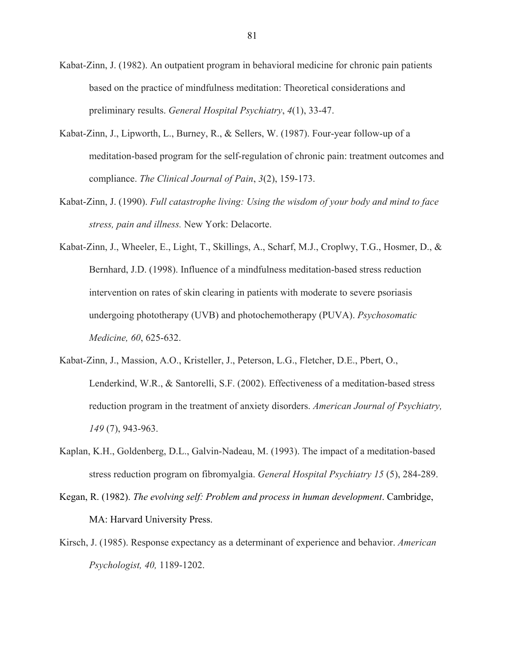Kabat-Zinn, J. (1982). An outpatient program in behavioral medicine for chronic pain patients based on the practice of mindfulness meditation: Theoretical considerations and preliminary results. *General Hospital Psychiatry*, *4*(1), 33-47.

- Kabat-Zinn, J., Lipworth, L., Burney, R., & Sellers, W. (1987). Four-year follow-up of a meditation-based program for the self-regulation of chronic pain: treatment outcomes and compliance. *The Clinical Journal of Pain*, *3*(2), 159-173.
- Kabat-Zinn, J. (1990). *Full catastrophe living: Using the wisdom of your body and mind to face stress, pain and illness.* New York: Delacorte.
- Kabat-Zinn, J., Wheeler, E., Light, T., Skillings, A., Scharf, M.J., Croplwy, T.G., Hosmer, D., & Bernhard, J.D. (1998). Influence of a mindfulness meditation-based stress reduction intervention on rates of skin clearing in patients with moderate to severe psoriasis undergoing phototherapy (UVB) and photochemotherapy (PUVA). *Psychosomatic Medicine, 60*, 625-632.
- Kabat-Zinn, J., Massion, A.O., Kristeller, J., Peterson, L.G., Fletcher, D.E., Pbert, O., Lenderkind, W.R., & Santorelli, S.F. (2002). Effectiveness of a meditation-based stress reduction program in the treatment of anxiety disorders. *American Journal of Psychiatry, 149* (7), 943-963.
- Kaplan, K.H., Goldenberg, D.L., Galvin-Nadeau, M. (1993). The impact of a meditation-based stress reduction program on fibromyalgia. *General Hospital Psychiatry 15* (5), 284-289.
- Kegan, R. (1982). *The evolving self: Problem and process in human development*. Cambridge, MA: Harvard University Press.
- Kirsch, J. (1985). Response expectancy as a determinant of experience and behavior. *American Psychologist, 40,* 1189-1202.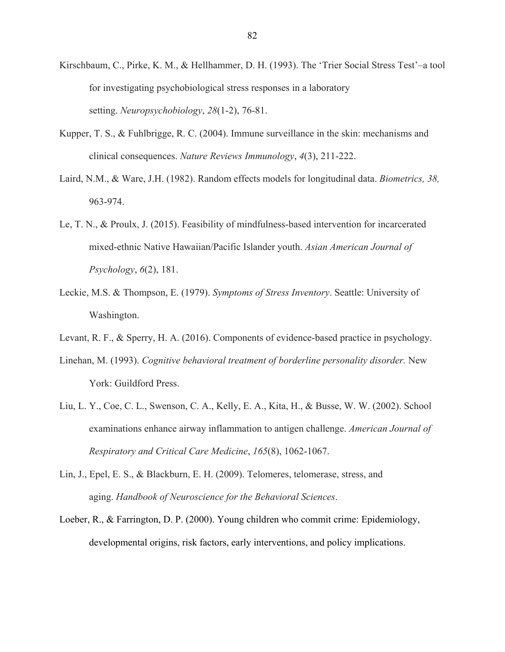- Kirschbaum, C., Pirke, K. M., & Hellhammer, D. H. (1993). The 'Trier Social Stress Test'–a tool for investigating psychobiological stress responses in a laboratory setting. *Neuropsychobiology*, *28*(1-2), 76-81.
- Kupper, T. S., & Fuhlbrigge, R. C. (2004). Immune surveillance in the skin: mechanisms and clinical consequences. *Nature Reviews Immunology*, *4*(3), 211-222.
- Laird, N.M., & Ware, J.H. (1982). Random effects models for longitudinal data. *Biometrics, 38,*  963-974.
- Le, T. N., & Proulx, J. (2015). Feasibility of mindfulness-based intervention for incarcerated mixed-ethnic Native Hawaiian/Pacific Islander youth. *Asian American Journal of Psychology*, *6*(2), 181.
- Leckie, M.S. & Thompson, E. (1979). *Symptoms of Stress Inventory*. Seattle: University of Washington.
- Levant, R. F., & Sperry, H. A. (2016). Components of evidence-based practice in psychology.
- Linehan, M. (1993). *Cognitive behavioral treatment of borderline personality disorder.* New York: Guildford Press.
- Liu, L. Y., Coe, C. L., Swenson, C. A., Kelly, E. A., Kita, H., & Busse, W. W. (2002). School examinations enhance airway inflammation to antigen challenge. *American Journal of Respiratory and Critical Care Medicine*, *165*(8), 1062-1067.
- Lin, J., Epel, E. S., & Blackburn, E. H. (2009). Telomeres, telomerase, stress, and aging. *Handbook of Neuroscience for the Behavioral Sciences*.
- Loeber, R., & Farrington, D. P. (2000). Young children who commit crime: Epidemiology, developmental origins, risk factors, early interventions, and policy implications.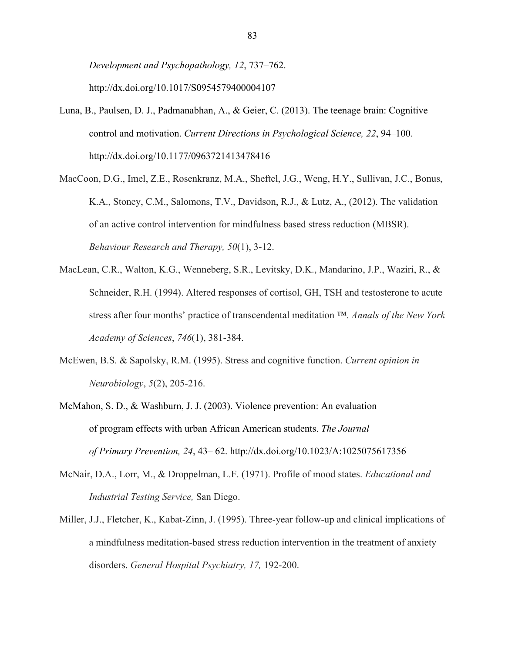*Development and Psychopathology, 12*, 737–762. http://dx.doi.org/10.1017/S0954579400004107

- Luna, B., Paulsen, D. J., Padmanabhan, A., & Geier, C. (2013). The teenage brain: Cognitive control and motivation. *Current Directions in Psychological Science, 22*, 94–100. http://dx.doi.org/10.1177/0963721413478416
- MacCoon, D.G., Imel, Z.E., Rosenkranz, M.A., Sheftel, J.G., Weng, H.Y., Sullivan, J.C., Bonus, K.A., Stoney, C.M., Salomons, T.V., Davidson, R.J., & Lutz, A., (2012). The validation of an active control intervention for mindfulness based stress reduction (MBSR). *Behaviour Research and Therapy, 50*(1), 3-12.
- MacLean, C.R., Walton, K.G., Wenneberg, S.R., Levitsky, D.K., Mandarino, J.P., Waziri, R., & Schneider, R.H. (1994). Altered responses of cortisol, GH, TSH and testosterone to acute stress after four months' practice of transcendental meditation ™. *Annals of the New York Academy of Sciences*, *746*(1), 381-384.
- McEwen, B.S. & Sapolsky, R.M. (1995). Stress and cognitive function. *Current opinion in Neurobiology*, *5*(2), 205-216.
- McMahon, S. D., & Washburn, J. J. (2003). Violence prevention: An evaluation of program effects with urban African American students. *The Journal of Primary Prevention, 24*, 43– 62. http://dx.doi.org/10.1023/A:1025075617356
- McNair, D.A., Lorr, M., & Droppelman, L.F. (1971). Profile of mood states. *Educational and Industrial Testing Service,* San Diego.
- Miller, J.J., Fletcher, K., Kabat-Zinn, J. (1995). Three-year follow-up and clinical implications of a mindfulness meditation-based stress reduction intervention in the treatment of anxiety disorders. *General Hospital Psychiatry, 17,* 192-200.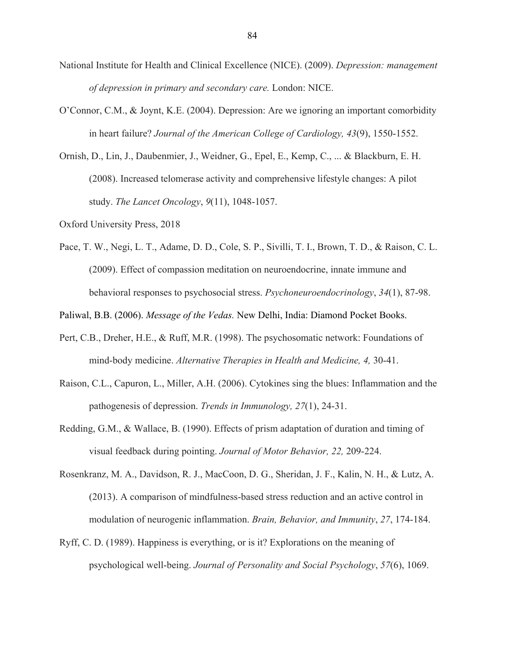- National Institute for Health and Clinical Excellence (NICE). (2009). *Depression: management of depression in primary and secondary care.* London: NICE.
- O'Connor, C.M., & Joynt, K.E. (2004). Depression: Are we ignoring an important comorbidity in heart failure? *Journal of the American College of Cardiology, 43*(9), 1550-1552.
- Ornish, D., Lin, J., Daubenmier, J., Weidner, G., Epel, E., Kemp, C., ... & Blackburn, E. H. (2008). Increased telomerase activity and comprehensive lifestyle changes: A pilot study. *The Lancet Oncology*, *9*(11), 1048-1057.
- Oxford University Press, 2018
- Pace, T. W., Negi, L. T., Adame, D. D., Cole, S. P., Sivilli, T. I., Brown, T. D., & Raison, C. L. (2009). Effect of compassion meditation on neuroendocrine, innate immune and behavioral responses to psychosocial stress. *Psychoneuroendocrinology*, *34*(1), 87-98.

Paliwal, B.B. (2006). *Message of the Vedas.* New Delhi, India: Diamond Pocket Books.

- Pert, C.B., Dreher, H.E., & Ruff, M.R. (1998). The psychosomatic network: Foundations of mind-body medicine. *Alternative Therapies in Health and Medicine, 4,* 30-41.
- Raison, C.L., Capuron, L., Miller, A.H. (2006). Cytokines sing the blues: Inflammation and the pathogenesis of depression. *Trends in Immunology, 27*(1), 24-31.
- Redding, G.M., & Wallace, B. (1990). Effects of prism adaptation of duration and timing of visual feedback during pointing. *Journal of Motor Behavior, 22,* 209-224.
- Rosenkranz, M. A., Davidson, R. J., MacCoon, D. G., Sheridan, J. F., Kalin, N. H., & Lutz, A. (2013). A comparison of mindfulness-based stress reduction and an active control in modulation of neurogenic inflammation. *Brain, Behavior, and Immunity*, *27*, 174-184.
- Ryff, C. D. (1989). Happiness is everything, or is it? Explorations on the meaning of psychological well-being. *Journal of Personality and Social Psychology*, *57*(6), 1069.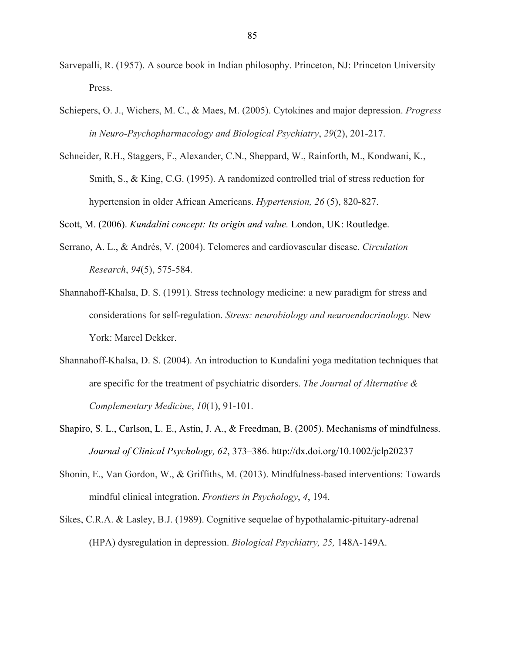- Sarvepalli, R. (1957). A source book in Indian philosophy. Princeton, NJ: Princeton University Press.
- Schiepers, O. J., Wichers, M. C., & Maes, M. (2005). Cytokines and major depression. *Progress in Neuro-Psychopharmacology and Biological Psychiatry*, *29*(2), 201-217.
- Schneider, R.H., Staggers, F., Alexander, C.N., Sheppard, W., Rainforth, M., Kondwani, K., Smith, S., & King, C.G. (1995). A randomized controlled trial of stress reduction for hypertension in older African Americans. *Hypertension, 26* (5), 820-827.

Scott, M. (2006). *Kundalini concept: Its origin and value.* London, UK: Routledge.

- Serrano, A. L., & Andrés, V. (2004). Telomeres and cardiovascular disease. *Circulation Research*, *94*(5), 575-584.
- Shannahoff-Khalsa, D. S. (1991). Stress technology medicine: a new paradigm for stress and considerations for self-regulation. *Stress: neurobiology and neuroendocrinology.* New York: Marcel Dekker.
- Shannahoff-Khalsa, D. S. (2004). An introduction to Kundalini yoga meditation techniques that are specific for the treatment of psychiatric disorders. *The Journal of Alternative & Complementary Medicine*, *10*(1), 91-101.
- Shapiro, S. L., Carlson, L. E., Astin, J. A., & Freedman, B. (2005). Mechanisms of mindfulness. *Journal of Clinical Psychology, 62*, 373–386. http://dx.doi.org/10.1002/jclp20237
- Shonin, E., Van Gordon, W., & Griffiths, M. (2013). Mindfulness-based interventions: Towards mindful clinical integration. *Frontiers in Psychology*, *4*, 194.
- Sikes, C.R.A. & Lasley, B.J. (1989). Cognitive sequelae of hypothalamic-pituitary-adrenal (HPA) dysregulation in depression. *Biological Psychiatry, 25,* 148A-149A.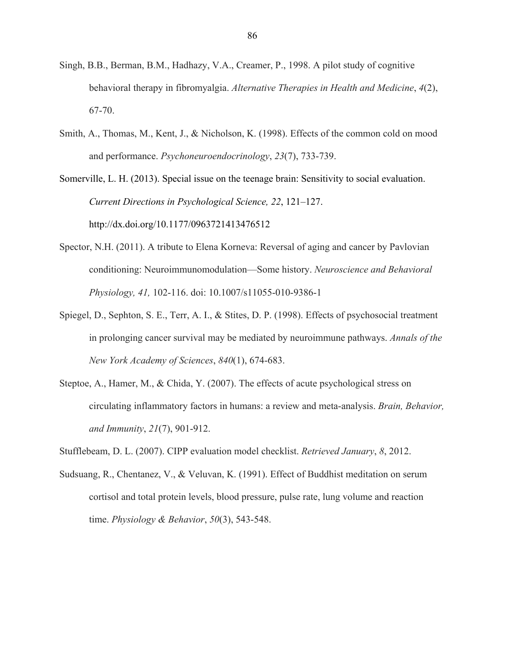- Singh, B.B., Berman, B.M., Hadhazy, V.A., Creamer, P., 1998. A pilot study of cognitive behavioral therapy in fibromyalgia. *Alternative Therapies in Health and Medicine*, *4*(2), 67-70.
- Smith, A., Thomas, M., Kent, J., & Nicholson, K. (1998). Effects of the common cold on mood and performance. *Psychoneuroendocrinology*, *23*(7), 733-739.

Somerville, L. H. (2013). Special issue on the teenage brain: Sensitivity to social evaluation. *Current Directions in Psychological Science, 22*, 121–127. http://dx.doi.org/10.1177/0963721413476512

- Spector, N.H. (2011). A tribute to Elena Korneva: Reversal of aging and cancer by Pavlovian conditioning: Neuroimmunomodulation—Some history. *Neuroscience and Behavioral Physiology, 41,* 102-116. doi: 10.1007/s11055-010-9386-1
- Spiegel, D., Sephton, S. E., Terr, A. I., & Stites, D. P. (1998). Effects of psychosocial treatment in prolonging cancer survival may be mediated by neuroimmune pathways. *Annals of the New York Academy of Sciences*, *840*(1), 674-683.
- Steptoe, A., Hamer, M., & Chida, Y. (2007). The effects of acute psychological stress on circulating inflammatory factors in humans: a review and meta-analysis. *Brain, Behavior, and Immunity*, *21*(7), 901-912.

Stufflebeam, D. L. (2007). CIPP evaluation model checklist. *Retrieved January*, *8*, 2012.

Sudsuang, R., Chentanez, V., & Veluvan, K. (1991). Effect of Buddhist meditation on serum cortisol and total protein levels, blood pressure, pulse rate, lung volume and reaction time. *Physiology & Behavior*, *50*(3), 543-548.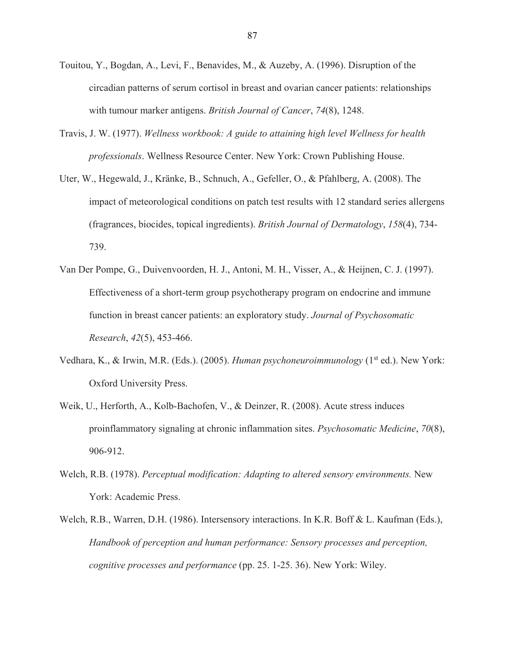- Touitou, Y., Bogdan, A., Levi, F., Benavides, M., & Auzeby, A. (1996). Disruption of the circadian patterns of serum cortisol in breast and ovarian cancer patients: relationships with tumour marker antigens. *British Journal of Cancer*, *74*(8), 1248.
- Travis, J. W. (1977). *Wellness workbook: A guide to attaining high level Wellness for health professionals*. Wellness Resource Center. New York: Crown Publishing House.
- Uter, W., Hegewald, J., Kränke, B., Schnuch, A., Gefeller, O., & Pfahlberg, A. (2008). The impact of meteorological conditions on patch test results with 12 standard series allergens (fragrances, biocides, topical ingredients). *British Journal of Dermatology*, *158*(4), 734- 739.
- Van Der Pompe, G., Duivenvoorden, H. J., Antoni, M. H., Visser, A., & Heijnen, C. J. (1997). Effectiveness of a short-term group psychotherapy program on endocrine and immune function in breast cancer patients: an exploratory study. *Journal of Psychosomatic Research*, *42*(5), 453-466.
- Vedhara, K., & Irwin, M.R. (Eds.). (2005). *Human psychoneuroimmunology* (1st ed.). New York: Oxford University Press.
- Weik, U., Herforth, A., Kolb-Bachofen, V., & Deinzer, R. (2008). Acute stress induces proinflammatory signaling at chronic inflammation sites. *Psychosomatic Medicine*, *70*(8), 906-912.
- Welch, R.B. (1978). *Perceptual modification: Adapting to altered sensory environments.* New York: Academic Press.
- Welch, R.B., Warren, D.H. (1986). Intersensory interactions. In K.R. Boff & L. Kaufman (Eds.), *Handbook of perception and human performance: Sensory processes and perception, cognitive processes and performance* (pp. 25. 1-25. 36). New York: Wiley.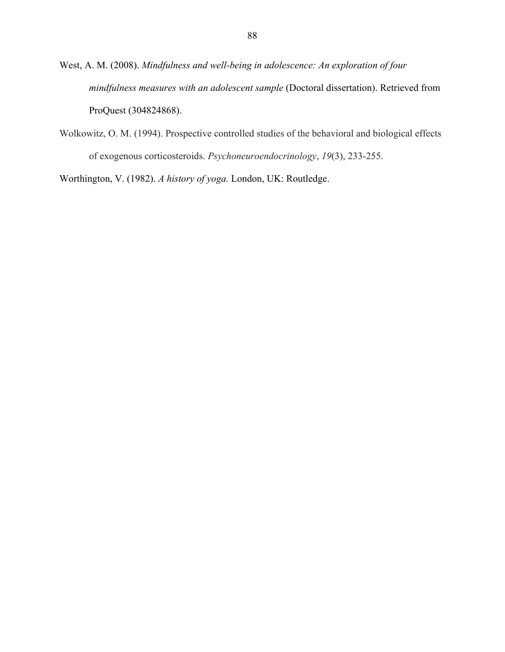West, A. M. (2008). *Mindfulness and well-being in adolescence: An exploration of four mindfulness measures with an adolescent sample* (Doctoral dissertation). Retrieved from ProQuest (304824868).

Wolkowitz, O. M. (1994). Prospective controlled studies of the behavioral and biological effects of exogenous corticosteroids. *Psychoneuroendocrinology*, *19*(3), 233-255.

Worthington, V. (1982). *A history of yoga.* London, UK: Routledge.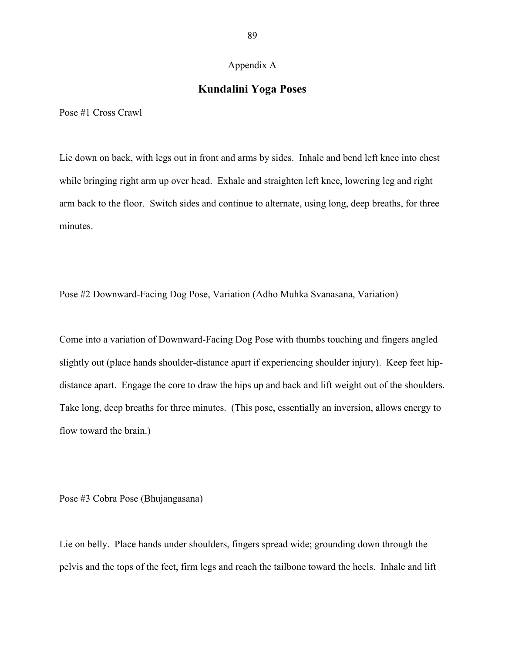#### Appendix A

#### **Kundalini Yoga Poses**

Pose #1 Cross Crawl

Lie down on back, with legs out in front and arms by sides. Inhale and bend left knee into chest while bringing right arm up over head. Exhale and straighten left knee, lowering leg and right arm back to the floor. Switch sides and continue to alternate, using long, deep breaths, for three minutes.

Pose #2 Downward-Facing Dog Pose, Variation (Adho Muhka Svanasana, Variation)

Come into a variation of Downward-Facing Dog Pose with thumbs touching and fingers angled slightly out (place hands shoulder-distance apart if experiencing shoulder injury). Keep feet hipdistance apart. Engage the core to draw the hips up and back and lift weight out of the shoulders. Take long, deep breaths for three minutes. (This pose, essentially an inversion, allows energy to flow toward the brain.)

Pose #3 Cobra Pose (Bhujangasana)

Lie on belly. Place hands under shoulders, fingers spread wide; grounding down through the pelvis and the tops of the feet, firm legs and reach the tailbone toward the heels. Inhale and lift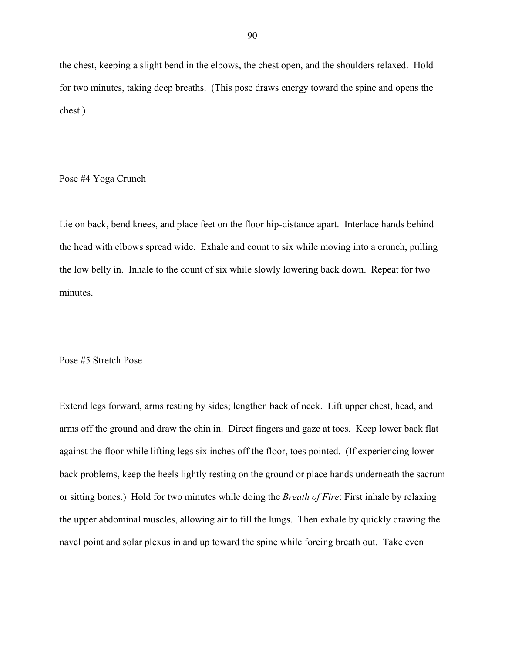the chest, keeping a slight bend in the elbows, the chest open, and the shoulders relaxed. Hold for two minutes, taking deep breaths. (This pose draws energy toward the spine and opens the chest.)

Pose #4 Yoga Crunch

Lie on back, bend knees, and place feet on the floor hip-distance apart. Interlace hands behind the head with elbows spread wide. Exhale and count to six while moving into a crunch, pulling the low belly in. Inhale to the count of six while slowly lowering back down. Repeat for two minutes.

Pose #5 Stretch Pose

Extend legs forward, arms resting by sides; lengthen back of neck. Lift upper chest, head, and arms off the ground and draw the chin in. Direct fingers and gaze at toes. Keep lower back flat against the floor while lifting legs six inches off the floor, toes pointed. (If experiencing lower back problems, keep the heels lightly resting on the ground or place hands underneath the sacrum or sitting bones.) Hold for two minutes while doing the *Breath of Fire*: First inhale by relaxing the upper abdominal muscles, allowing air to fill the lungs. Then exhale by quickly drawing the navel point and solar plexus in and up toward the spine while forcing breath out. Take even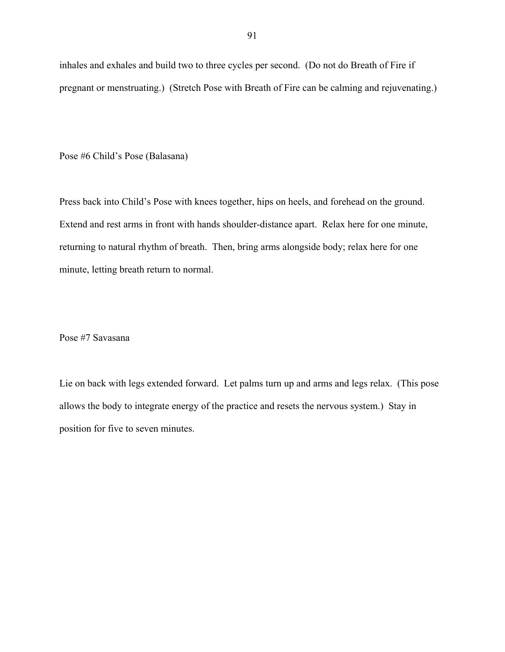inhales and exhales and build two to three cycles per second. (Do not do Breath of Fire if pregnant or menstruating.) (Stretch Pose with Breath of Fire can be calming and rejuvenating.)

Pose #6 Child's Pose (Balasana)

Press back into Child's Pose with knees together, hips on heels, and forehead on the ground. Extend and rest arms in front with hands shoulder-distance apart. Relax here for one minute, returning to natural rhythm of breath. Then, bring arms alongside body; relax here for one minute, letting breath return to normal.

Pose #7 Savasana

Lie on back with legs extended forward. Let palms turn up and arms and legs relax. (This pose allows the body to integrate energy of the practice and resets the nervous system.) Stay in position for five to seven minutes.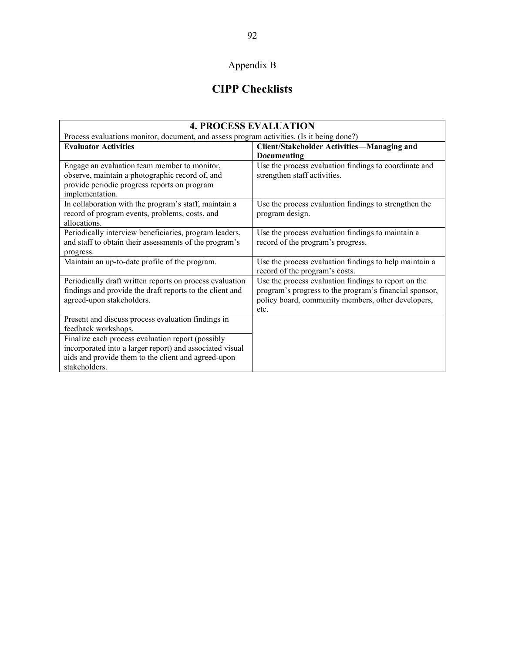## Appendix B

## **CIPP Checklists**

| <b>4. PROCESS EVALUATION</b>                                                              |                                                        |  |
|-------------------------------------------------------------------------------------------|--------------------------------------------------------|--|
| Process evaluations monitor, document, and assess program activities. (Is it being done?) |                                                        |  |
| <b>Evaluator Activities</b>                                                               | <b>Client/Stakeholder Activities-Managing and</b>      |  |
|                                                                                           | Documenting                                            |  |
| Engage an evaluation team member to monitor,                                              | Use the process evaluation findings to coordinate and  |  |
| observe, maintain a photographic record of, and                                           | strengthen staff activities.                           |  |
| provide periodic progress reports on program                                              |                                                        |  |
| implementation.                                                                           |                                                        |  |
| In collaboration with the program's staff, maintain a                                     | Use the process evaluation findings to strengthen the  |  |
| record of program events, problems, costs, and                                            | program design.                                        |  |
| allocations.                                                                              |                                                        |  |
| Periodically interview beneficiaries, program leaders,                                    | Use the process evaluation findings to maintain a      |  |
| and staff to obtain their assessments of the program's                                    | record of the program's progress.                      |  |
| progress.                                                                                 |                                                        |  |
| Maintain an up-to-date profile of the program.                                            | Use the process evaluation findings to help maintain a |  |
|                                                                                           | record of the program's costs.                         |  |
| Periodically draft written reports on process evaluation                                  | Use the process evaluation findings to report on the   |  |
| findings and provide the draft reports to the client and                                  | program's progress to the program's financial sponsor, |  |
| agreed-upon stakeholders.                                                                 | policy board, community members, other developers,     |  |
|                                                                                           | etc.                                                   |  |
| Present and discuss process evaluation findings in                                        |                                                        |  |
| feedback workshops.                                                                       |                                                        |  |
| Finalize each process evaluation report (possibly                                         |                                                        |  |
| incorporated into a larger report) and associated visual                                  |                                                        |  |
| aids and provide them to the client and agreed-upon                                       |                                                        |  |
| stakeholders.                                                                             |                                                        |  |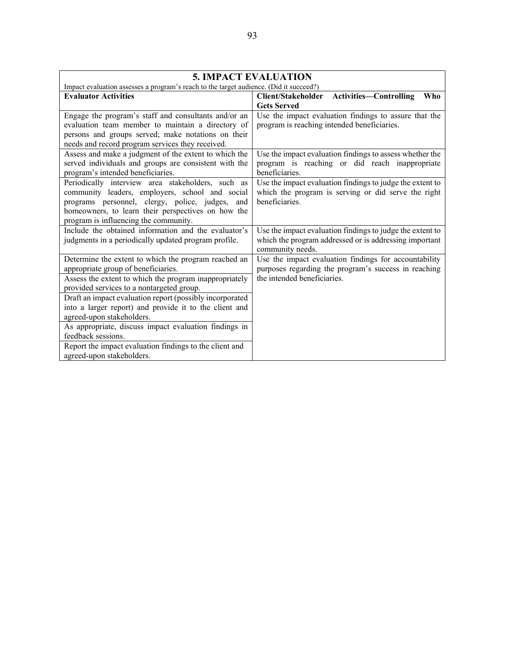| <b>5. IMPACT EVALUATION</b>                                                            |                                                            |  |
|----------------------------------------------------------------------------------------|------------------------------------------------------------|--|
| Impact evaluation assesses a program's reach to the target audience. (Did it succeed?) |                                                            |  |
| <b>Evaluator Activities</b>                                                            | Client/Stakeholder<br><b>Activities-Controlling</b><br>Who |  |
|                                                                                        | <b>Gets Served</b>                                         |  |
| Engage the program's staff and consultants and/or an                                   | Use the impact evaluation findings to assure that the      |  |
| evaluation team member to maintain a directory of                                      | program is reaching intended beneficiaries.                |  |
| persons and groups served; make notations on their                                     |                                                            |  |
| needs and record program services they received.                                       |                                                            |  |
| Assess and make a judgment of the extent to which the                                  | Use the impact evaluation findings to assess whether the   |  |
| served individuals and groups are consistent with the                                  | program is reaching or did reach inappropriate             |  |
| program's intended beneficiaries.                                                      | beneficiaries.                                             |  |
| Periodically interview area stakeholders, such as                                      | Use the impact evaluation findings to judge the extent to  |  |
| community leaders, employers, school and social                                        | which the program is serving or did serve the right        |  |
| programs personnel, clergy, police, judges, and                                        | beneficiaries.                                             |  |
| homeowners, to learn their perspectives on how the                                     |                                                            |  |
| program is influencing the community.                                                  |                                                            |  |
| Include the obtained information and the evaluator's                                   | Use the impact evaluation findings to judge the extent to  |  |
| judgments in a periodically updated program profile.                                   | which the program addressed or is addressing important     |  |
|                                                                                        | community needs.                                           |  |
| Determine the extent to which the program reached an                                   | Use the impact evaluation findings for accountability      |  |
| appropriate group of beneficiaries.                                                    | purposes regarding the program's success in reaching       |  |
| Assess the extent to which the program inappropriately                                 | the intended beneficiaries.                                |  |
| provided services to a nontargeted group.                                              |                                                            |  |
| Draft an impact evaluation report (possibly incorporated                               |                                                            |  |
| into a larger report) and provide it to the client and                                 |                                                            |  |
| agreed-upon stakeholders.                                                              |                                                            |  |
| As appropriate, discuss impact evaluation findings in                                  |                                                            |  |
| feedback sessions.                                                                     |                                                            |  |
| Report the impact evaluation findings to the client and                                |                                                            |  |
| agreed-upon stakeholders.                                                              |                                                            |  |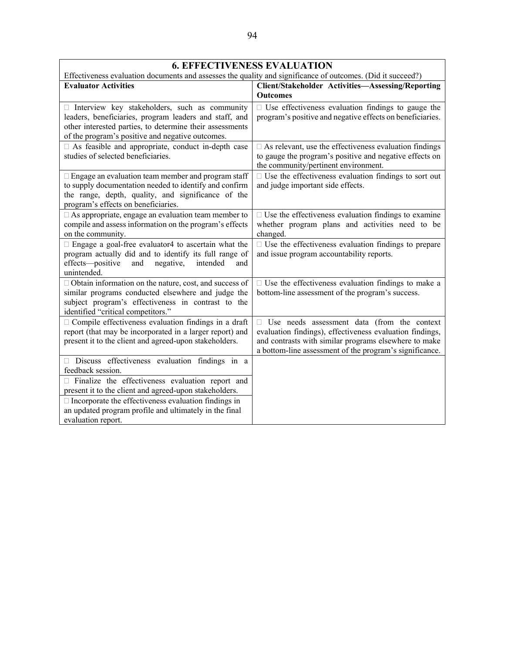| <b>6. EFFECTIVENESS EVALUATION</b><br>Effectiveness evaluation documents and assesses the quality and significance of outcomes. (Did it succeed?)                                                                       |                                                                                                                                                                                                                                    |  |
|-------------------------------------------------------------------------------------------------------------------------------------------------------------------------------------------------------------------------|------------------------------------------------------------------------------------------------------------------------------------------------------------------------------------------------------------------------------------|--|
| <b>Evaluator Activities</b>                                                                                                                                                                                             | <b>Client/Stakeholder Activities-Assessing/Reporting</b><br><b>Outcomes</b>                                                                                                                                                        |  |
| Interview key stakeholders, such as community<br>leaders, beneficiaries, program leaders and staff, and<br>other interested parties, to determine their assessments<br>of the program's positive and negative outcomes. | $\Box$ Use effectiveness evaluation findings to gauge the<br>program's positive and negative effects on beneficiaries.                                                                                                             |  |
| □ As feasible and appropriate, conduct in-depth case<br>studies of selected beneficiaries.                                                                                                                              | $\Box$ As relevant, use the effectiveness evaluation findings<br>to gauge the program's positive and negative effects on<br>the community/pertinent environment.                                                                   |  |
| $\Box$ Engage an evaluation team member and program staff<br>to supply documentation needed to identify and confirm<br>the range, depth, quality, and significance of the<br>program's effects on beneficiaries.        | $\Box$ Use the effectiveness evaluation findings to sort out<br>and judge important side effects.                                                                                                                                  |  |
| $\Box$ As appropriate, engage an evaluation team member to<br>compile and assess information on the program's effects<br>on the community.                                                                              | $\Box$ Use the effectiveness evaluation findings to examine<br>whether program plans and activities need to be<br>changed.                                                                                                         |  |
| $\Box$ Engage a goal-free evaluator4 to ascertain what the<br>program actually did and to identify its full range of<br>effects-positive<br>and<br>negative,<br>intended<br>and<br>unintended.                          | $\square$ Use the effectiveness evaluation findings to prepare<br>and issue program accountability reports.                                                                                                                        |  |
| $\Box$ Obtain information on the nature, cost, and success of<br>similar programs conducted elsewhere and judge the<br>subject program's effectiveness in contrast to the<br>identified "critical competitors."         | $\Box$ Use the effectiveness evaluation findings to make a<br>bottom-line assessment of the program's success.                                                                                                                     |  |
| $\Box$ Compile effectiveness evaluation findings in a draft<br>report (that may be incorporated in a larger report) and<br>present it to the client and agreed-upon stakeholders.                                       | $\Box$ Use needs assessment data (from the context<br>evaluation findings), effectiveness evaluation findings,<br>and contrasts with similar programs elsewhere to make<br>a bottom-line assessment of the program's significance. |  |
| Discuss effectiveness evaluation findings in a<br>feedback session.                                                                                                                                                     |                                                                                                                                                                                                                                    |  |
| $\Box$ Finalize the effectiveness evaluation report and<br>present it to the client and agreed-upon stakeholders.                                                                                                       |                                                                                                                                                                                                                                    |  |
| $\Box$ Incorporate the effectiveness evaluation findings in<br>an updated program profile and ultimately in the final<br>evaluation report.                                                                             |                                                                                                                                                                                                                                    |  |

#### 94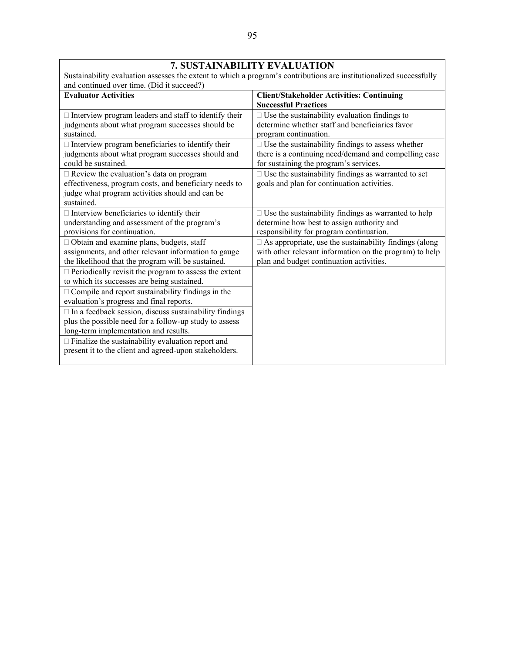| Sustainability evaluation assesses the extent to which a program's contributions are institutionalized successfully<br>and continued over time. (Did it succeed?)         |                                                                                                                                                                      |  |
|---------------------------------------------------------------------------------------------------------------------------------------------------------------------------|----------------------------------------------------------------------------------------------------------------------------------------------------------------------|--|
| <b>Evaluator Activities</b>                                                                                                                                               | <b>Client/Stakeholder Activities: Continuing</b><br><b>Successful Practices</b>                                                                                      |  |
| $\Box$ Interview program leaders and staff to identify their<br>judgments about what program successes should be<br>sustained.                                            | $\Box$ Use the sustainability evaluation findings to<br>determine whether staff and beneficiaries favor<br>program continuation.                                     |  |
| $\Box$ Interview program beneficiaries to identify their<br>judgments about what program successes should and<br>could be sustained.                                      | $\Box$ Use the sustainability findings to assess whether<br>there is a continuing need/demand and compelling case<br>for sustaining the program's services.          |  |
| $\Box$ Review the evaluation's data on program<br>effectiveness, program costs, and beneficiary needs to<br>judge what program activities should and can be<br>sustained. | $\Box$ Use the sustainability findings as warranted to set<br>goals and plan for continuation activities.                                                            |  |
| $\Box$ Interview beneficiaries to identify their<br>understanding and assessment of the program's<br>provisions for continuation.                                         | $\Box$ Use the sustainability findings as warranted to help<br>determine how best to assign authority and<br>responsibility for program continuation.                |  |
| □ Obtain and examine plans, budgets, staff<br>assignments, and other relevant information to gauge<br>the likelihood that the program will be sustained.                  | $\Box$ As appropriate, use the sustainability findings (along<br>with other relevant information on the program) to help<br>plan and budget continuation activities. |  |
| $\Box$ Periodically revisit the program to assess the extent<br>to which its successes are being sustained.                                                               |                                                                                                                                                                      |  |
| $\Box$ Compile and report sustainability findings in the<br>evaluation's progress and final reports.                                                                      |                                                                                                                                                                      |  |
| $\Box$ In a feedback session, discuss sustainability findings<br>plus the possible need for a follow-up study to assess<br>long-term implementation and results.          |                                                                                                                                                                      |  |
| $\Box$ Finalize the sustainability evaluation report and<br>present it to the client and agreed-upon stakeholders.                                                        |                                                                                                                                                                      |  |

#### **7. SUSTAINABILITY EVALUATION**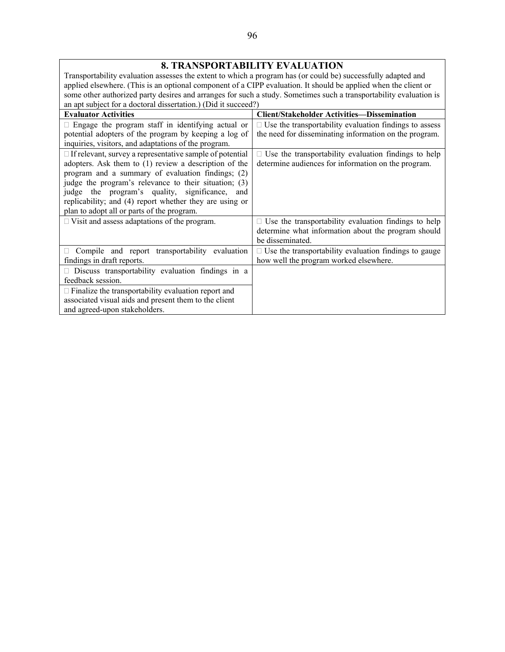#### **8. TRANSPORTABILITY EVALUATION**

Transportability evaluation assesses the extent to which a program has (or could be) successfully adapted and applied elsewhere. (This is an optional component of a CIPP evaluation. It should be applied when the client or some other authorized party desires and arranges for such a study. Sometimes such a transportability evaluation is an apt subject for a doctoral dissertation.) (Did it succeed?)

| <b>Evaluator Activities</b>                                                                                                                                                                                                                                                                                                                                                                       | <b>Client/Stakeholder Activities-Dissemination</b>                                                                                     |
|---------------------------------------------------------------------------------------------------------------------------------------------------------------------------------------------------------------------------------------------------------------------------------------------------------------------------------------------------------------------------------------------------|----------------------------------------------------------------------------------------------------------------------------------------|
| $\Box$ Engage the program staff in identifying actual or<br>potential adopters of the program by keeping a log of                                                                                                                                                                                                                                                                                 | $\Box$ Use the transportability evaluation findings to assess<br>the need for disseminating information on the program.                |
| inquiries, visitors, and adaptations of the program.                                                                                                                                                                                                                                                                                                                                              |                                                                                                                                        |
| $\Box$ If relevant, survey a representative sample of potential<br>adopters. Ask them to (1) review a description of the<br>program and a summary of evaluation findings; (2)<br>judge the program's relevance to their situation; (3)<br>judge the program's quality, significance, and<br>replicability; and (4) report whether they are using or<br>plan to adopt all or parts of the program. | $\Box$ Use the transportability evaluation findings to help<br>determine audiences for information on the program.                     |
| $\Box$ Visit and assess adaptations of the program.                                                                                                                                                                                                                                                                                                                                               | $\Box$ Use the transportability evaluation findings to help<br>determine what information about the program should<br>be disseminated. |
| Compile and report transportability evaluation<br>$\mathbf{L}$<br>findings in draft reports.                                                                                                                                                                                                                                                                                                      | $\Box$ Use the transportability evaluation findings to gauge<br>how well the program worked elsewhere.                                 |
| $\Box$ Discuss transportability evaluation findings in a<br>feedback session.                                                                                                                                                                                                                                                                                                                     |                                                                                                                                        |
| $\Box$ Finalize the transportability evaluation report and<br>associated visual aids and present them to the client<br>and agreed-upon stakeholders.                                                                                                                                                                                                                                              |                                                                                                                                        |